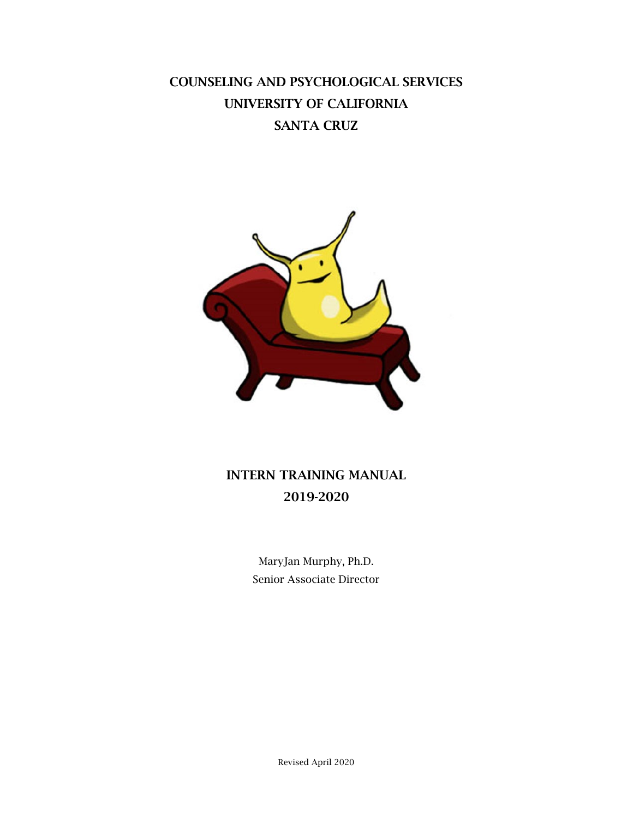# COUNSELING AND PSYCHOLOGICAL SERVICES UNIVERSITY OF CALIFORNIA SANTA CRUZ



# INTERN TRAINING MANUAL 2019-2020

MaryJan Murphy, Ph.D. Senior Associate Director

Revised April 2020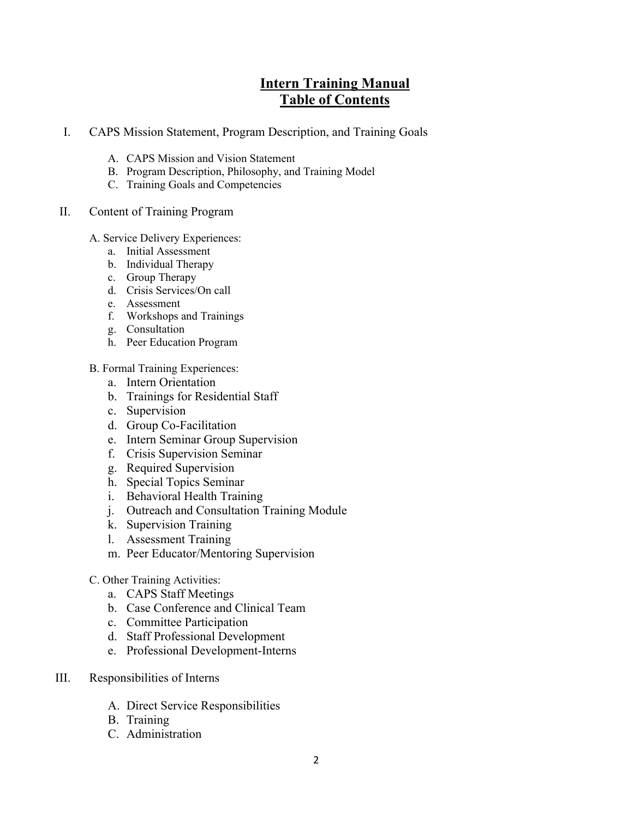## **Intern Training Manual Table of Contents**

- I. CAPS Mission Statement, Program Description, and Training Goals
	- A. CAPS Mission and Vision Statement
	- B. Program Description, Philosophy, and Training Model
	- C. Training Goals and Competencies
- II. Content of Training Program
	- A. Service Delivery Experiences:
		- a. Initial Assessment
		- b. Individual Therapy
		- c. Group Therapy
		- d. Crisis Services/On call
		- e. Assessment
		- f. Workshops and Trainings
		- g. Consultation
		- h. Peer Education Program
	- B. Formal Training Experiences:
		- a. Intern Orientation
		- b. Trainings for Residential Staff
		- c. Supervision
		- d. Group Co-Facilitation
		- e. Intern Seminar Group Supervision
		- f. Crisis Supervision Seminar
		- g. Required Supervision
		- h. Special Topics Seminar
		- i. Behavioral Health Training
		- j. Outreach and Consultation Training Module
		- k. Supervision Training
		- l. Assessment Training
		- m. Peer Educator/Mentoring Supervision
	- C. Other Training Activities:
		- a. CAPS Staff Meetings
		- b. Case Conference and Clinical Team
		- c. Committee Participation
		- d. Staff Professional Development
		- e. Professional Development-Interns
- III. Responsibilities of Interns
	- A. Direct Service Responsibilities
	- B. Training
	- C. Administration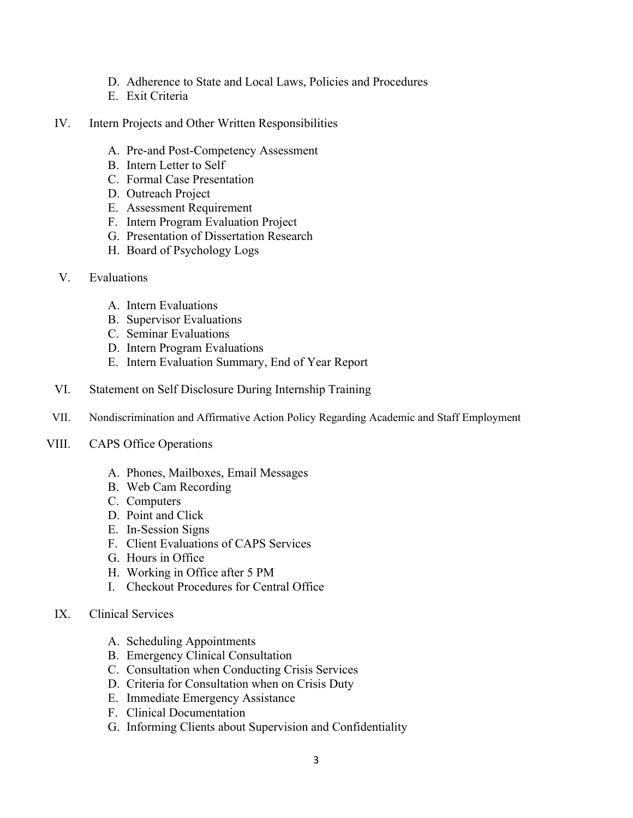- D. Adherence to State and Local Laws, Policies and Procedures
- E. Exit Criteria
- IV. Intern Projects and Other Written Responsibilities
	- A. Pre-and Post-Competency Assessment
	- B. Intern Letter to Self
	- C. Formal Case Presentation
	- D. Outreach Project
	- E. Assessment Requirement
	- F. Intern Program Evaluation Project
	- G. Presentation of Dissertation Research
	- H. Board of Psychology Logs
- V. Evaluations
	- A. Intern Evaluations
	- B. Supervisor Evaluations
	- C. Seminar Evaluations
	- D. Intern Program Evaluations
	- E. Intern Evaluation Summary, End of Year Report
- VI. Statement on Self Disclosure During Internship Training
- VII. Nondiscrimination and Affirmative Action Policy Regarding Academic and Staff Employment
- VIII. CAPS Office Operations
	- A. Phones, Mailboxes, Email Messages
	- B. Web Cam Recording
	- C. Computers
	- D. Point and Click
	- E. In-Session Signs
	- F. Client Evaluations of CAPS Services
	- G. Hours in Office
	- H. Working in Office after 5 PM
	- I. Checkout Procedures for Central Office
	- IX. Clinical Services
		- A. Scheduling Appointments
		- B. Emergency Clinical Consultation
		- C. Consultation when Conducting Crisis Services
		- D. Criteria for Consultation when on Crisis Duty
		- E. Immediate Emergency Assistance
		- F. Clinical Documentation
		- G. Informing Clients about Supervision and Confidentiality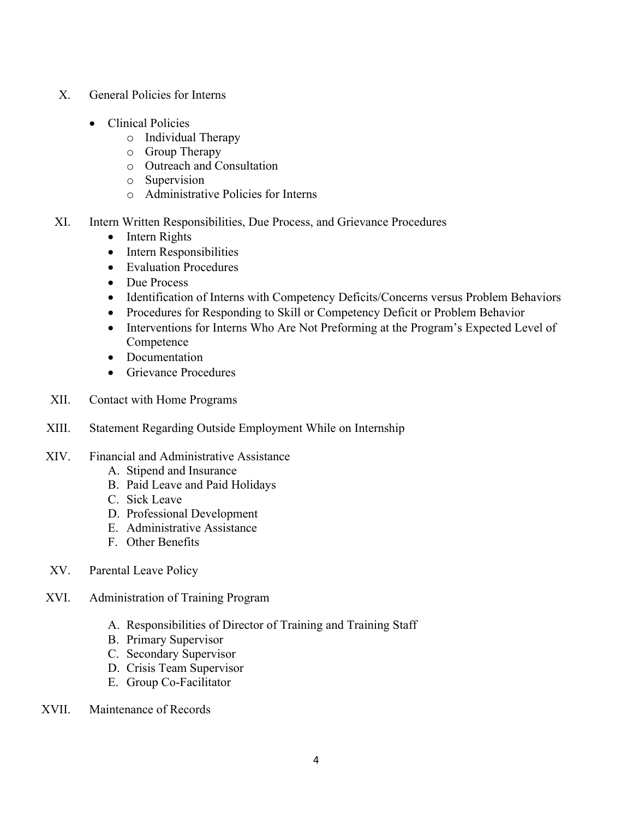- X. General Policies for Interns
	- Clinical Policies
		- o Individual Therapy
		- o Group Therapy
		- o Outreach and Consultation
		- o Supervision
		- o Administrative Policies for Interns
- XI. Intern Written Responsibilities, Due Process, and Grievance Procedures
	- Intern Rights
	- Intern Responsibilities
	- Evaluation Procedures
	- Due Process
	- Identification of Interns with Competency Deficits/Concerns versus Problem Behaviors
	- Procedures for Responding to Skill or Competency Deficit or Problem Behavior
	- Interventions for Interns Who Are Not Preforming at the Program's Expected Level of Competence
	- Documentation
	- Grievance Procedures
- XII. Contact with Home Programs
- XIII. Statement Regarding Outside Employment While on Internship

#### XIV. Financial and Administrative Assistance

- A. Stipend and Insurance
- B. Paid Leave and Paid Holidays
- C. Sick Leave
- D. Professional Development
- E. Administrative Assistance
- F. Other Benefits
- XV. Parental Leave Policy
- XVI. Administration of Training Program
	- A. Responsibilities of Director of Training and Training Staff
	- B. Primary Supervisor
	- C. Secondary Supervisor
	- D. Crisis Team Supervisor
	- E. Group Co-Facilitator
- XVII. Maintenance of Records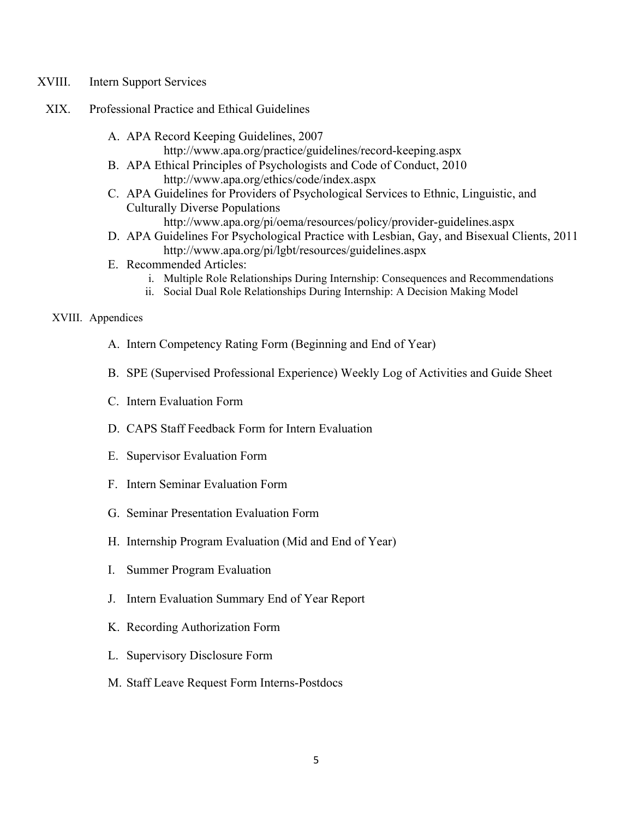- XVIII. Intern Support Services
- XIX. Professional Practice and Ethical Guidelines
	- A. APA Record Keeping Guidelines, 2007
		- http://www.apa.org/practice/guidelines/record-keeping.aspx
	- B. APA Ethical Principles of Psychologists and Code of Conduct, 2010 http://www.apa.org/ethics/code/index.aspx
	- C. APA Guidelines for Providers of Psychological Services to Ethnic, Linguistic, and Culturally Diverse Populations
		- http://www.apa.org/pi/oema/resources/policy/provider-guidelines.aspx
	- D. APA Guidelines For Psychological Practice with Lesbian, Gay, and Bisexual Clients, 2011 http://www.apa.org/pi/lgbt/resources/guidelines.aspx
	- E. Recommended Articles:
		- i. Multiple Role Relationships During Internship: Consequences and Recommendations
		- ii. Social Dual Role Relationships During Internship: A Decision Making Model

#### XVIII. Appendices

- A. Intern Competency Rating Form (Beginning and End of Year)
- B. SPE (Supervised Professional Experience) Weekly Log of Activities and Guide Sheet
- C. Intern Evaluation Form
- D. CAPS Staff Feedback Form for Intern Evaluation
- E. Supervisor Evaluation Form
- F. Intern Seminar Evaluation Form
- G. Seminar Presentation Evaluation Form
- H. Internship Program Evaluation (Mid and End of Year)
- I. Summer Program Evaluation
- J. Intern Evaluation Summary End of Year Report
- K. Recording Authorization Form
- L. Supervisory Disclosure Form
- M. Staff Leave Request Form Interns-Postdocs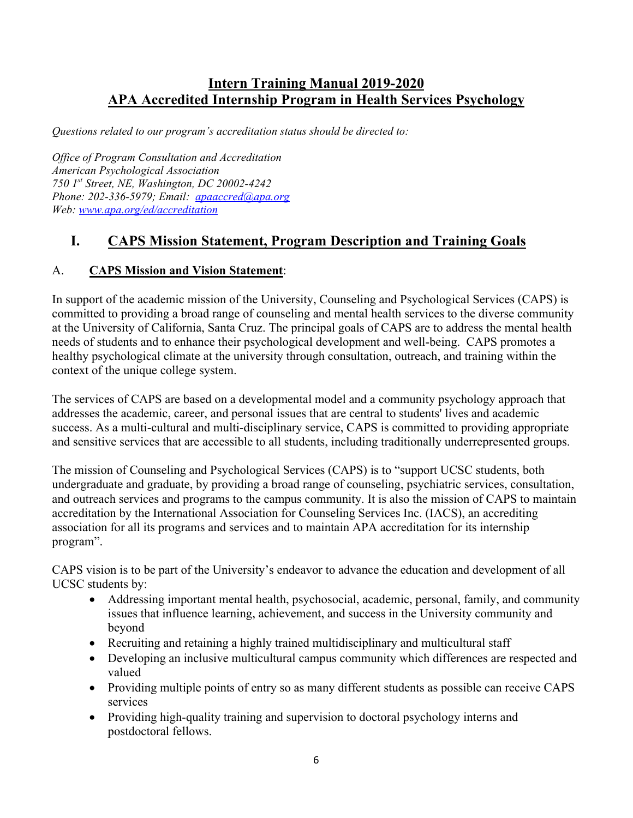## **Intern Training Manual 2019-2020 APA Accredited Internship Program in Health Services Psychology**

*Questions related to our program's accreditation status should be directed to:*

*Office of Program Consultation and Accreditation American Psychological Association 750 1st Street, NE, Washington, DC 20002-4242 Phone: 202-336-5979; Email: [apaaccred@apa.org](mailto:apaaccred@apa.org) Web: [www.apa.org/ed/accreditation](http://www.apa.org/ed/accreditation)*

## **I. CAPS Mission Statement, Program Description and Training Goals**

### A. **CAPS Mission and Vision Statement**:

In support of the academic mission of the University, Counseling and Psychological Services (CAPS) is committed to providing a broad range of counseling and mental health services to the diverse community at the University of California, Santa Cruz. The principal goals of CAPS are to address the mental health needs of students and to enhance their psychological development and well-being. CAPS promotes a healthy psychological climate at the university through consultation, outreach, and training within the context of the unique college system.

The services of CAPS are based on a developmental model and a community psychology approach that addresses the academic, career, and personal issues that are central to students' lives and academic success. As a multi-cultural and multi-disciplinary service, CAPS is committed to providing appropriate and sensitive services that are accessible to all students, including traditionally underrepresented groups.

The mission of Counseling and Psychological Services (CAPS) is to "support UCSC students, both undergraduate and graduate, by providing a broad range of counseling, psychiatric services, consultation, and outreach services and programs to the campus community. It is also the mission of CAPS to maintain accreditation by the International Association for Counseling Services Inc. (IACS), an accrediting association for all its programs and services and to maintain APA accreditation for its internship program".

CAPS vision is to be part of the University's endeavor to advance the education and development of all UCSC students by:

- Addressing important mental health, psychosocial, academic, personal, family, and community issues that influence learning, achievement, and success in the University community and beyond
- Recruiting and retaining a highly trained multidisciplinary and multicultural staff
- Developing an inclusive multicultural campus community which differences are respected and valued
- Providing multiple points of entry so as many different students as possible can receive CAPS services
- Providing high-quality training and supervision to doctoral psychology interns and postdoctoral fellows.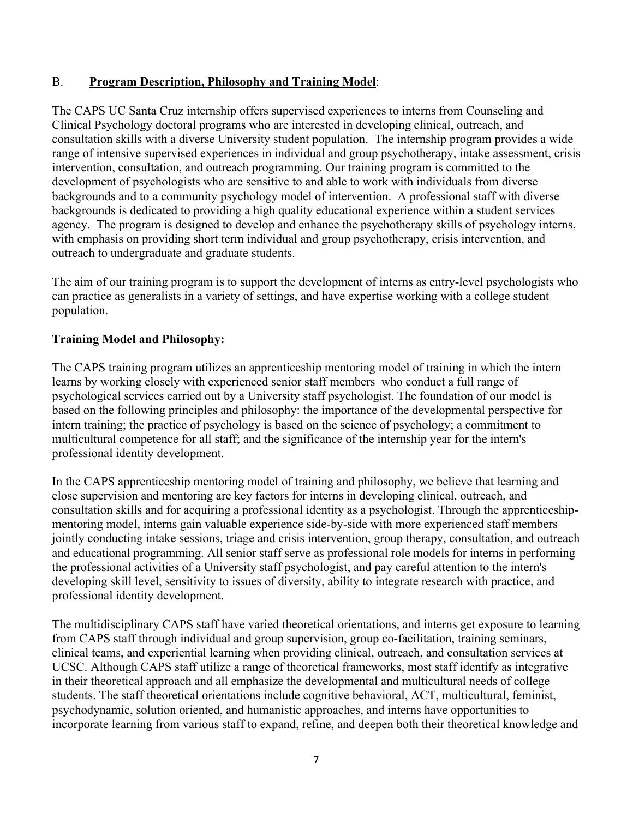### B. **Program Description, Philosophy and Training Model**:

The CAPS UC Santa Cruz internship offers supervised experiences to interns from Counseling and Clinical Psychology doctoral programs who are interested in developing clinical, outreach, and consultation skills with a diverse University student population. The internship program provides a wide range of intensive supervised experiences in individual and group psychotherapy, intake assessment, crisis intervention, consultation, and outreach programming. Our training program is committed to the development of psychologists who are sensitive to and able to work with individuals from diverse backgrounds and to a community psychology model of intervention. A professional staff with diverse backgrounds is dedicated to providing a high quality educational experience within a student services agency. The program is designed to develop and enhance the psychotherapy skills of psychology interns, with emphasis on providing short term individual and group psychotherapy, crisis intervention, and outreach to undergraduate and graduate students.

The aim of our training program is to support the development of interns as entry-level psychologists who can practice as generalists in a variety of settings, and have expertise working with a college student population.

### **Training Model and Philosophy:**

The CAPS training program utilizes an apprenticeship mentoring model of training in which the intern learns by working closely with experienced senior staff members who conduct a full range of psychological services carried out by a University staff psychologist. The foundation of our model is based on the following principles and philosophy: the importance of the developmental perspective for intern training; the practice of psychology is based on the science of psychology; a commitment to multicultural competence for all staff; and the significance of the internship year for the intern's professional identity development.

In the CAPS apprenticeship mentoring model of training and philosophy, we believe that learning and close supervision and mentoring are key factors for interns in developing clinical, outreach, and consultation skills and for acquiring a professional identity as a psychologist. Through the apprenticeshipmentoring model, interns gain valuable experience side-by-side with more experienced staff members jointly conducting intake sessions, triage and crisis intervention, group therapy, consultation, and outreach and educational programming. All senior staff serve as professional role models for interns in performing the professional activities of a University staff psychologist, and pay careful attention to the intern's developing skill level, sensitivity to issues of diversity, ability to integrate research with practice, and professional identity development.

The multidisciplinary CAPS staff have varied theoretical orientations, and interns get exposure to learning from CAPS staff through individual and group supervision, group co-facilitation, training seminars, clinical teams, and experiential learning when providing clinical, outreach, and consultation services at UCSC. Although CAPS staff utilize a range of theoretical frameworks, most staff identify as integrative in their theoretical approach and all emphasize the developmental and multicultural needs of college students. The staff theoretical orientations include cognitive behavioral, ACT, multicultural, feminist, psychodynamic, solution oriented, and humanistic approaches, and interns have opportunities to incorporate learning from various staff to expand, refine, and deepen both their theoretical knowledge and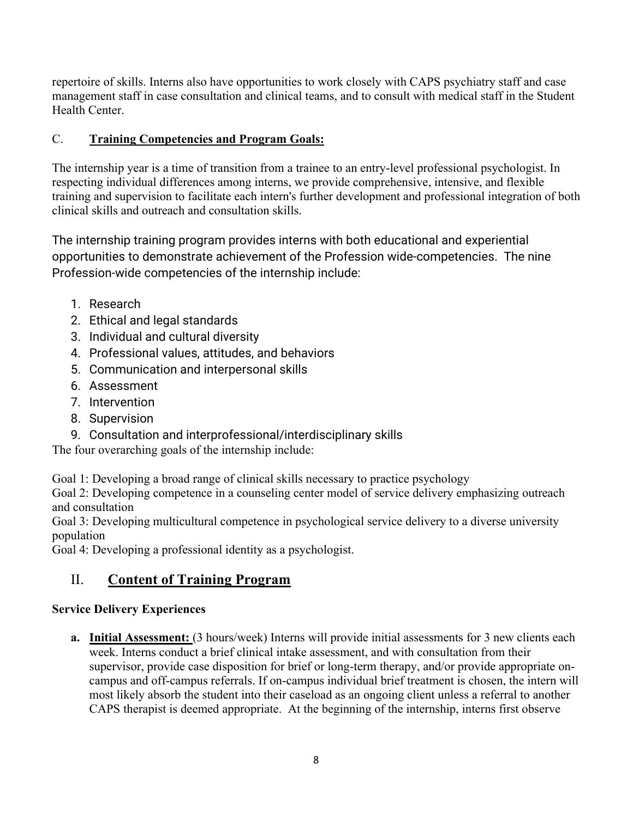repertoire of skills. Interns also have opportunities to work closely with CAPS psychiatry staff and case management staff in case consultation and clinical teams, and to consult with medical staff in the Student Health Center.

## C. **Training Competencies and Program Goals:**

The internship year is a time of transition from a trainee to an entry-level professional psychologist. In respecting individual differences among interns, we provide comprehensive, intensive, and flexible training and supervision to facilitate each intern's further development and professional integration of both clinical skills and outreach and consultation skills.

The internship training program provides interns with both educational and experiential opportunities to demonstrate achievement of the Profession wide-competencies. The nine Profession-wide competencies of the internship include:

- 1. Research
- 2. Ethical and legal standards
- 3. Individual and cultural diversity
- 4. Professional values, attitudes, and behaviors
- 5. Communication and interpersonal skills
- 6. Assessment
- 7. Intervention
- 8. Supervision
- 9. Consultation and interprofessional/interdisciplinary skills

The four overarching goals of the internship include:

Goal 1: Developing a broad range of clinical skills necessary to practice psychology

Goal 2: Developing competence in a counseling center model of service delivery emphasizing outreach and consultation

Goal 3: Developing multicultural competence in psychological service delivery to a diverse university population

Goal 4: Developing a professional identity as a psychologist.

## II. **Content of Training Program**

## **Service Delivery Experiences**

**a. Initial Assessment:** (3 hours/week) Interns will provide initial assessments for 3 new clients each week. Interns conduct a brief clinical intake assessment, and with consultation from their supervisor, provide case disposition for brief or long-term therapy, and/or provide appropriate oncampus and off-campus referrals. If on-campus individual brief treatment is chosen, the intern will most likely absorb the student into their caseload as an ongoing client unless a referral to another CAPS therapist is deemed appropriate. At the beginning of the internship, interns first observe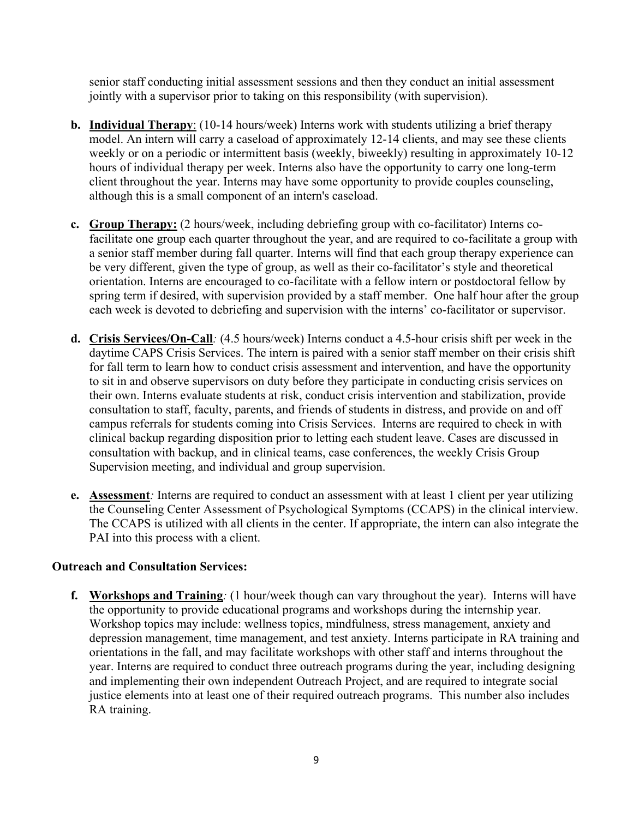senior staff conducting initial assessment sessions and then they conduct an initial assessment jointly with a supervisor prior to taking on this responsibility (with supervision).

- **b. Individual Therapy**: (10-14 hours/week) Interns work with students utilizing a brief therapy model. An intern will carry a caseload of approximately 12-14 clients, and may see these clients weekly or on a periodic or intermittent basis (weekly, biweekly) resulting in approximately 10-12 hours of individual therapy per week. Interns also have the opportunity to carry one long-term client throughout the year. Interns may have some opportunity to provide couples counseling, although this is a small component of an intern's caseload.
- **c. Group Therapy:** (2 hours/week, including debriefing group with co-facilitator) Interns cofacilitate one group each quarter throughout the year, and are required to co-facilitate a group with a senior staff member during fall quarter. Interns will find that each group therapy experience can be very different, given the type of group, as well as their co-facilitator's style and theoretical orientation. Interns are encouraged to co-facilitate with a fellow intern or postdoctoral fellow by spring term if desired, with supervision provided by a staff member. One half hour after the group each week is devoted to debriefing and supervision with the interns' co-facilitator or supervisor.
- **d. Crisis Services/On-Call***:* (4.5 hours/week) Interns conduct a 4.5-hour crisis shift per week in the daytime CAPS Crisis Services. The intern is paired with a senior staff member on their crisis shift for fall term to learn how to conduct crisis assessment and intervention, and have the opportunity to sit in and observe supervisors on duty before they participate in conducting crisis services on their own. Interns evaluate students at risk, conduct crisis intervention and stabilization, provide consultation to staff, faculty, parents, and friends of students in distress, and provide on and off campus referrals for students coming into Crisis Services. Interns are required to check in with clinical backup regarding disposition prior to letting each student leave. Cases are discussed in consultation with backup, and in clinical teams, case conferences, the weekly Crisis Group Supervision meeting, and individual and group supervision.
- **e. Assessment***:* Interns are required to conduct an assessment with at least 1 client per year utilizing the Counseling Center Assessment of Psychological Symptoms (CCAPS) in the clinical interview. The CCAPS is utilized with all clients in the center. If appropriate, the intern can also integrate the PAI into this process with a client.

### **Outreach and Consultation Services:**

**f. Workshops and Training***:* (1 hour/week though can vary throughout the year). Interns will have the opportunity to provide educational programs and workshops during the internship year. Workshop topics may include: wellness topics, mindfulness, stress management, anxiety and depression management, time management, and test anxiety. Interns participate in RA training and orientations in the fall, and may facilitate workshops with other staff and interns throughout the year. Interns are required to conduct three outreach programs during the year, including designing and implementing their own independent Outreach Project, and are required to integrate social justice elements into at least one of their required outreach programs. This number also includes RA training.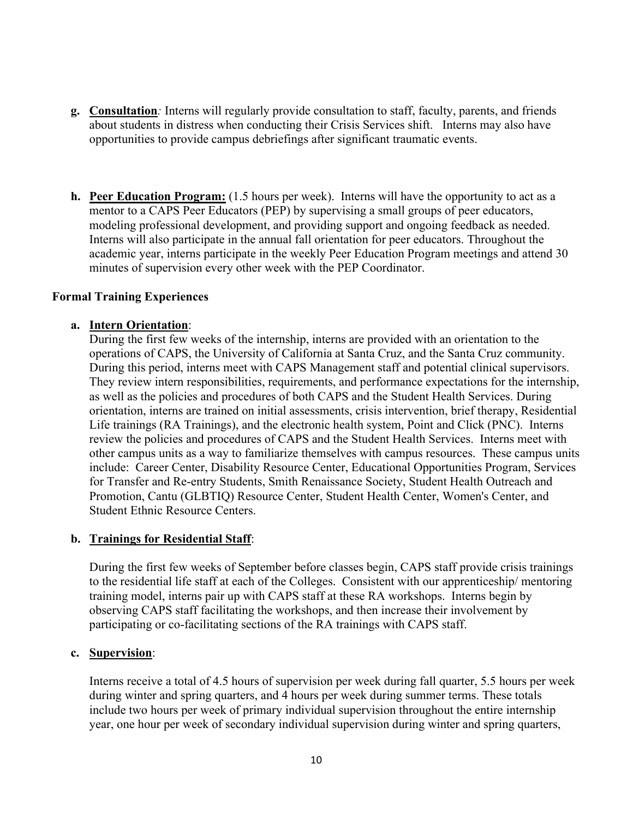- **g. Consultation***:* Interns will regularly provide consultation to staff, faculty, parents, and friends about students in distress when conducting their Crisis Services shift. Interns may also have opportunities to provide campus debriefings after significant traumatic events.
- **h. Peer Education Program:** (1.5 hours per week). Interns will have the opportunity to act as a mentor to a CAPS Peer Educators (PEP) by supervising a small groups of peer educators, modeling professional development, and providing support and ongoing feedback as needed. Interns will also participate in the annual fall orientation for peer educators. Throughout the academic year, interns participate in the weekly Peer Education Program meetings and attend 30 minutes of supervision every other week with the PEP Coordinator.

#### **Formal Training Experiences**

#### **a. Intern Orientation**:

During the first few weeks of the internship, interns are provided with an orientation to the operations of CAPS, the University of California at Santa Cruz, and the Santa Cruz community. During this period, interns meet with CAPS Management staff and potential clinical supervisors. They review intern responsibilities, requirements, and performance expectations for the internship, as well as the policies and procedures of both CAPS and the Student Health Services. During orientation, interns are trained on initial assessments, crisis intervention, brief therapy, Residential Life trainings (RA Trainings), and the electronic health system, Point and Click (PNC). Interns review the policies and procedures of CAPS and the Student Health Services. Interns meet with other campus units as a way to familiarize themselves with campus resources. These campus units include: Career Center, Disability Resource Center, Educational Opportunities Program, Services for Transfer and Re-entry Students, Smith Renaissance Society, Student Health Outreach and Promotion, Cantu (GLBTIQ) Resource Center, Student Health Center, Women's Center, and Student Ethnic Resource Centers.

#### **b. Trainings for Residential Staff**:

During the first few weeks of September before classes begin, CAPS staff provide crisis trainings to the residential life staff at each of the Colleges. Consistent with our apprenticeship/ mentoring training model, interns pair up with CAPS staff at these RA workshops. Interns begin by observing CAPS staff facilitating the workshops, and then increase their involvement by participating or co-facilitating sections of the RA trainings with CAPS staff.

#### **c. Supervision**:

Interns receive a total of 4.5 hours of supervision per week during fall quarter, 5.5 hours per week during winter and spring quarters, and 4 hours per week during summer terms. These totals include two hours per week of primary individual supervision throughout the entire internship year, one hour per week of secondary individual supervision during winter and spring quarters,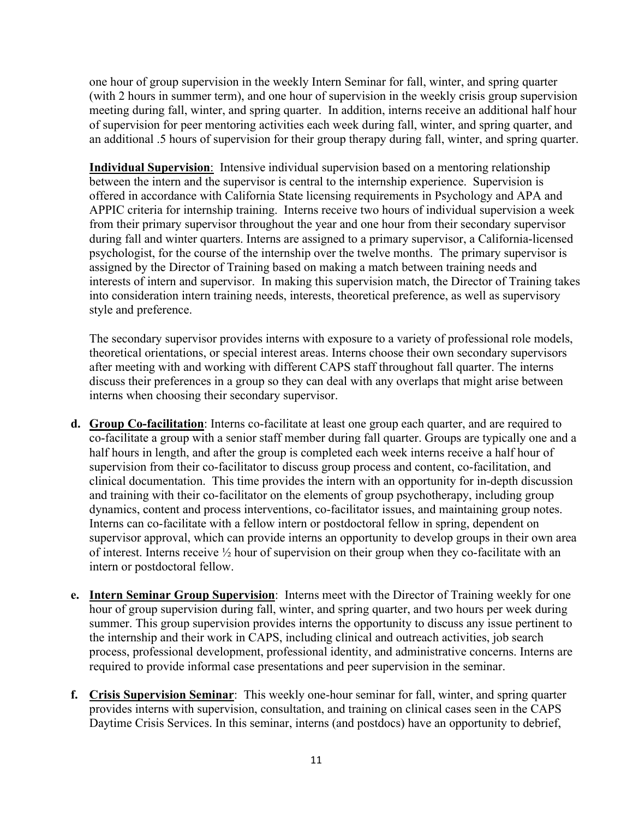one hour of group supervision in the weekly Intern Seminar for fall, winter, and spring quarter (with 2 hours in summer term), and one hour of supervision in the weekly crisis group supervision meeting during fall, winter, and spring quarter. In addition, interns receive an additional half hour of supervision for peer mentoring activities each week during fall, winter, and spring quarter, and an additional .5 hours of supervision for their group therapy during fall, winter, and spring quarter.

**Individual Supervision**: Intensive individual supervision based on a mentoring relationship between the intern and the supervisor is central to the internship experience. Supervision is offered in accordance with California State licensing requirements in Psychology and APA and APPIC criteria for internship training. Interns receive two hours of individual supervision a week from their primary supervisor throughout the year and one hour from their secondary supervisor during fall and winter quarters. Interns are assigned to a primary supervisor, a California-licensed psychologist, for the course of the internship over the twelve months. The primary supervisor is assigned by the Director of Training based on making a match between training needs and interests of intern and supervisor. In making this supervision match, the Director of Training takes into consideration intern training needs, interests, theoretical preference, as well as supervisory style and preference.

The secondary supervisor provides interns with exposure to a variety of professional role models, theoretical orientations, or special interest areas. Interns choose their own secondary supervisors after meeting with and working with different CAPS staff throughout fall quarter. The interns discuss their preferences in a group so they can deal with any overlaps that might arise between interns when choosing their secondary supervisor.

- **d. Group Co-facilitation**: Interns co-facilitate at least one group each quarter, and are required to co-facilitate a group with a senior staff member during fall quarter. Groups are typically one and a half hours in length, and after the group is completed each week interns receive a half hour of supervision from their co-facilitator to discuss group process and content, co-facilitation, and clinical documentation. This time provides the intern with an opportunity for in-depth discussion and training with their co-facilitator on the elements of group psychotherapy, including group dynamics, content and process interventions, co-facilitator issues, and maintaining group notes. Interns can co-facilitate with a fellow intern or postdoctoral fellow in spring, dependent on supervisor approval, which can provide interns an opportunity to develop groups in their own area of interest. Interns receive ½ hour of supervision on their group when they co-facilitate with an intern or postdoctoral fellow.
- **e. Intern Seminar Group Supervision**: Interns meet with the Director of Training weekly for one hour of group supervision during fall, winter, and spring quarter, and two hours per week during summer. This group supervision provides interns the opportunity to discuss any issue pertinent to the internship and their work in CAPS, including clinical and outreach activities, job search process, professional development, professional identity, and administrative concerns. Interns are required to provide informal case presentations and peer supervision in the seminar.
- **f. Crisis Supervision Seminar**: This weekly one-hour seminar for fall, winter, and spring quarter provides interns with supervision, consultation, and training on clinical cases seen in the CAPS Daytime Crisis Services. In this seminar, interns (and postdocs) have an opportunity to debrief,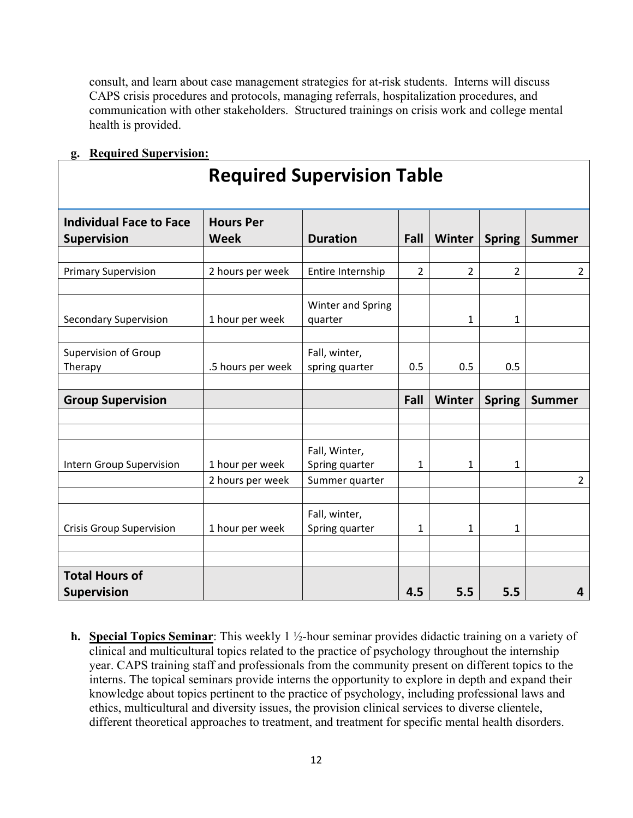consult, and learn about case management strategies for at-risk students. Interns will discuss CAPS crisis procedures and protocols, managing referrals, hospitalization procedures, and communication with other stakeholders. Structured trainings on crisis work and college mental health is provided.

|  |  | g. Required Supervision: |
|--|--|--------------------------|
|  |  |                          |

| <b>Required Supervision Table</b>                    |                                 |                                 |                |        |                |                |  |
|------------------------------------------------------|---------------------------------|---------------------------------|----------------|--------|----------------|----------------|--|
| <b>Individual Face to Face</b><br><b>Supervision</b> | <b>Hours Per</b><br><b>Week</b> | <b>Duration</b>                 | Fall           | Winter | <b>Spring</b>  | <b>Summer</b>  |  |
| <b>Primary Supervision</b>                           | 2 hours per week                | Entire Internship               | $\overline{2}$ | 2      | $\overline{2}$ | $\overline{2}$ |  |
| <b>Secondary Supervision</b>                         | 1 hour per week                 | Winter and Spring<br>quarter    |                | 1      | $\mathbf{1}$   |                |  |
| <b>Supervision of Group</b><br>Therapy               | .5 hours per week               | Fall, winter,<br>spring quarter | 0.5            | 0.5    | 0.5            |                |  |
| <b>Group Supervision</b>                             |                                 |                                 | Fall           | Winter | <b>Spring</b>  | <b>Summer</b>  |  |
|                                                      |                                 |                                 |                |        |                |                |  |
| <b>Intern Group Supervision</b>                      | 1 hour per week                 | Fall, Winter,<br>Spring quarter | 1              | 1      | 1              |                |  |
|                                                      | 2 hours per week                | Summer quarter                  |                |        |                | $\overline{2}$ |  |
| <b>Crisis Group Supervision</b>                      | 1 hour per week                 | Fall, winter,<br>Spring quarter | 1              | 1      | 1              |                |  |
| <b>Total Hours of</b><br><b>Supervision</b>          |                                 |                                 | 4.5            | 5.5    | 5.5            | 4              |  |

**h. Special Topics Seminar**: This weekly 1 ½-hour seminar provides didactic training on a variety of clinical and multicultural topics related to the practice of psychology throughout the internship year. CAPS training staff and professionals from the community present on different topics to the interns. The topical seminars provide interns the opportunity to explore in depth and expand their knowledge about topics pertinent to the practice of psychology, including professional laws and ethics, multicultural and diversity issues, the provision clinical services to diverse clientele, different theoretical approaches to treatment, and treatment for specific mental health disorders.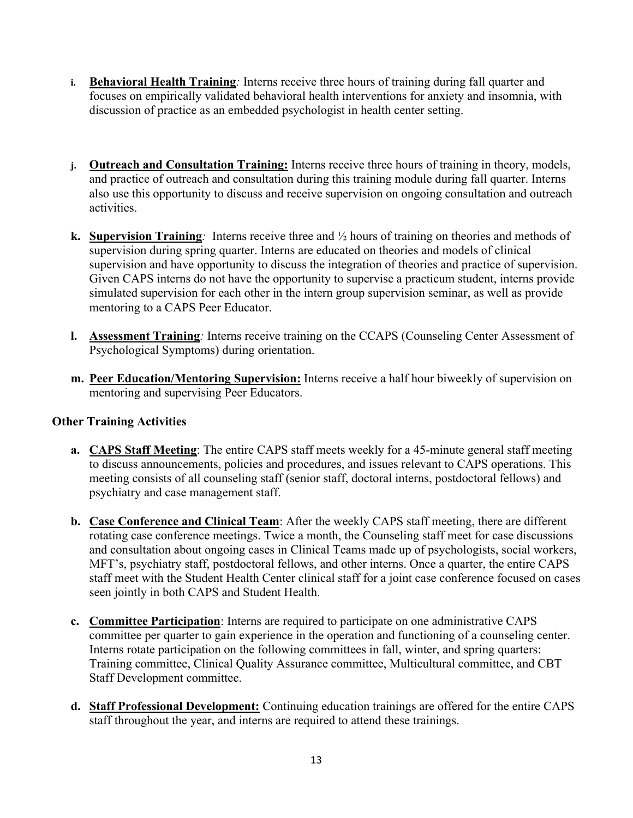- **i. Behavioral Health Training***:* Interns receive three hours of training during fall quarter and focuses on empirically validated behavioral health interventions for anxiety and insomnia, with discussion of practice as an embedded psychologist in health center setting.
- **j. Outreach and Consultation Training:** Interns receive three hours of training in theory, models, and practice of outreach and consultation during this training module during fall quarter. Interns also use this opportunity to discuss and receive supervision on ongoing consultation and outreach activities.
- **k. Supervision Training***:* Interns receive three and ½ hours of training on theories and methods of supervision during spring quarter. Interns are educated on theories and models of clinical supervision and have opportunity to discuss the integration of theories and practice of supervision. Given CAPS interns do not have the opportunity to supervise a practicum student, interns provide simulated supervision for each other in the intern group supervision seminar, as well as provide mentoring to a CAPS Peer Educator.
- **l. Assessment Training***:* Interns receive training on the CCAPS (Counseling Center Assessment of Psychological Symptoms) during orientation.
- **m. Peer Education/Mentoring Supervision:** Interns receive a half hour biweekly of supervision on mentoring and supervising Peer Educators.

### **Other Training Activities**

- **a. CAPS Staff Meeting**: The entire CAPS staff meets weekly for a 45-minute general staff meeting to discuss announcements, policies and procedures, and issues relevant to CAPS operations. This meeting consists of all counseling staff (senior staff, doctoral interns, postdoctoral fellows) and psychiatry and case management staff.
- **b. Case Conference and Clinical Team**: After the weekly CAPS staff meeting, there are different rotating case conference meetings. Twice a month, the Counseling staff meet for case discussions and consultation about ongoing cases in Clinical Teams made up of psychologists, social workers, MFT's, psychiatry staff, postdoctoral fellows, and other interns. Once a quarter, the entire CAPS staff meet with the Student Health Center clinical staff for a joint case conference focused on cases seen jointly in both CAPS and Student Health.
- **c. Committee Participation**: Interns are required to participate on one administrative CAPS committee per quarter to gain experience in the operation and functioning of a counseling center. Interns rotate participation on the following committees in fall, winter, and spring quarters: Training committee, Clinical Quality Assurance committee, Multicultural committee, and CBT Staff Development committee.
- **d. Staff Professional Development:** Continuing education trainings are offered for the entire CAPS staff throughout the year, and interns are required to attend these trainings.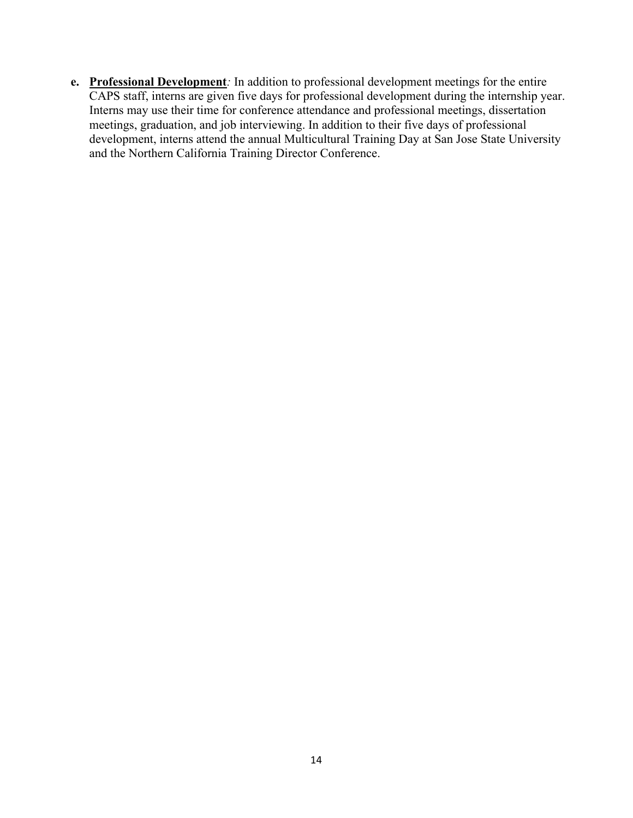**e. Professional Development***:* In addition to professional development meetings for the entire CAPS staff, interns are given five days for professional development during the internship year. Interns may use their time for conference attendance and professional meetings, dissertation meetings, graduation, and job interviewing. In addition to their five days of professional development, interns attend the annual Multicultural Training Day at San Jose State University and the Northern California Training Director Conference.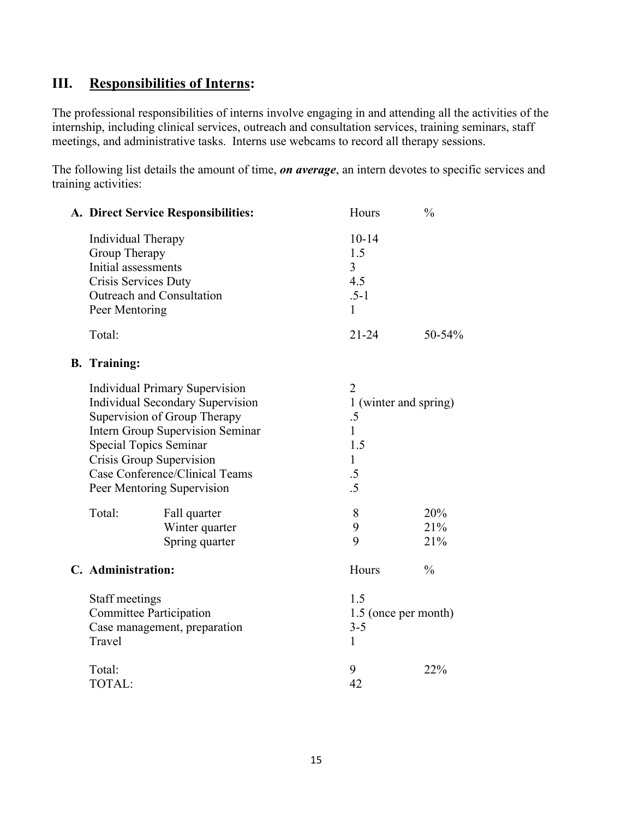## **III. Responsibilities of Interns:**

The professional responsibilities of interns involve engaging in and attending all the activities of the internship, including clinical services, outreach and consultation services, training seminars, staff meetings, and administrative tasks. Interns use webcams to record all therapy sessions.

The following list details the amount of time, *on average*, an intern devotes to specific services and training activities:

| A. Direct Service Responsibilities: | <b>Hours</b> | $\frac{0}{0}$ |
|-------------------------------------|--------------|---------------|
| Individual Therapy                  | $10-14$      |               |
| Group Therapy                       | 1.5          |               |
| Initial assessments                 | 3            |               |
| Crisis Services Duty                | 4.5          |               |
| Outreach and Consultation           | $.5 - 1$     |               |
| Peer Mentoring                      |              |               |
| Total:                              | 21-24        | $50 - 54\%$   |

#### **B. Training:**

|                                                                                                                    |                | 2<br>1 (winter and spring)<br>.5<br>1                                                                                                                                                        |                |   |        |              |
|--------------------------------------------------------------------------------------------------------------------|----------------|----------------------------------------------------------------------------------------------------------------------------------------------------------------------------------------------|----------------|---|--------|--------------|
|                                                                                                                    |                |                                                                                                                                                                                              |                |   |        |              |
|                                                                                                                    |                |                                                                                                                                                                                              |                |   |        |              |
|                                                                                                                    |                |                                                                                                                                                                                              |                |   |        |              |
| Special Topics Seminar<br>Crisis Group Supervision<br>Case Conference/Clinical Teams<br>Peer Mentoring Supervision |                | 1.5<br>1<br>.5                                                                                                                                                                               |                |   |        |              |
|                                                                                                                    |                |                                                                                                                                                                                              |                |   | .5     |              |
|                                                                                                                    |                |                                                                                                                                                                                              |                |   | Total: | Fall quarter |
|                                                                                                                    |                |                                                                                                                                                                                              | Winter quarter | 9 | 21%    |              |
|                                                                                                                    | Spring quarter | 9                                                                                                                                                                                            | 21%            |   |        |              |
|                                                                                                                    |                | Hours                                                                                                                                                                                        | $\frac{0}{0}$  |   |        |              |
|                                                                                                                    |                | 1.5                                                                                                                                                                                          |                |   |        |              |
| <b>Committee Participation</b><br>Case management, preparation                                                     |                | 1.5 (once per month)                                                                                                                                                                         |                |   |        |              |
|                                                                                                                    |                | $3 - 5$                                                                                                                                                                                      |                |   |        |              |
| Travel                                                                                                             |                |                                                                                                                                                                                              |                |   |        |              |
| Total:                                                                                                             |                | 9                                                                                                                                                                                            | 22%            |   |        |              |
| TOTAL:                                                                                                             |                | 42                                                                                                                                                                                           |                |   |        |              |
|                                                                                                                    |                | <b>Individual Primary Supervision</b><br>Individual Secondary Supervision<br>Supervision of Group Therapy<br><b>Intern Group Supervision Seminar</b><br>C. Administration:<br>Staff meetings |                |   |        |              |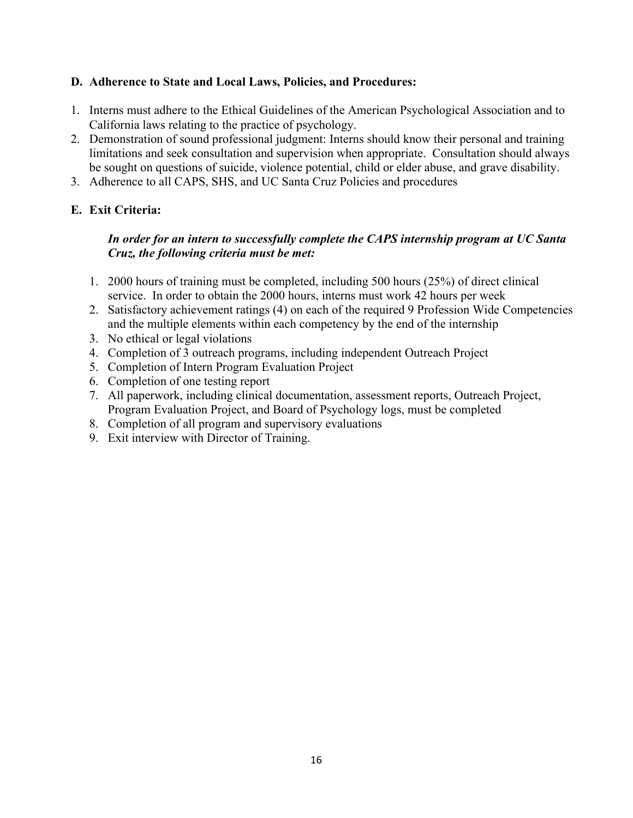### **D. Adherence to State and Local Laws, Policies, and Procedures:**

- 1. Interns must adhere to the Ethical Guidelines of the American Psychological Association and to California laws relating to the practice of psychology.
- 2. Demonstration of sound professional judgment: Interns should know their personal and training limitations and seek consultation and supervision when appropriate. Consultation should always be sought on questions of suicide, violence potential, child or elder abuse, and grave disability.
- 3. Adherence to all CAPS, SHS, and UC Santa Cruz Policies and procedures

### **E. Exit Criteria:**

### *In order for an intern to successfully complete the CAPS internship program at UC Santa Cruz, the following criteria must be met:*

- 1. 2000 hours of training must be completed, including 500 hours (25%) of direct clinical service. In order to obtain the 2000 hours, interns must work 42 hours per week
- 2. Satisfactory achievement ratings (4) on each of the required 9 Profession Wide Competencies and the multiple elements within each competency by the end of the internship
- 3. No ethical or legal violations
- 4. Completion of 3 outreach programs, including independent Outreach Project
- 5. Completion of Intern Program Evaluation Project
- 6. Completion of one testing report
- 7. All paperwork, including clinical documentation, assessment reports, Outreach Project, Program Evaluation Project, and Board of Psychology logs, must be completed
- 8. Completion of all program and supervisory evaluations
- 9. Exit interview with Director of Training.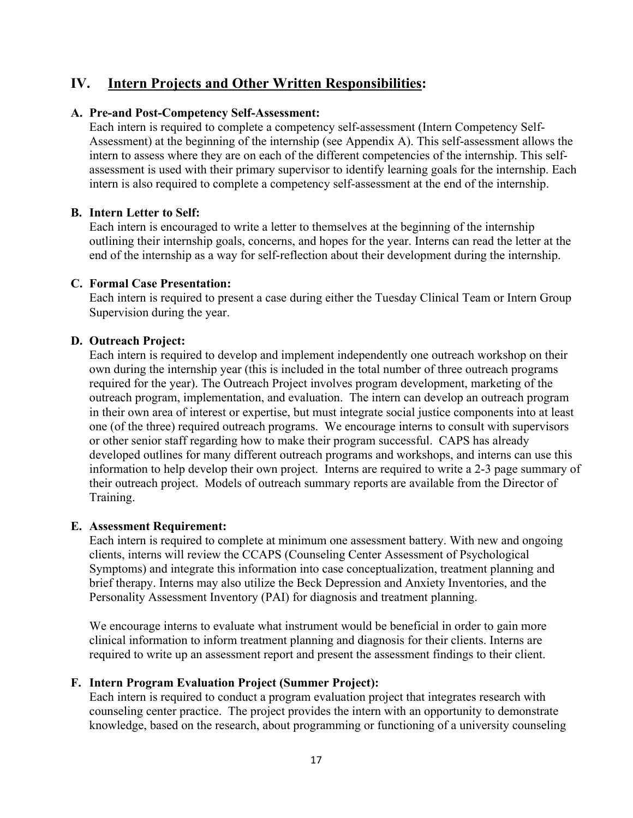## **IV. Intern Projects and Other Written Responsibilities:**

#### **A. Pre-and Post-Competency Self-Assessment:**

Each intern is required to complete a competency self-assessment (Intern Competency Self-Assessment) at the beginning of the internship (see Appendix A). This self-assessment allows the intern to assess where they are on each of the different competencies of the internship. This selfassessment is used with their primary supervisor to identify learning goals for the internship. Each intern is also required to complete a competency self-assessment at the end of the internship.

#### **B. Intern Letter to Self:**

Each intern is encouraged to write a letter to themselves at the beginning of the internship outlining their internship goals, concerns, and hopes for the year. Interns can read the letter at the end of the internship as a way for self-reflection about their development during the internship.

#### **C. Formal Case Presentation:**

Each intern is required to present a case during either the Tuesday Clinical Team or Intern Group Supervision during the year.

### **D. Outreach Project:**

Each intern is required to develop and implement independently one outreach workshop on their own during the internship year (this is included in the total number of three outreach programs required for the year). The Outreach Project involves program development, marketing of the outreach program, implementation, and evaluation. The intern can develop an outreach program in their own area of interest or expertise, but must integrate social justice components into at least one (of the three) required outreach programs. We encourage interns to consult with supervisors or other senior staff regarding how to make their program successful. CAPS has already developed outlines for many different outreach programs and workshops, and interns can use this information to help develop their own project. Interns are required to write a 2-3 page summary of their outreach project. Models of outreach summary reports are available from the Director of Training.

#### **E. Assessment Requirement:**

Each intern is required to complete at minimum one assessment battery. With new and ongoing clients, interns will review the CCAPS (Counseling Center Assessment of Psychological Symptoms) and integrate this information into case conceptualization, treatment planning and brief therapy. Interns may also utilize the Beck Depression and Anxiety Inventories, and the Personality Assessment Inventory (PAI) for diagnosis and treatment planning.

We encourage interns to evaluate what instrument would be beneficial in order to gain more clinical information to inform treatment planning and diagnosis for their clients. Interns are required to write up an assessment report and present the assessment findings to their client.

#### **F. Intern Program Evaluation Project (Summer Project):**

Each intern is required to conduct a program evaluation project that integrates research with counseling center practice. The project provides the intern with an opportunity to demonstrate knowledge, based on the research, about programming or functioning of a university counseling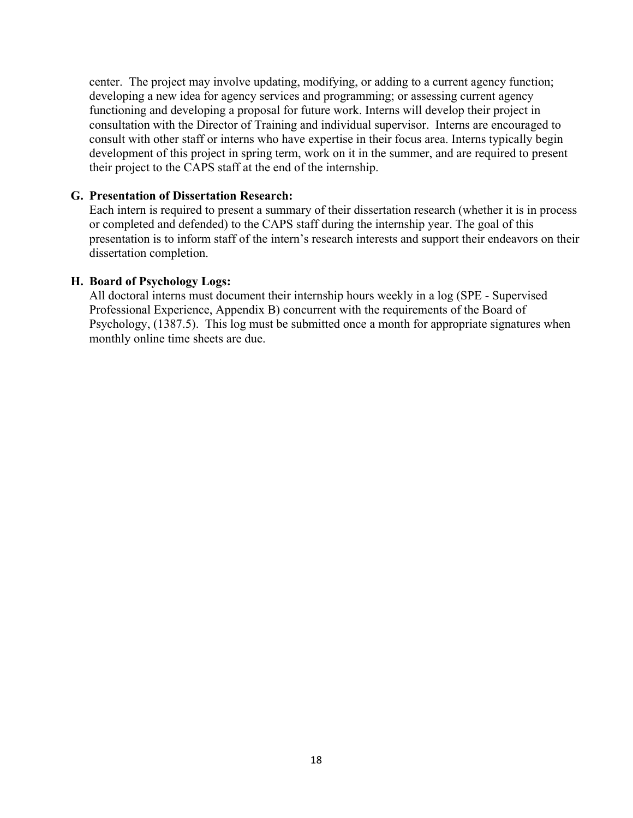center. The project may involve updating, modifying, or adding to a current agency function; developing a new idea for agency services and programming; or assessing current agency functioning and developing a proposal for future work. Interns will develop their project in consultation with the Director of Training and individual supervisor. Interns are encouraged to consult with other staff or interns who have expertise in their focus area. Interns typically begin development of this project in spring term, work on it in the summer, and are required to present their project to the CAPS staff at the end of the internship.

#### **G. Presentation of Dissertation Research:**

Each intern is required to present a summary of their dissertation research (whether it is in process or completed and defended) to the CAPS staff during the internship year. The goal of this presentation is to inform staff of the intern's research interests and support their endeavors on their dissertation completion.

#### **H. Board of Psychology Logs:**

All doctoral interns must document their internship hours weekly in a log (SPE - Supervised Professional Experience, Appendix B) concurrent with the requirements of the Board of Psychology, (1387.5). This log must be submitted once a month for appropriate signatures when monthly online time sheets are due.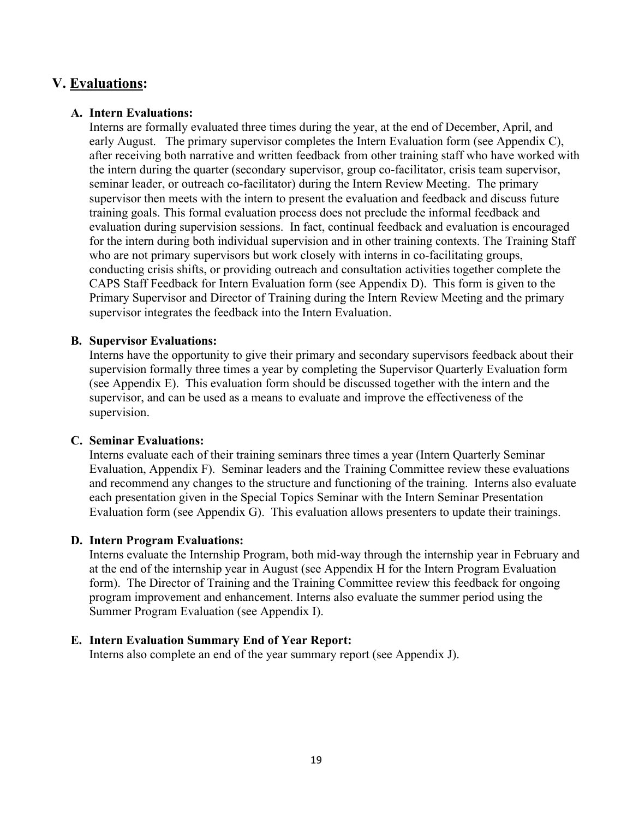### **V. Evaluations:**

### **A. Intern Evaluations:**

Interns are formally evaluated three times during the year, at the end of December, April, and early August. The primary supervisor completes the Intern Evaluation form (see Appendix C), after receiving both narrative and written feedback from other training staff who have worked with the intern during the quarter (secondary supervisor, group co-facilitator, crisis team supervisor, seminar leader, or outreach co-facilitator) during the Intern Review Meeting. The primary supervisor then meets with the intern to present the evaluation and feedback and discuss future training goals. This formal evaluation process does not preclude the informal feedback and evaluation during supervision sessions. In fact, continual feedback and evaluation is encouraged for the intern during both individual supervision and in other training contexts. The Training Staff who are not primary supervisors but work closely with interns in co-facilitating groups, conducting crisis shifts, or providing outreach and consultation activities together complete the CAPS Staff Feedback for Intern Evaluation form (see Appendix D). This form is given to the Primary Supervisor and Director of Training during the Intern Review Meeting and the primary supervisor integrates the feedback into the Intern Evaluation.

### **B. Supervisor Evaluations:**

Interns have the opportunity to give their primary and secondary supervisors feedback about their supervision formally three times a year by completing the Supervisor Quarterly Evaluation form (see Appendix E). This evaluation form should be discussed together with the intern and the supervisor, and can be used as a means to evaluate and improve the effectiveness of the supervision.

#### **C. Seminar Evaluations:**

Interns evaluate each of their training seminars three times a year (Intern Quarterly Seminar Evaluation, Appendix F). Seminar leaders and the Training Committee review these evaluations and recommend any changes to the structure and functioning of the training. Interns also evaluate each presentation given in the Special Topics Seminar with the Intern Seminar Presentation Evaluation form (see Appendix G). This evaluation allows presenters to update their trainings.

#### **D. Intern Program Evaluations:**

Interns evaluate the Internship Program, both mid-way through the internship year in February and at the end of the internship year in August (see Appendix H for the Intern Program Evaluation form). The Director of Training and the Training Committee review this feedback for ongoing program improvement and enhancement. Interns also evaluate the summer period using the Summer Program Evaluation (see Appendix I).

#### **E. Intern Evaluation Summary End of Year Report:**

Interns also complete an end of the year summary report (see Appendix J).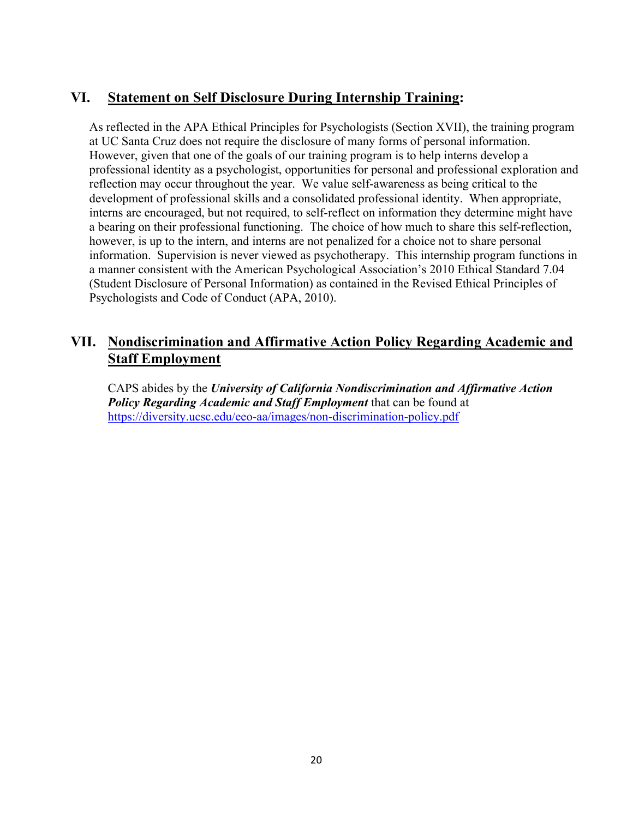## **VI. Statement on Self Disclosure During Internship Training:**

As reflected in the APA Ethical Principles for Psychologists (Section XVII), the training program at UC Santa Cruz does not require the disclosure of many forms of personal information. However, given that one of the goals of our training program is to help interns develop a professional identity as a psychologist, opportunities for personal and professional exploration and reflection may occur throughout the year. We value self-awareness as being critical to the development of professional skills and a consolidated professional identity. When appropriate, interns are encouraged, but not required, to self-reflect on information they determine might have a bearing on their professional functioning. The choice of how much to share this self-reflection, however, is up to the intern, and interns are not penalized for a choice not to share personal information. Supervision is never viewed as psychotherapy. This internship program functions in a manner consistent with the American Psychological Association's 2010 Ethical Standard 7.04 (Student Disclosure of Personal Information) as contained in the Revised Ethical Principles of Psychologists and Code of Conduct (APA, 2010).

## **VII. Nondiscrimination and Affirmative Action Policy Regarding Academic and Staff Employment**

CAPS abides by the *University of California Nondiscrimination and Affirmative Action Policy Regarding Academic and Staff Employment* that can be found at <https://diversity.ucsc.edu/eeo-aa/images/non-discrimination-policy.pdf>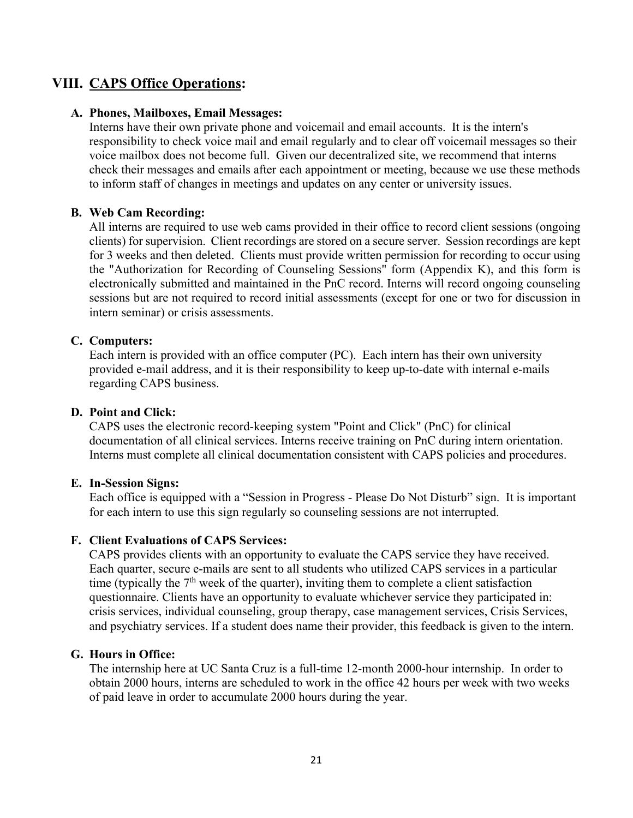## **VIII. CAPS Office Operations:**

#### **A. Phones, Mailboxes, Email Messages:**

Interns have their own private phone and voicemail and email accounts. It is the intern's responsibility to check voice mail and email regularly and to clear off voicemail messages so their voice mailbox does not become full. Given our decentralized site, we recommend that interns check their messages and emails after each appointment or meeting, because we use these methods to inform staff of changes in meetings and updates on any center or university issues.

#### **B. Web Cam Recording:**

All interns are required to use web cams provided in their office to record client sessions (ongoing clients) for supervision. Client recordings are stored on a secure server. Session recordings are kept for 3 weeks and then deleted. Clients must provide written permission for recording to occur using the "Authorization for Recording of Counseling Sessions" form (Appendix K), and this form is electronically submitted and maintained in the PnC record. Interns will record ongoing counseling sessions but are not required to record initial assessments (except for one or two for discussion in intern seminar) or crisis assessments.

#### **C. Computers:**

Each intern is provided with an office computer (PC). Each intern has their own university provided e-mail address, and it is their responsibility to keep up-to-date with internal e-mails regarding CAPS business.

#### **D. Point and Click:**

CAPS uses the electronic record-keeping system "Point and Click" (PnC) for clinical documentation of all clinical services. Interns receive training on PnC during intern orientation. Interns must complete all clinical documentation consistent with CAPS policies and procedures.

#### **E. In-Session Signs:**

Each office is equipped with a "Session in Progress - Please Do Not Disturb" sign. It is important for each intern to use this sign regularly so counseling sessions are not interrupted.

#### **F. Client Evaluations of CAPS Services:**

CAPS provides clients with an opportunity to evaluate the CAPS service they have received. Each quarter, secure e-mails are sent to all students who utilized CAPS services in a particular time (typically the  $7<sup>th</sup>$  week of the quarter), inviting them to complete a client satisfaction questionnaire. Clients have an opportunity to evaluate whichever service they participated in: crisis services, individual counseling, group therapy, case management services, Crisis Services, and psychiatry services. If a student does name their provider, this feedback is given to the intern.

#### **G. Hours in Office:**

The internship here at UC Santa Cruz is a full-time 12-month 2000-hour internship. In order to obtain 2000 hours, interns are scheduled to work in the office 42 hours per week with two weeks of paid leave in order to accumulate 2000 hours during the year.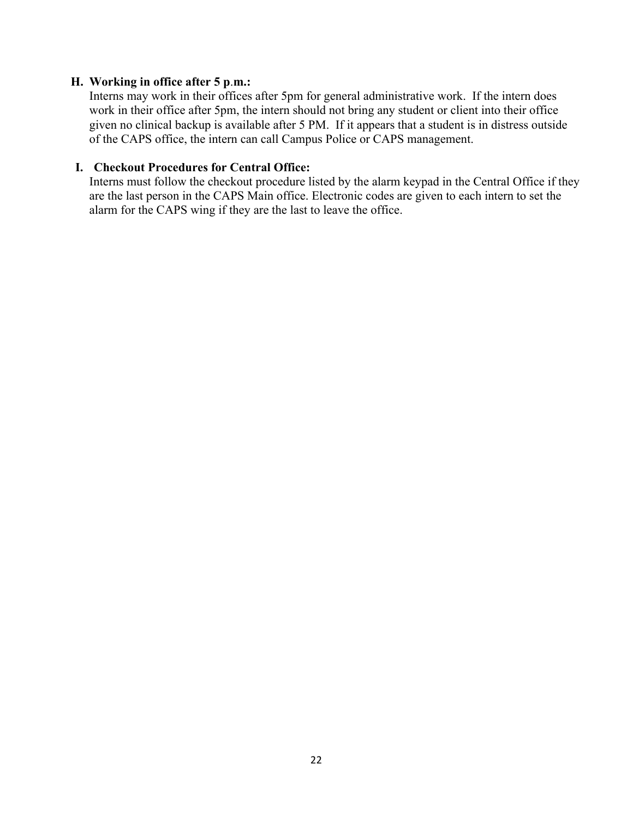#### **H. Working in office after 5 p**.**m.:**

Interns may work in their offices after 5pm for general administrative work. If the intern does work in their office after 5pm, the intern should not bring any student or client into their office given no clinical backup is available after 5 PM. If it appears that a student is in distress outside of the CAPS office, the intern can call Campus Police or CAPS management.

#### **I. Checkout Procedures for Central Office:**

Interns must follow the checkout procedure listed by the alarm keypad in the Central Office if they are the last person in the CAPS Main office. Electronic codes are given to each intern to set the alarm for the CAPS wing if they are the last to leave the office.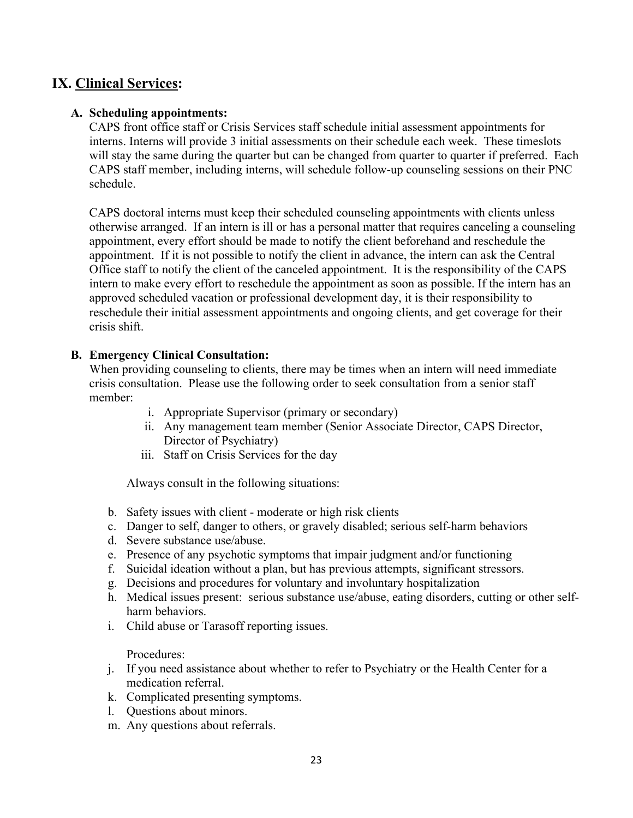## **IX. Clinical Services:**

### **A. Scheduling appointments:**

CAPS front office staff or Crisis Services staff schedule initial assessment appointments for interns. Interns will provide 3 initial assessments on their schedule each week. These timeslots will stay the same during the quarter but can be changed from quarter to quarter if preferred. Each CAPS staff member, including interns, will schedule follow-up counseling sessions on their PNC schedule.

CAPS doctoral interns must keep their scheduled counseling appointments with clients unless otherwise arranged. If an intern is ill or has a personal matter that requires canceling a counseling appointment, every effort should be made to notify the client beforehand and reschedule the appointment. If it is not possible to notify the client in advance, the intern can ask the Central Office staff to notify the client of the canceled appointment. It is the responsibility of the CAPS intern to make every effort to reschedule the appointment as soon as possible. If the intern has an approved scheduled vacation or professional development day, it is their responsibility to reschedule their initial assessment appointments and ongoing clients, and get coverage for their crisis shift.

### **B. Emergency Clinical Consultation:**

When providing counseling to clients, there may be times when an intern will need immediate crisis consultation. Please use the following order to seek consultation from a senior staff member:

- i. Appropriate Supervisor (primary or secondary)
- ii. Any management team member (Senior Associate Director, CAPS Director, Director of Psychiatry)
- iii. Staff on Crisis Services for the day

Always consult in the following situations:

- b. Safety issues with client moderate or high risk clients
- c. Danger to self, danger to others, or gravely disabled; serious self-harm behaviors
- d. Severe substance use/abuse.
- e. Presence of any psychotic symptoms that impair judgment and/or functioning
- f. Suicidal ideation without a plan, but has previous attempts, significant stressors.
- g. Decisions and procedures for voluntary and involuntary hospitalization
- h. Medical issues present: serious substance use/abuse, eating disorders, cutting or other selfharm behaviors.
- i. Child abuse or Tarasoff reporting issues.

Procedures:

- j. If you need assistance about whether to refer to Psychiatry or the Health Center for a medication referral.
- k. Complicated presenting symptoms.
- l. Questions about minors.
- m. Any questions about referrals.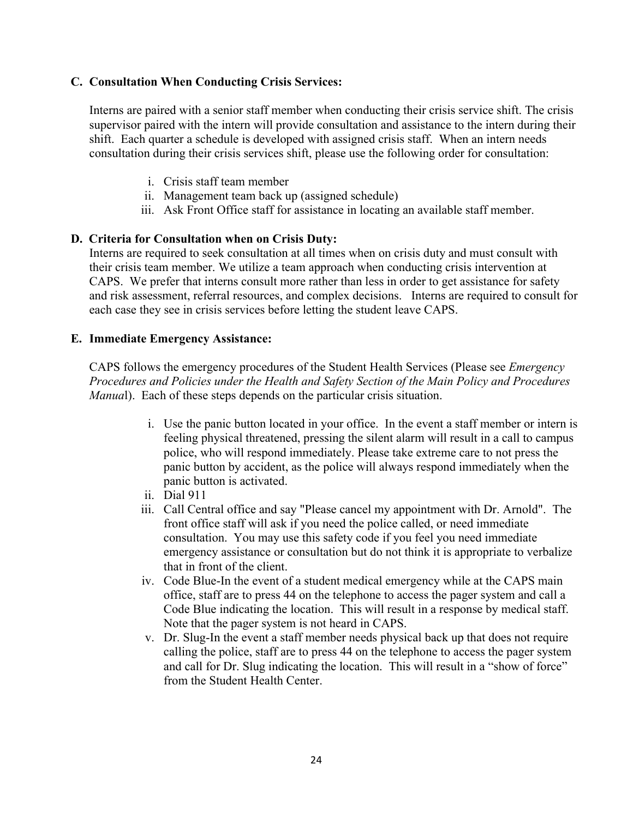### **C. Consultation When Conducting Crisis Services:**

Interns are paired with a senior staff member when conducting their crisis service shift. The crisis supervisor paired with the intern will provide consultation and assistance to the intern during their shift. Each quarter a schedule is developed with assigned crisis staff. When an intern needs consultation during their crisis services shift, please use the following order for consultation:

- i. Crisis staff team member
- ii. Management team back up (assigned schedule)
- iii. Ask Front Office staff for assistance in locating an available staff member.

### **D. Criteria for Consultation when on Crisis Duty:**

Interns are required to seek consultation at all times when on crisis duty and must consult with their crisis team member. We utilize a team approach when conducting crisis intervention at CAPS. We prefer that interns consult more rather than less in order to get assistance for safety and risk assessment, referral resources, and complex decisions. Interns are required to consult for each case they see in crisis services before letting the student leave CAPS.

#### **E. Immediate Emergency Assistance:**

CAPS follows the emergency procedures of the Student Health Services (Please see *Emergency Procedures and Policies under the Health and Safety Section of the Main Policy and Procedures Manual*). Each of these steps depends on the particular crisis situation.

- i. Use the panic button located in your office. In the event a staff member or intern is feeling physical threatened, pressing the silent alarm will result in a call to campus police, who will respond immediately. Please take extreme care to not press the panic button by accident, as the police will always respond immediately when the panic button is activated.
- ii. Dial 911
- iii. Call Central office and say "Please cancel my appointment with Dr. Arnold". The front office staff will ask if you need the police called, or need immediate consultation. You may use this safety code if you feel you need immediate emergency assistance or consultation but do not think it is appropriate to verbalize that in front of the client.
- iv. Code Blue-In the event of a student medical emergency while at the CAPS main office, staff are to press 44 on the telephone to access the pager system and call a Code Blue indicating the location. This will result in a response by medical staff. Note that the pager system is not heard in CAPS.
- v. Dr. Slug-In the event a staff member needs physical back up that does not require calling the police, staff are to press 44 on the telephone to access the pager system and call for Dr. Slug indicating the location. This will result in a "show of force" from the Student Health Center.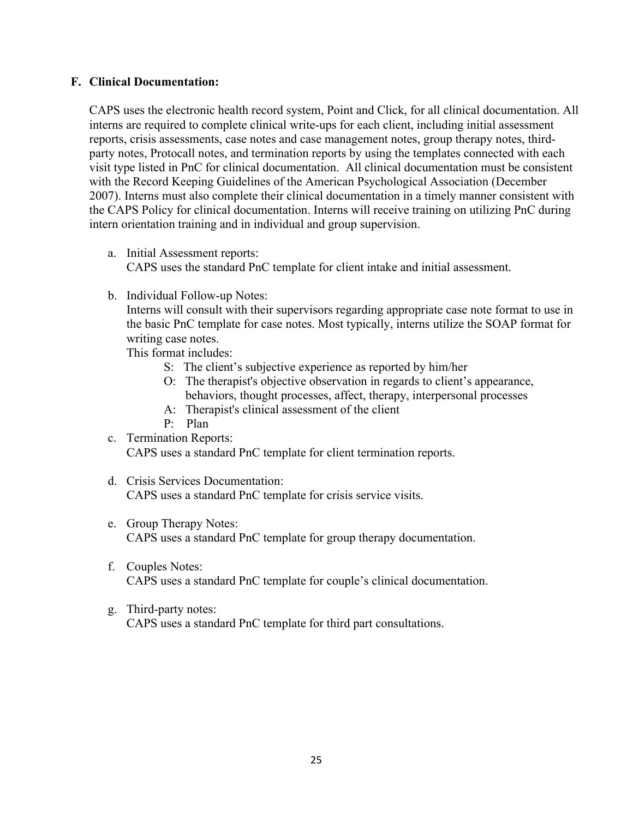#### **F. Clinical Documentation:**

CAPS uses the electronic health record system, Point and Click, for all clinical documentation. All interns are required to complete clinical write-ups for each client, including initial assessment reports, crisis assessments, case notes and case management notes, group therapy notes, thirdparty notes, Protocall notes, and termination reports by using the templates connected with each visit type listed in PnC for clinical documentation. All clinical documentation must be consistent with the Record Keeping Guidelines of the American Psychological Association (December 2007). Interns must also complete their clinical documentation in a timely manner consistent with the CAPS Policy for clinical documentation. Interns will receive training on utilizing PnC during intern orientation training and in individual and group supervision.

- a. Initial Assessment reports: CAPS uses the standard PnC template for client intake and initial assessment.
- b. Individual Follow-up Notes:

Interns will consult with their supervisors regarding appropriate case note format to use in the basic PnC template for case notes. Most typically, interns utilize the SOAP format for writing case notes.

This format includes:

- S: The client's subjective experience as reported by him/her
- O: The therapist's objective observation in regards to client's appearance, behaviors, thought processes, affect, therapy, interpersonal processes
- A: Therapist's clinical assessment of the client
- P: Plan

c. Termination Reports: CAPS uses a standard PnC template for client termination reports.

- d. Crisis Services Documentation: CAPS uses a standard PnC template for crisis service visits.
- e. Group Therapy Notes: CAPS uses a standard PnC template for group therapy documentation.
- f. Couples Notes: CAPS uses a standard PnC template for couple's clinical documentation.
- g. Third-party notes: CAPS uses a standard PnC template for third part consultations.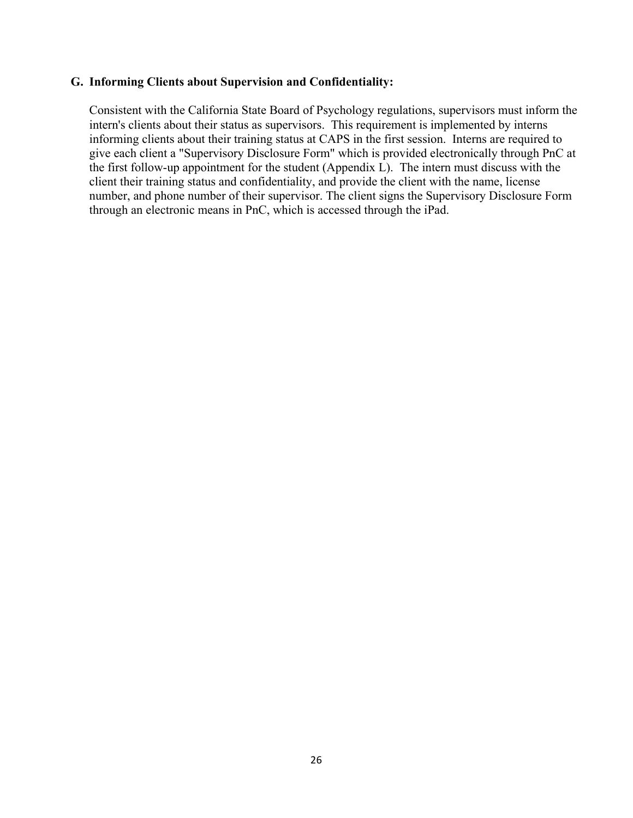#### **G. Informing Clients about Supervision and Confidentiality:**

Consistent with the California State Board of Psychology regulations, supervisors must inform the intern's clients about their status as supervisors. This requirement is implemented by interns informing clients about their training status at CAPS in the first session. Interns are required to give each client a "Supervisory Disclosure Form" which is provided electronically through PnC at the first follow-up appointment for the student (Appendix L). The intern must discuss with the client their training status and confidentiality, and provide the client with the name, license number, and phone number of their supervisor. The client signs the Supervisory Disclosure Form through an electronic means in PnC, which is accessed through the iPad.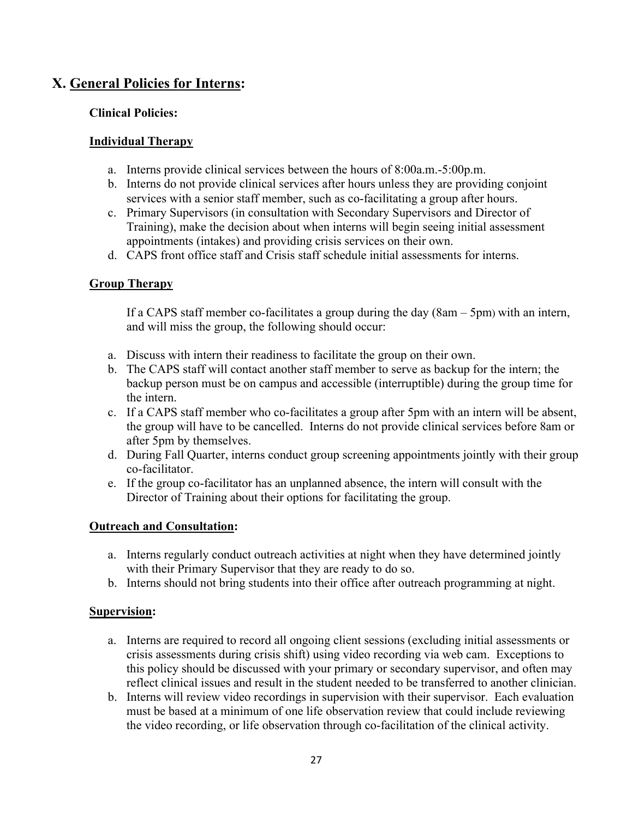## **X. General Policies for Interns:**

### **Clinical Policies:**

### **Individual Therapy**

- a. Interns provide clinical services between the hours of 8:00a.m.-5:00p.m.
- b. Interns do not provide clinical services after hours unless they are providing conjoint services with a senior staff member, such as co-facilitating a group after hours.
- c. Primary Supervisors (in consultation with Secondary Supervisors and Director of Training), make the decision about when interns will begin seeing initial assessment appointments (intakes) and providing crisis services on their own.
- d. CAPS front office staff and Crisis staff schedule initial assessments for interns.

### **Group Therapy**

If a CAPS staff member co-facilitates a group during the day (8am – 5pm) with an intern, and will miss the group, the following should occur:

- a. Discuss with intern their readiness to facilitate the group on their own.
- b. The CAPS staff will contact another staff member to serve as backup for the intern; the backup person must be on campus and accessible (interruptible) during the group time for the intern.
- c. If a CAPS staff member who co-facilitates a group after 5pm with an intern will be absent, the group will have to be cancelled. Interns do not provide clinical services before 8am or after 5pm by themselves.
- d. During Fall Quarter, interns conduct group screening appointments jointly with their group co-facilitator.
- e. If the group co-facilitator has an unplanned absence, the intern will consult with the Director of Training about their options for facilitating the group.

### **Outreach and Consultation:**

- a. Interns regularly conduct outreach activities at night when they have determined jointly with their Primary Supervisor that they are ready to do so.
- b. Interns should not bring students into their office after outreach programming at night.

#### **Supervision:**

- a. Interns are required to record all ongoing client sessions (excluding initial assessments or crisis assessments during crisis shift) using video recording via web cam. Exceptions to this policy should be discussed with your primary or secondary supervisor, and often may reflect clinical issues and result in the student needed to be transferred to another clinician.
- b. Interns will review video recordings in supervision with their supervisor. Each evaluation must be based at a minimum of one life observation review that could include reviewing the video recording, or life observation through co-facilitation of the clinical activity.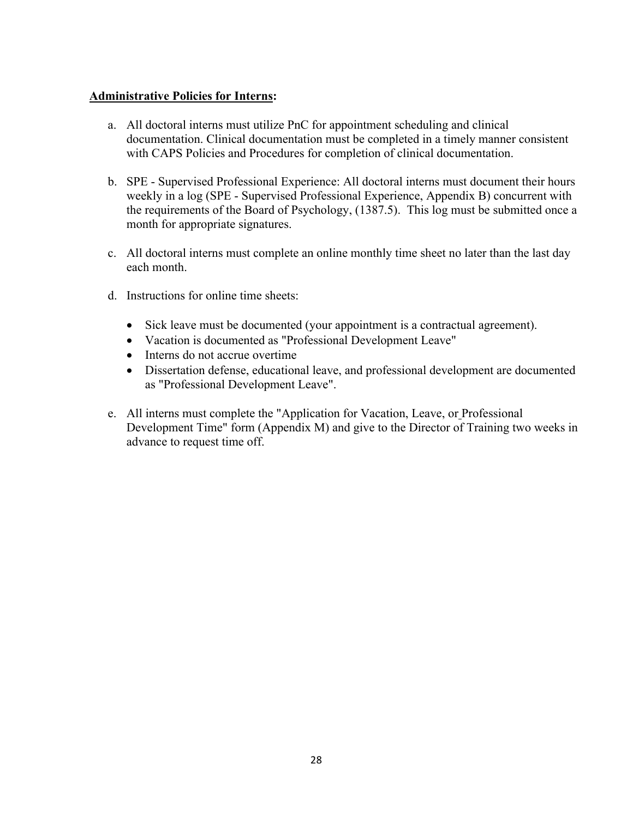### **Administrative Policies for Interns:**

- a. All doctoral interns must utilize PnC for appointment scheduling and clinical documentation. Clinical documentation must be completed in a timely manner consistent with CAPS Policies and Procedures for completion of clinical documentation.
- b. SPE Supervised Professional Experience: All doctoral interns must document their hours weekly in a log (SPE - Supervised Professional Experience, Appendix B) concurrent with the requirements of the Board of Psychology, (1387.5). This log must be submitted once a month for appropriate signatures.
- c. All doctoral interns must complete an online monthly time sheet no later than the last day each month.
- d. Instructions for online time sheets:
	- Sick leave must be documented (your appointment is a contractual agreement).
	- Vacation is documented as "Professional Development Leave"
	- Interns do not accrue overtime
	- Dissertation defense, educational leave, and professional development are documented as "Professional Development Leave".
- e. All interns must complete the "Application for Vacation, Leave, or Professional Development Time" form (Appendix M) and give to the Director of Training two weeks in advance to request time off.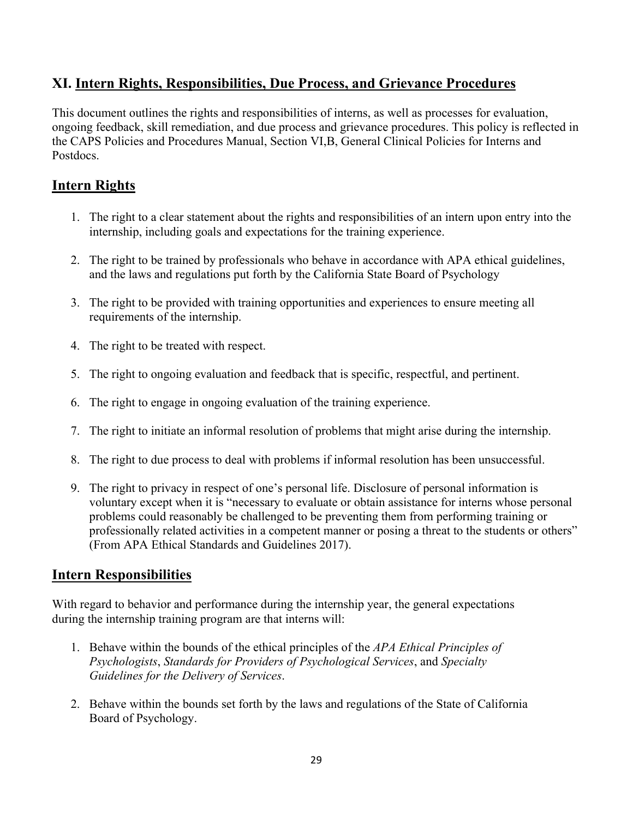## **XI. Intern Rights, Responsibilities, Due Process, and Grievance Procedures**

This document outlines the rights and responsibilities of interns, as well as processes for evaluation, ongoing feedback, skill remediation, and due process and grievance procedures. This policy is reflected in the CAPS Policies and Procedures Manual, Section VI,B, General Clinical Policies for Interns and Postdocs.

## **Intern Rights**

- 1. The right to a clear statement about the rights and responsibilities of an intern upon entry into the internship, including goals and expectations for the training experience.
- 2. The right to be trained by professionals who behave in accordance with APA ethical guidelines, and the laws and regulations put forth by the California State Board of Psychology
- 3. The right to be provided with training opportunities and experiences to ensure meeting all requirements of the internship.
- 4. The right to be treated with respect.
- 5. The right to ongoing evaluation and feedback that is specific, respectful, and pertinent.
- 6. The right to engage in ongoing evaluation of the training experience.
- 7. The right to initiate an informal resolution of problems that might arise during the internship.
- 8. The right to due process to deal with problems if informal resolution has been unsuccessful.
- 9. The right to privacy in respect of one's personal life. Disclosure of personal information is voluntary except when it is "necessary to evaluate or obtain assistance for interns whose personal problems could reasonably be challenged to be preventing them from performing training or professionally related activities in a competent manner or posing a threat to the students or others" (From APA Ethical Standards and Guidelines 2017).

## **Intern Responsibilities**

With regard to behavior and performance during the internship year, the general expectations during the internship training program are that interns will:

- 1. Behave within the bounds of the ethical principles of the *APA Ethical Principles of Psychologists*, *Standards for Providers of Psychological Services*, and *Specialty Guidelines for the Delivery of Services*.
- 2. Behave within the bounds set forth by the laws and regulations of the State of California Board of Psychology.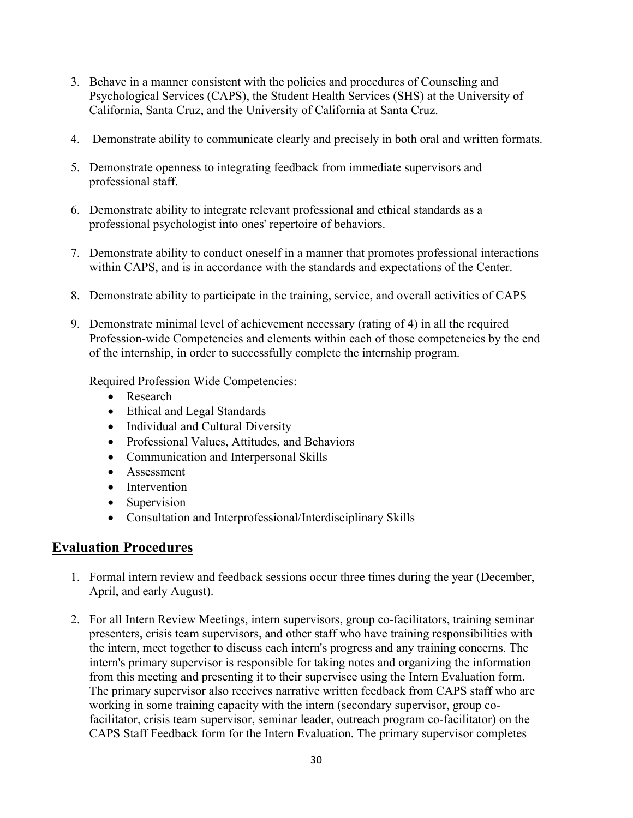- 3. Behave in a manner consistent with the policies and procedures of Counseling and Psychological Services (CAPS), the Student Health Services (SHS) at the University of California, Santa Cruz, and the University of California at Santa Cruz.
- 4. Demonstrate ability to communicate clearly and precisely in both oral and written formats.
- 5. Demonstrate openness to integrating feedback from immediate supervisors and professional staff.
- 6. Demonstrate ability to integrate relevant professional and ethical standards as a professional psychologist into ones' repertoire of behaviors.
- 7. Demonstrate ability to conduct oneself in a manner that promotes professional interactions within CAPS, and is in accordance with the standards and expectations of the Center.
- 8. Demonstrate ability to participate in the training, service, and overall activities of CAPS
- 9. Demonstrate minimal level of achievement necessary (rating of 4) in all the required Profession-wide Competencies and elements within each of those competencies by the end of the internship, in order to successfully complete the internship program.

Required Profession Wide Competencies:

- Research
- Ethical and Legal Standards
- Individual and Cultural Diversity
- Professional Values, Attitudes, and Behaviors
- Communication and Interpersonal Skills
- Assessment
- Intervention
- Supervision
- Consultation and Interprofessional/Interdisciplinary Skills

## **Evaluation Procedures**

- 1. Formal intern review and feedback sessions occur three times during the year (December, April, and early August).
- 2. For all Intern Review Meetings, intern supervisors, group co-facilitators, training seminar presenters, crisis team supervisors, and other staff who have training responsibilities with the intern, meet together to discuss each intern's progress and any training concerns. The intern's primary supervisor is responsible for taking notes and organizing the information from this meeting and presenting it to their supervisee using the Intern Evaluation form. The primary supervisor also receives narrative written feedback from CAPS staff who are working in some training capacity with the intern (secondary supervisor, group cofacilitator, crisis team supervisor, seminar leader, outreach program co-facilitator) on the CAPS Staff Feedback form for the Intern Evaluation. The primary supervisor completes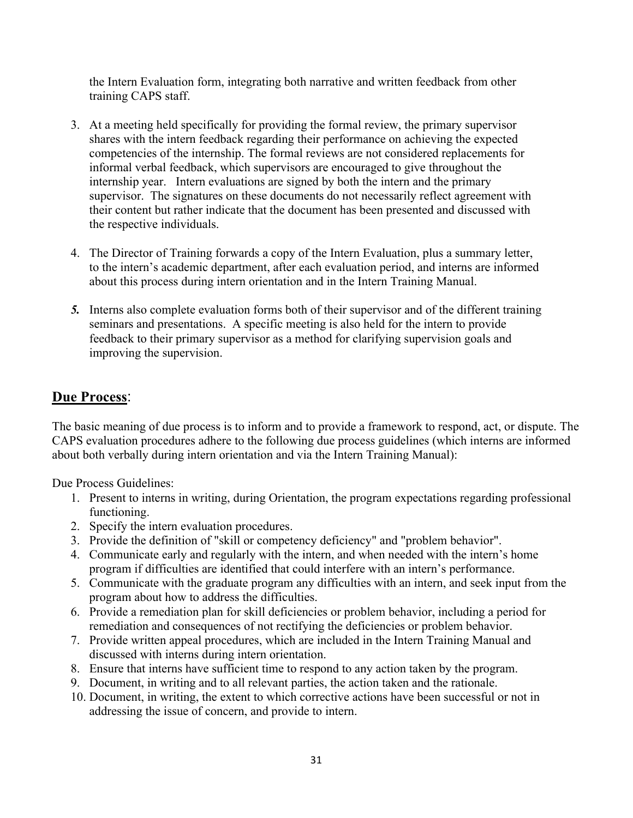the Intern Evaluation form, integrating both narrative and written feedback from other training CAPS staff.

- 3. At a meeting held specifically for providing the formal review, the primary supervisor shares with the intern feedback regarding their performance on achieving the expected competencies of the internship. The formal reviews are not considered replacements for informal verbal feedback, which supervisors are encouraged to give throughout the internship year. Intern evaluations are signed by both the intern and the primary supervisor. The signatures on these documents do not necessarily reflect agreement with their content but rather indicate that the document has been presented and discussed with the respective individuals.
- 4. The Director of Training forwards a copy of the Intern Evaluation, plus a summary letter, to the intern's academic department, after each evaluation period, and interns are informed about this process during intern orientation and in the Intern Training Manual.
- *5.* Interns also complete evaluation forms both of their supervisor and of the different training seminars and presentations. A specific meeting is also held for the intern to provide feedback to their primary supervisor as a method for clarifying supervision goals and improving the supervision.

## **Due Process**:

The basic meaning of due process is to inform and to provide a framework to respond, act, or dispute. The CAPS evaluation procedures adhere to the following due process guidelines (which interns are informed about both verbally during intern orientation and via the Intern Training Manual):

Due Process Guidelines:

- 1. Present to interns in writing, during Orientation, the program expectations regarding professional functioning.
- 2. Specify the intern evaluation procedures.
- 3. Provide the definition of "skill or competency deficiency" and "problem behavior".
- 4. Communicate early and regularly with the intern, and when needed with the intern's home program if difficulties are identified that could interfere with an intern's performance.
- 5. Communicate with the graduate program any difficulties with an intern, and seek input from the program about how to address the difficulties.
- 6. Provide a remediation plan for skill deficiencies or problem behavior, including a period for remediation and consequences of not rectifying the deficiencies or problem behavior.
- 7. Provide written appeal procedures, which are included in the Intern Training Manual and discussed with interns during intern orientation.
- 8. Ensure that interns have sufficient time to respond to any action taken by the program.
- 9. Document, in writing and to all relevant parties, the action taken and the rationale.
- 10. Document, in writing, the extent to which corrective actions have been successful or not in addressing the issue of concern, and provide to intern.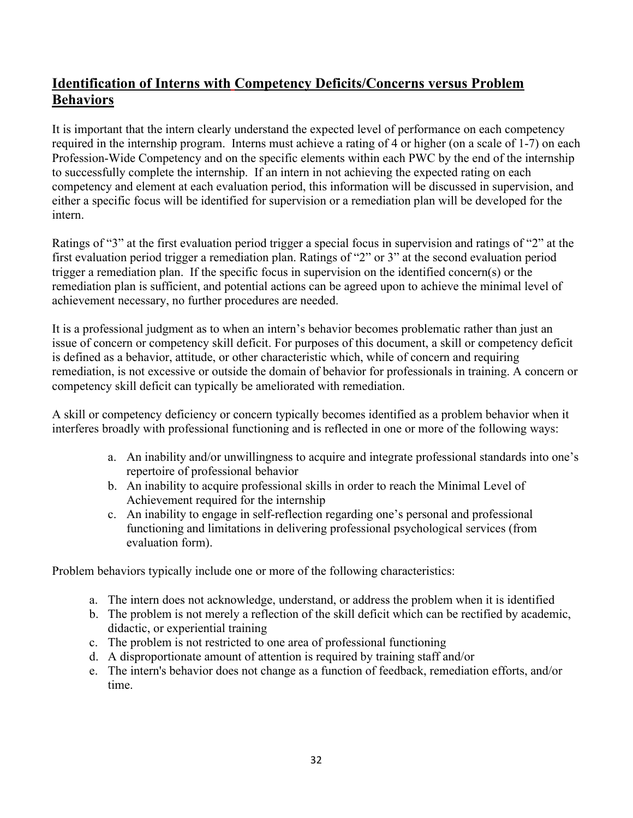## **Identification of Interns with Competency Deficits/Concerns versus Problem Behaviors**

It is important that the intern clearly understand the expected level of performance on each competency required in the internship program. Interns must achieve a rating of 4 or higher (on a scale of 1-7) on each Profession-Wide Competency and on the specific elements within each PWC by the end of the internship to successfully complete the internship. If an intern in not achieving the expected rating on each competency and element at each evaluation period, this information will be discussed in supervision, and either a specific focus will be identified for supervision or a remediation plan will be developed for the intern.

Ratings of "3" at the first evaluation period trigger a special focus in supervision and ratings of "2" at the first evaluation period trigger a remediation plan. Ratings of "2" or 3" at the second evaluation period trigger a remediation plan. If the specific focus in supervision on the identified concern(s) or the remediation plan is sufficient, and potential actions can be agreed upon to achieve the minimal level of achievement necessary, no further procedures are needed.

It is a professional judgment as to when an intern's behavior becomes problematic rather than just an issue of concern or competency skill deficit. For purposes of this document, a skill or competency deficit is defined as a behavior, attitude, or other characteristic which, while of concern and requiring remediation, is not excessive or outside the domain of behavior for professionals in training. A concern or competency skill deficit can typically be ameliorated with remediation.

A skill or competency deficiency or concern typically becomes identified as a problem behavior when it interferes broadly with professional functioning and is reflected in one or more of the following ways:

- a. An inability and/or unwillingness to acquire and integrate professional standards into one's repertoire of professional behavior
- b. An inability to acquire professional skills in order to reach the Minimal Level of Achievement required for the internship
- c. An inability to engage in self-reflection regarding one's personal and professional functioning and limitations in delivering professional psychological services (from evaluation form).

Problem behaviors typically include one or more of the following characteristics:

- a. The intern does not acknowledge, understand, or address the problem when it is identified
- b. The problem is not merely a reflection of the skill deficit which can be rectified by academic, didactic, or experiential training
- c. The problem is not restricted to one area of professional functioning
- d. A disproportionate amount of attention is required by training staff and/or
- e. The intern's behavior does not change as a function of feedback, remediation efforts, and/or time.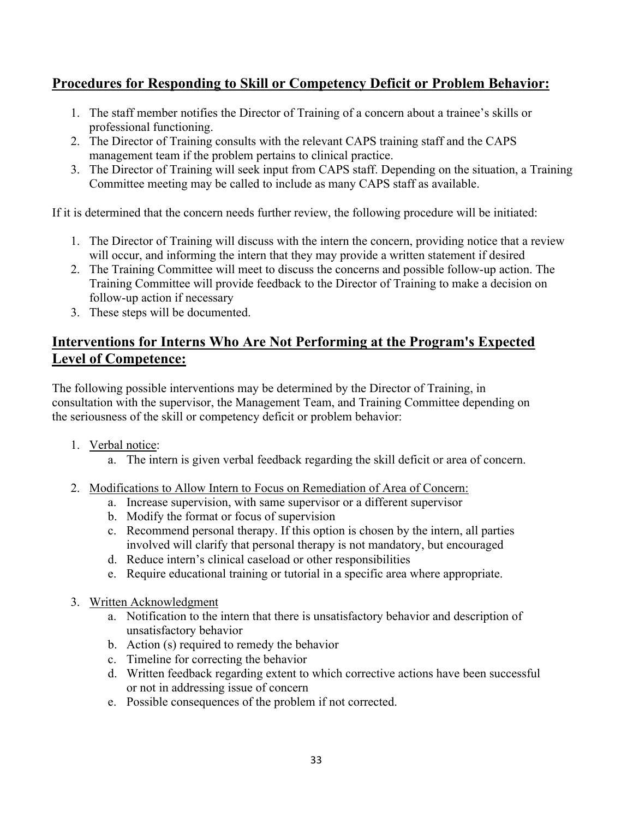## **Procedures for Responding to Skill or Competency Deficit or Problem Behavior:**

- 1. The staff member notifies the Director of Training of a concern about a trainee's skills or professional functioning.
- 2. The Director of Training consults with the relevant CAPS training staff and the CAPS management team if the problem pertains to clinical practice.
- 3. The Director of Training will seek input from CAPS staff. Depending on the situation, a Training Committee meeting may be called to include as many CAPS staff as available.

If it is determined that the concern needs further review, the following procedure will be initiated:

- 1. The Director of Training will discuss with the intern the concern, providing notice that a review will occur, and informing the intern that they may provide a written statement if desired
- 2. The Training Committee will meet to discuss the concerns and possible follow-up action. The Training Committee will provide feedback to the Director of Training to make a decision on follow-up action if necessary
- 3. These steps will be documented.

## **Interventions for Interns Who Are Not Performing at the Program's Expected Level of Competence:**

The following possible interventions may be determined by the Director of Training, in consultation with the supervisor, the Management Team, and Training Committee depending on the seriousness of the skill or competency deficit or problem behavior:

- 1. Verbal notice:
	- a. The intern is given verbal feedback regarding the skill deficit or area of concern.
- 2. Modifications to Allow Intern to Focus on Remediation of Area of Concern:
	- a. Increase supervision, with same supervisor or a different supervisor
	- b. Modify the format or focus of supervision
	- c. Recommend personal therapy. If this option is chosen by the intern, all parties involved will clarify that personal therapy is not mandatory, but encouraged
	- d. Reduce intern's clinical caseload or other responsibilities
	- e. Require educational training or tutorial in a specific area where appropriate.
- 3. Written Acknowledgment
	- a. Notification to the intern that there is unsatisfactory behavior and description of unsatisfactory behavior
	- b. Action (s) required to remedy the behavior
	- c. Timeline for correcting the behavior
	- d. Written feedback regarding extent to which corrective actions have been successful or not in addressing issue of concern
	- e. Possible consequences of the problem if not corrected.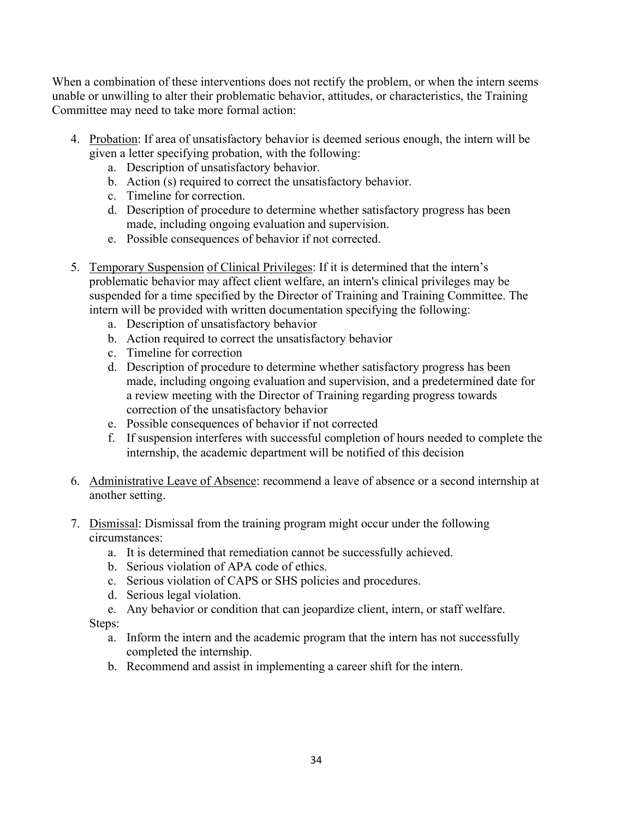When a combination of these interventions does not rectify the problem, or when the intern seems unable or unwilling to alter their problematic behavior, attitudes, or characteristics, the Training Committee may need to take more formal action:

- 4. Probation: If area of unsatisfactory behavior is deemed serious enough, the intern will be given a letter specifying probation, with the following:
	- a. Description of unsatisfactory behavior.
	- b. Action (s) required to correct the unsatisfactory behavior.
	- c. Timeline for correction.
	- d. Description of procedure to determine whether satisfactory progress has been made, including ongoing evaluation and supervision.
	- e. Possible consequences of behavior if not corrected.
- 5. Temporary Suspension of Clinical Privileges: If it is determined that the intern's problematic behavior may affect client welfare, an intern's clinical privileges may be suspended for a time specified by the Director of Training and Training Committee. The intern will be provided with written documentation specifying the following:
	- a. Description of unsatisfactory behavior
	- b. Action required to correct the unsatisfactory behavior
	- c. Timeline for correction
	- d. Description of procedure to determine whether satisfactory progress has been made, including ongoing evaluation and supervision, and a predetermined date for a review meeting with the Director of Training regarding progress towards correction of the unsatisfactory behavior
	- e. Possible consequences of behavior if not corrected
	- f. If suspension interferes with successful completion of hours needed to complete the internship, the academic department will be notified of this decision
- 6. Administrative Leave of Absence: recommend a leave of absence or a second internship at another setting.
- 7. Dismissal: Dismissal from the training program might occur under the following circumstances:
	- a. It is determined that remediation cannot be successfully achieved.
	- b. Serious violation of APA code of ethics.
	- c. Serious violation of CAPS or SHS policies and procedures.
	- d. Serious legal violation.
	- e. Any behavior or condition that can jeopardize client, intern, or staff welfare.

Steps:

- a. Inform the intern and the academic program that the intern has not successfully completed the internship.
- b. Recommend and assist in implementing a career shift for the intern.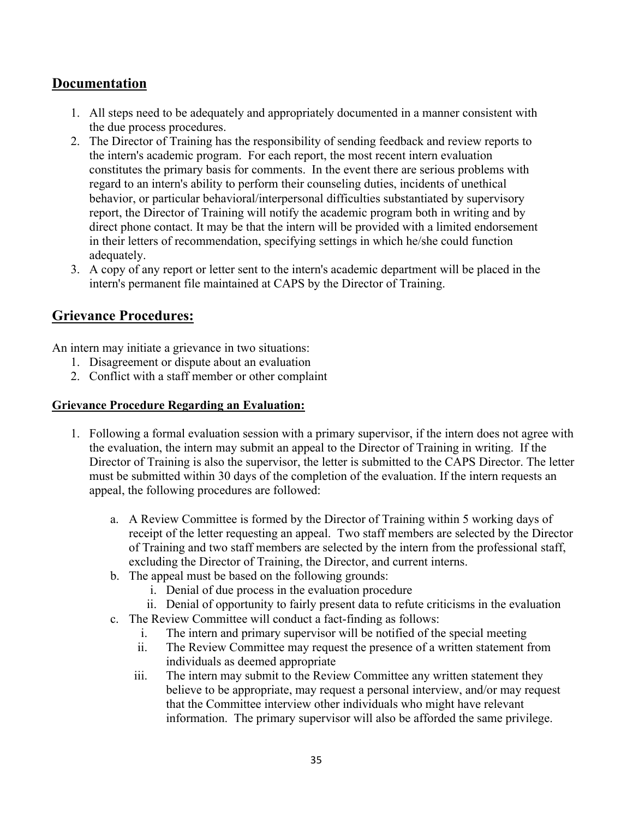## **Documentation**

- 1. All steps need to be adequately and appropriately documented in a manner consistent with the due process procedures.
- 2. The Director of Training has the responsibility of sending feedback and review reports to the intern's academic program. For each report, the most recent intern evaluation constitutes the primary basis for comments. In the event there are serious problems with regard to an intern's ability to perform their counseling duties, incidents of unethical behavior, or particular behavioral/interpersonal difficulties substantiated by supervisory report, the Director of Training will notify the academic program both in writing and by direct phone contact. It may be that the intern will be provided with a limited endorsement in their letters of recommendation, specifying settings in which he/she could function adequately.
- 3. A copy of any report or letter sent to the intern's academic department will be placed in the intern's permanent file maintained at CAPS by the Director of Training.

## **Grievance Procedures:**

An intern may initiate a grievance in two situations:

- 1. Disagreement or dispute about an evaluation
- 2. Conflict with a staff member or other complaint

### **Grievance Procedure Regarding an Evaluation:**

- 1. Following a formal evaluation session with a primary supervisor, if the intern does not agree with the evaluation, the intern may submit an appeal to the Director of Training in writing. If the Director of Training is also the supervisor, the letter is submitted to the CAPS Director. The letter must be submitted within 30 days of the completion of the evaluation. If the intern requests an appeal, the following procedures are followed:
	- a. A Review Committee is formed by the Director of Training within 5 working days of receipt of the letter requesting an appeal. Two staff members are selected by the Director of Training and two staff members are selected by the intern from the professional staff, excluding the Director of Training, the Director, and current interns.
	- b. The appeal must be based on the following grounds:
		- i. Denial of due process in the evaluation procedure
		- ii. Denial of opportunity to fairly present data to refute criticisms in the evaluation
	- c. The Review Committee will conduct a fact-finding as follows:
		- i. The intern and primary supervisor will be notified of the special meeting
		- ii. The Review Committee may request the presence of a written statement from individuals as deemed appropriate
		- iii. The intern may submit to the Review Committee any written statement they believe to be appropriate, may request a personal interview, and/or may request that the Committee interview other individuals who might have relevant information. The primary supervisor will also be afforded the same privilege.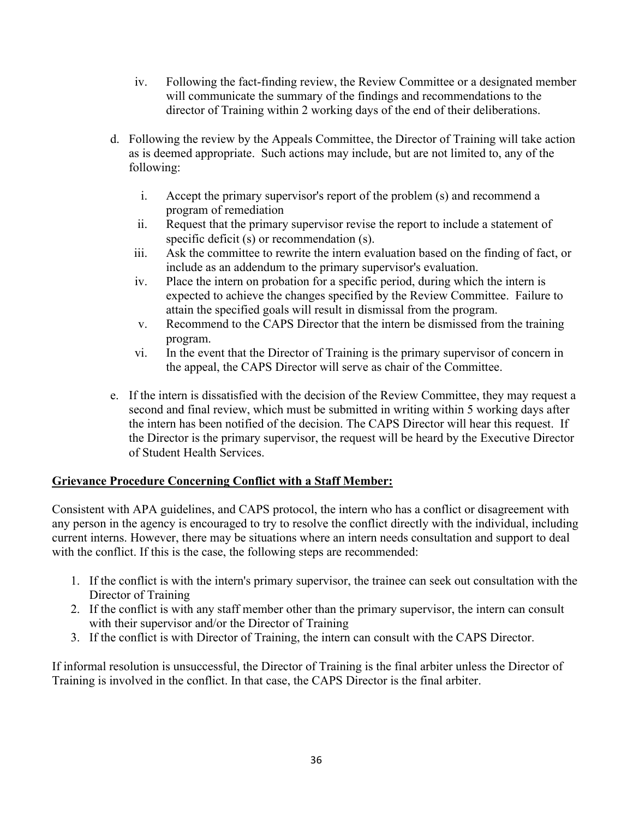- iv. Following the fact-finding review, the Review Committee or a designated member will communicate the summary of the findings and recommendations to the director of Training within 2 working days of the end of their deliberations.
- d. Following the review by the Appeals Committee, the Director of Training will take action as is deemed appropriate. Such actions may include, but are not limited to, any of the following:
	- i. Accept the primary supervisor's report of the problem (s) and recommend a program of remediation
	- ii. Request that the primary supervisor revise the report to include a statement of specific deficit (s) or recommendation (s).
	- iii. Ask the committee to rewrite the intern evaluation based on the finding of fact, or include as an addendum to the primary supervisor's evaluation.
	- iv. Place the intern on probation for a specific period, during which the intern is expected to achieve the changes specified by the Review Committee. Failure to attain the specified goals will result in dismissal from the program.
	- v. Recommend to the CAPS Director that the intern be dismissed from the training program.
	- vi. In the event that the Director of Training is the primary supervisor of concern in the appeal, the CAPS Director will serve as chair of the Committee.
- e. If the intern is dissatisfied with the decision of the Review Committee, they may request a second and final review, which must be submitted in writing within 5 working days after the intern has been notified of the decision. The CAPS Director will hear this request. If the Director is the primary supervisor, the request will be heard by the Executive Director of Student Health Services.

### **Grievance Procedure Concerning Conflict with a Staff Member:**

Consistent with APA guidelines, and CAPS protocol, the intern who has a conflict or disagreement with any person in the agency is encouraged to try to resolve the conflict directly with the individual, including current interns. However, there may be situations where an intern needs consultation and support to deal with the conflict. If this is the case, the following steps are recommended:

- 1. If the conflict is with the intern's primary supervisor, the trainee can seek out consultation with the Director of Training
- 2. If the conflict is with any staff member other than the primary supervisor, the intern can consult with their supervisor and/or the Director of Training
- 3. If the conflict is with Director of Training, the intern can consult with the CAPS Director.

If informal resolution is unsuccessful, the Director of Training is the final arbiter unless the Director of Training is involved in the conflict. In that case, the CAPS Director is the final arbiter.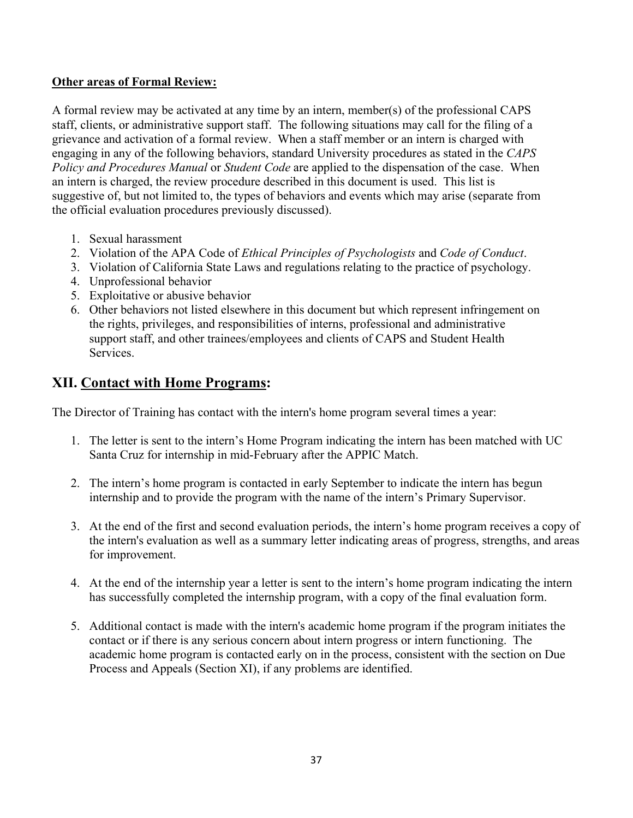### **Other areas of Formal Review:**

A formal review may be activated at any time by an intern, member(s) of the professional CAPS staff, clients, or administrative support staff. The following situations may call for the filing of a grievance and activation of a formal review. When a staff member or an intern is charged with engaging in any of the following behaviors, standard University procedures as stated in the *CAPS Policy and Procedures Manual* or *Student Code* are applied to the dispensation of the case. When an intern is charged, the review procedure described in this document is used. This list is suggestive of, but not limited to, the types of behaviors and events which may arise (separate from the official evaluation procedures previously discussed).

- 1. Sexual harassment
- 2. Violation of the APA Code of *Ethical Principles of Psychologists* and *Code of Conduct*.
- 3. Violation of California State Laws and regulations relating to the practice of psychology.
- 4. Unprofessional behavior
- 5. Exploitative or abusive behavior
- 6. Other behaviors not listed elsewhere in this document but which represent infringement on the rights, privileges, and responsibilities of interns, professional and administrative support staff, and other trainees/employees and clients of CAPS and Student Health Services.

# **XII. Contact with Home Programs:**

The Director of Training has contact with the intern's home program several times a year:

- 1. The letter is sent to the intern's Home Program indicating the intern has been matched with UC Santa Cruz for internship in mid-February after the APPIC Match.
- 2. The intern's home program is contacted in early September to indicate the intern has begun internship and to provide the program with the name of the intern's Primary Supervisor.
- 3. At the end of the first and second evaluation periods, the intern's home program receives a copy of the intern's evaluation as well as a summary letter indicating areas of progress, strengths, and areas for improvement.
- 4. At the end of the internship year a letter is sent to the intern's home program indicating the intern has successfully completed the internship program, with a copy of the final evaluation form.
- 5. Additional contact is made with the intern's academic home program if the program initiates the contact or if there is any serious concern about intern progress or intern functioning. The academic home program is contacted early on in the process, consistent with the section on Due Process and Appeals (Section XI), if any problems are identified.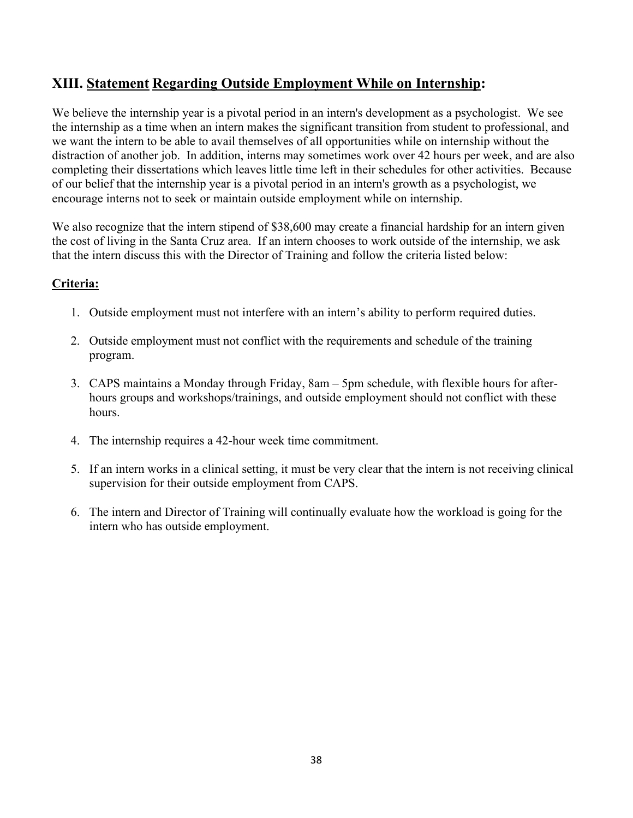# **XIII. Statement Regarding Outside Employment While on Internship:**

We believe the internship year is a pivotal period in an intern's development as a psychologist. We see the internship as a time when an intern makes the significant transition from student to professional, and we want the intern to be able to avail themselves of all opportunities while on internship without the distraction of another job. In addition, interns may sometimes work over 42 hours per week, and are also completing their dissertations which leaves little time left in their schedules for other activities. Because of our belief that the internship year is a pivotal period in an intern's growth as a psychologist, we encourage interns not to seek or maintain outside employment while on internship.

We also recognize that the intern stipend of \$38,600 may create a financial hardship for an intern given the cost of living in the Santa Cruz area. If an intern chooses to work outside of the internship, we ask that the intern discuss this with the Director of Training and follow the criteria listed below:

### **Criteria:**

- 1. Outside employment must not interfere with an intern's ability to perform required duties.
- 2. Outside employment must not conflict with the requirements and schedule of the training program.
- 3. CAPS maintains a Monday through Friday, 8am 5pm schedule, with flexible hours for afterhours groups and workshops/trainings, and outside employment should not conflict with these hours.
- 4. The internship requires a 42-hour week time commitment.
- 5. If an intern works in a clinical setting, it must be very clear that the intern is not receiving clinical supervision for their outside employment from CAPS.
- 6. The intern and Director of Training will continually evaluate how the workload is going for the intern who has outside employment.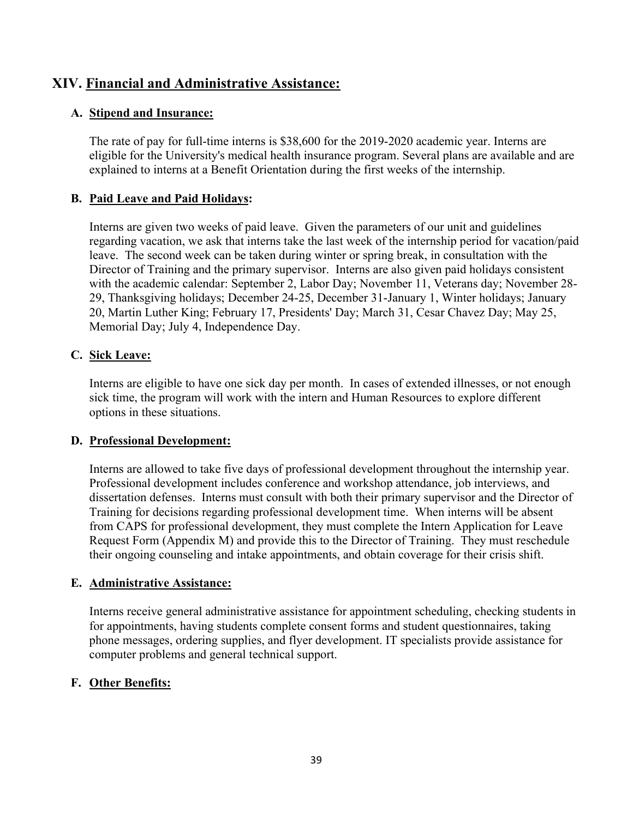# **XIV. Financial and Administrative Assistance:**

### **A. Stipend and Insurance:**

The rate of pay for full-time interns is \$38,600 for the 2019-2020 academic year. Interns are eligible for the University's medical health insurance program. Several plans are available and are explained to interns at a Benefit Orientation during the first weeks of the internship.

### **B. Paid Leave and Paid Holidays:**

Interns are given two weeks of paid leave. Given the parameters of our unit and guidelines regarding vacation, we ask that interns take the last week of the internship period for vacation/paid leave. The second week can be taken during winter or spring break, in consultation with the Director of Training and the primary supervisor. Interns are also given paid holidays consistent with the academic calendar: September 2, Labor Day; November 11, Veterans day; November 28- 29, Thanksgiving holidays; December 24-25, December 31-January 1, Winter holidays; January 20, Martin Luther King; February 17, Presidents' Day; March 31, Cesar Chavez Day; May 25, Memorial Day; July 4, Independence Day.

### **C. Sick Leave:**

Interns are eligible to have one sick day per month. In cases of extended illnesses, or not enough sick time, the program will work with the intern and Human Resources to explore different options in these situations.

#### **D. Professional Development:**

Interns are allowed to take five days of professional development throughout the internship year. Professional development includes conference and workshop attendance, job interviews, and dissertation defenses. Interns must consult with both their primary supervisor and the Director of Training for decisions regarding professional development time. When interns will be absent from CAPS for professional development, they must complete the Intern Application for Leave Request Form (Appendix M) and provide this to the Director of Training. They must reschedule their ongoing counseling and intake appointments, and obtain coverage for their crisis shift.

#### **E. Administrative Assistance:**

Interns receive general administrative assistance for appointment scheduling, checking students in for appointments, having students complete consent forms and student questionnaires, taking phone messages, ordering supplies, and flyer development. IT specialists provide assistance for computer problems and general technical support.

#### **F. Other Benefits:**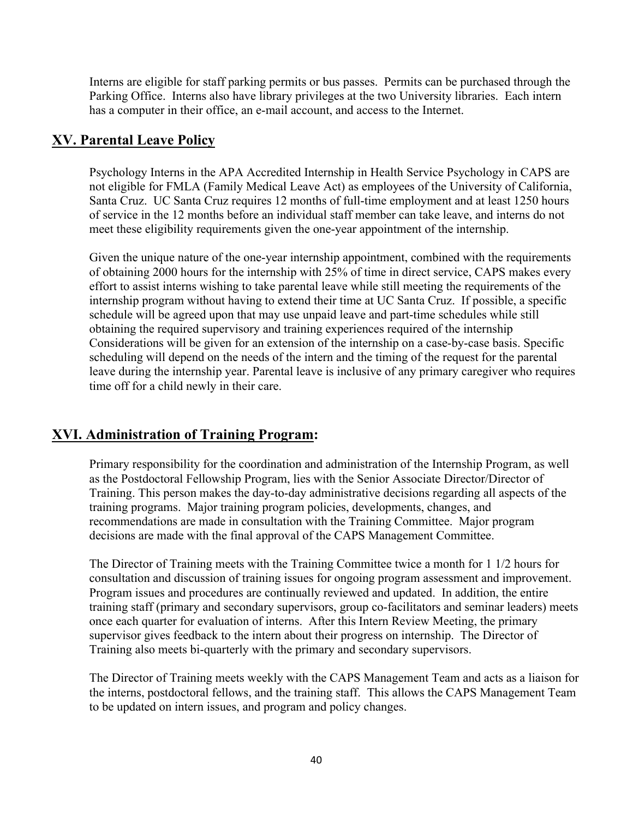Interns are eligible for staff parking permits or bus passes. Permits can be purchased through the Parking Office. Interns also have library privileges at the two University libraries. Each intern has a computer in their office, an e-mail account, and access to the Internet.

### **XV. Parental Leave Policy**

Psychology Interns in the APA Accredited Internship in Health Service Psychology in CAPS are not eligible for FMLA (Family Medical Leave Act) as employees of the University of California, Santa Cruz. UC Santa Cruz requires 12 months of full-time employment and at least 1250 hours of service in the 12 months before an individual staff member can take leave, and interns do not meet these eligibility requirements given the one-year appointment of the internship.

Given the unique nature of the one-year internship appointment, combined with the requirements of obtaining 2000 hours for the internship with 25% of time in direct service, CAPS makes every effort to assist interns wishing to take parental leave while still meeting the requirements of the internship program without having to extend their time at UC Santa Cruz. If possible, a specific schedule will be agreed upon that may use unpaid leave and part-time schedules while still obtaining the required supervisory and training experiences required of the internship Considerations will be given for an extension of the internship on a case-by-case basis. Specific scheduling will depend on the needs of the intern and the timing of the request for the parental leave during the internship year. Parental leave is inclusive of any primary caregiver who requires time off for a child newly in their care.

### **XVI. Administration of Training Program:**

Primary responsibility for the coordination and administration of the Internship Program, as well as the Postdoctoral Fellowship Program, lies with the Senior Associate Director/Director of Training. This person makes the day-to-day administrative decisions regarding all aspects of the training programs. Major training program policies, developments, changes, and recommendations are made in consultation with the Training Committee. Major program decisions are made with the final approval of the CAPS Management Committee.

The Director of Training meets with the Training Committee twice a month for 1 1/2 hours for consultation and discussion of training issues for ongoing program assessment and improvement. Program issues and procedures are continually reviewed and updated. In addition, the entire training staff (primary and secondary supervisors, group co-facilitators and seminar leaders) meets once each quarter for evaluation of interns. After this Intern Review Meeting, the primary supervisor gives feedback to the intern about their progress on internship. The Director of Training also meets bi-quarterly with the primary and secondary supervisors.

The Director of Training meets weekly with the CAPS Management Team and acts as a liaison for the interns, postdoctoral fellows, and the training staff. This allows the CAPS Management Team to be updated on intern issues, and program and policy changes.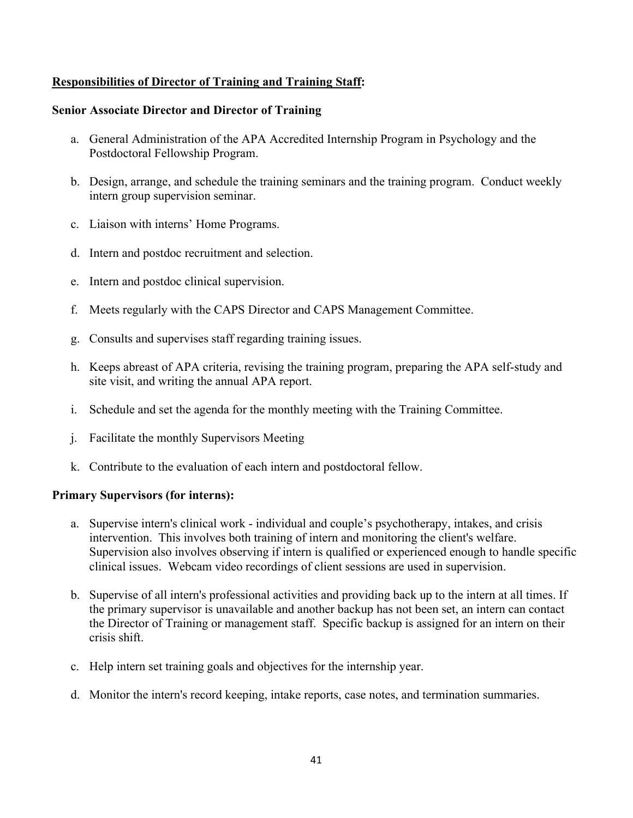### **Responsibilities of Director of Training and Training Staff:**

#### **Senior Associate Director and Director of Training**

- a. General Administration of the APA Accredited Internship Program in Psychology and the Postdoctoral Fellowship Program.
- b. Design, arrange, and schedule the training seminars and the training program. Conduct weekly intern group supervision seminar.
- c. Liaison with interns' Home Programs.
- d. Intern and postdoc recruitment and selection.
- e. Intern and postdoc clinical supervision.
- f. Meets regularly with the CAPS Director and CAPS Management Committee.
- g. Consults and supervises staff regarding training issues.
- h. Keeps abreast of APA criteria, revising the training program, preparing the APA self-study and site visit, and writing the annual APA report.
- i. Schedule and set the agenda for the monthly meeting with the Training Committee.
- j. Facilitate the monthly Supervisors Meeting
- k. Contribute to the evaluation of each intern and postdoctoral fellow.

#### **Primary Supervisors (for interns):**

- a. Supervise intern's clinical work individual and couple's psychotherapy, intakes, and crisis intervention. This involves both training of intern and monitoring the client's welfare. Supervision also involves observing if intern is qualified or experienced enough to handle specific clinical issues. Webcam video recordings of client sessions are used in supervision.
- b. Supervise of all intern's professional activities and providing back up to the intern at all times. If the primary supervisor is unavailable and another backup has not been set, an intern can contact the Director of Training or management staff. Specific backup is assigned for an intern on their crisis shift.
- c. Help intern set training goals and objectives for the internship year.
- d. Monitor the intern's record keeping, intake reports, case notes, and termination summaries.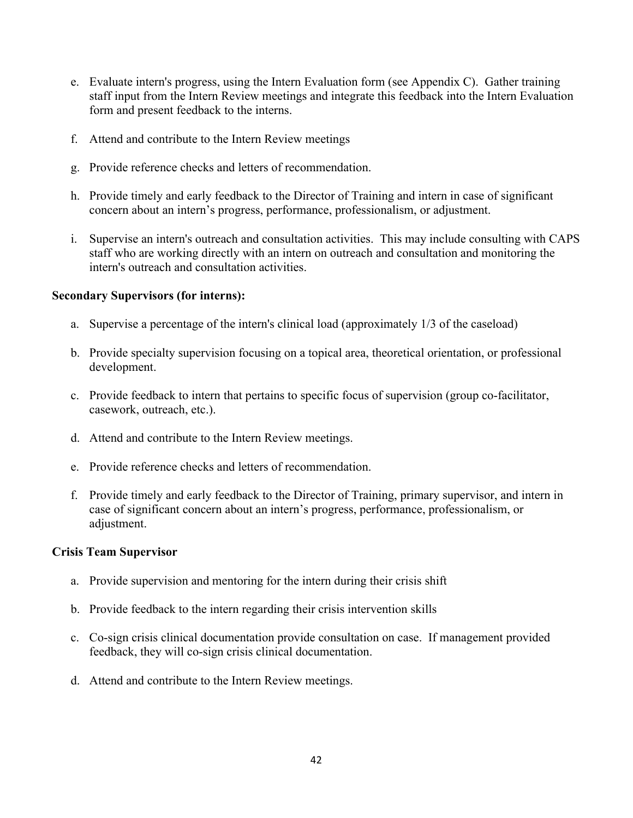- e. Evaluate intern's progress, using the Intern Evaluation form (see Appendix C). Gather training staff input from the Intern Review meetings and integrate this feedback into the Intern Evaluation form and present feedback to the interns.
- f. Attend and contribute to the Intern Review meetings
- g. Provide reference checks and letters of recommendation.
- h. Provide timely and early feedback to the Director of Training and intern in case of significant concern about an intern's progress, performance, professionalism, or adjustment.
- i. Supervise an intern's outreach and consultation activities. This may include consulting with CAPS staff who are working directly with an intern on outreach and consultation and monitoring the intern's outreach and consultation activities.

#### **Secondary Supervisors (for interns):**

- a. Supervise a percentage of the intern's clinical load (approximately 1/3 of the caseload)
- b. Provide specialty supervision focusing on a topical area, theoretical orientation, or professional development.
- c. Provide feedback to intern that pertains to specific focus of supervision (group co-facilitator, casework, outreach, etc.).
- d. Attend and contribute to the Intern Review meetings.
- e. Provide reference checks and letters of recommendation.
- f. Provide timely and early feedback to the Director of Training, primary supervisor, and intern in case of significant concern about an intern's progress, performance, professionalism, or adjustment.

#### **Crisis Team Supervisor**

- a. Provide supervision and mentoring for the intern during their crisis shift
- b. Provide feedback to the intern regarding their crisis intervention skills
- c. Co-sign crisis clinical documentation provide consultation on case. If management provided feedback, they will co-sign crisis clinical documentation.
- d. Attend and contribute to the Intern Review meetings.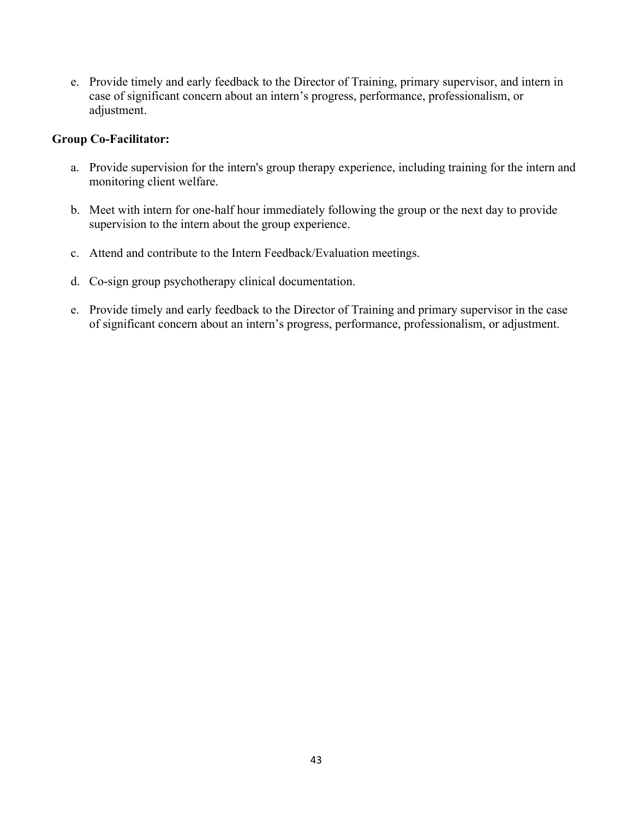e. Provide timely and early feedback to the Director of Training, primary supervisor, and intern in case of significant concern about an intern's progress, performance, professionalism, or adjustment.

### **Group Co-Facilitator:**

- a. Provide supervision for the intern's group therapy experience, including training for the intern and monitoring client welfare.
- b. Meet with intern for one-half hour immediately following the group or the next day to provide supervision to the intern about the group experience.
- c. Attend and contribute to the Intern Feedback/Evaluation meetings.
- d. Co-sign group psychotherapy clinical documentation.
- e. Provide timely and early feedback to the Director of Training and primary supervisor in the case of significant concern about an intern's progress, performance, professionalism, or adjustment.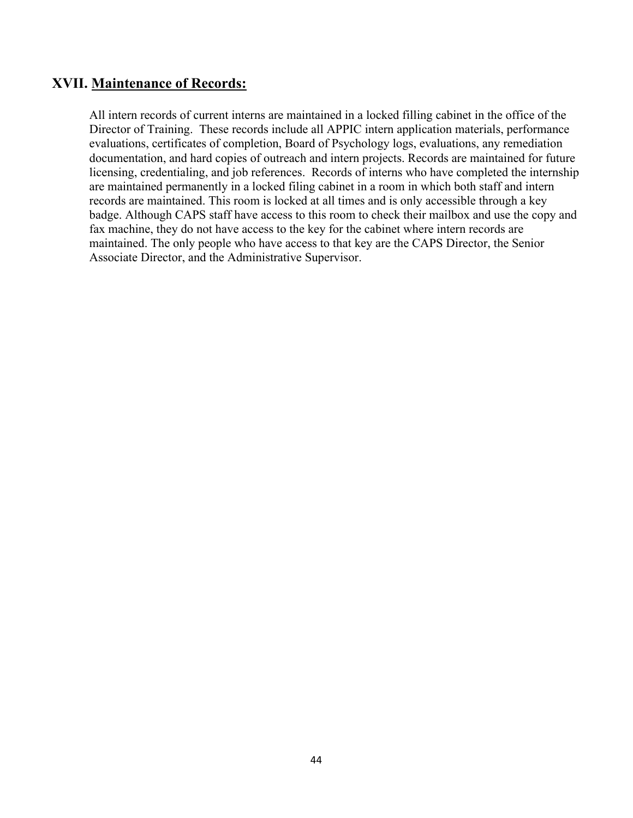## **XVII. Maintenance of Records:**

All intern records of current interns are maintained in a locked filling cabinet in the office of the Director of Training. These records include all APPIC intern application materials, performance evaluations, certificates of completion, Board of Psychology logs, evaluations, any remediation documentation, and hard copies of outreach and intern projects. Records are maintained for future licensing, credentialing, and job references. Records of interns who have completed the internship are maintained permanently in a locked filing cabinet in a room in which both staff and intern records are maintained. This room is locked at all times and is only accessible through a key badge. Although CAPS staff have access to this room to check their mailbox and use the copy and fax machine, they do not have access to the key for the cabinet where intern records are maintained. The only people who have access to that key are the CAPS Director, the Senior Associate Director, and the Administrative Supervisor.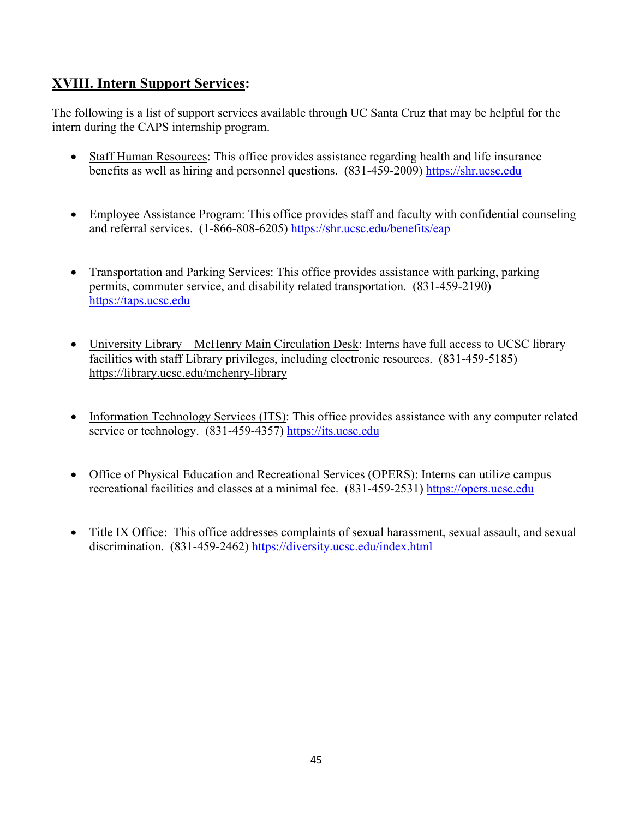# **XVIII. Intern Support Services:**

The following is a list of support services available through UC Santa Cruz that may be helpful for the intern during the CAPS internship program.

- Staff Human Resources: This office provides assistance regarding health and life insurance benefits as well as hiring and personnel questions. (831-459-2009) [https://shr.ucsc.edu](https://shr.ucsc.edu/)
- Employee Assistance Program: This office provides staff and faculty with confidential counseling and referral services. (1-866-808-6205)<https://shr.ucsc.edu/benefits/eap>
- Transportation and Parking Services: This office provides assistance with parking, parking permits, commuter service, and disability related transportation. (831-459-2190) [https://taps.ucsc.edu](https://taps.ucsc.edu/)
- University Library McHenry Main Circulation Desk: Interns have full access to UCSC library facilities with staff Library privileges, including electronic resources. (831-459-5185) <https://library.ucsc.edu/mchenry-library>
- Information Technology Services (ITS): This office provides assistance with any computer related service or technology. (831-459-4357) [https://its.ucsc.edu](https://its.ucsc.edu/)
- Office of Physical Education and Recreational Services (OPERS): Interns can utilize campus recreational facilities and classes at a minimal fee. (831-459-2531) [https://opers.ucsc.edu](https://opers.ucsc.edu/)
- Title IX Office: This office addresses complaints of sexual harassment, sexual assault, and sexual discrimination. (831-459-2462)<https://diversity.ucsc.edu/index.html>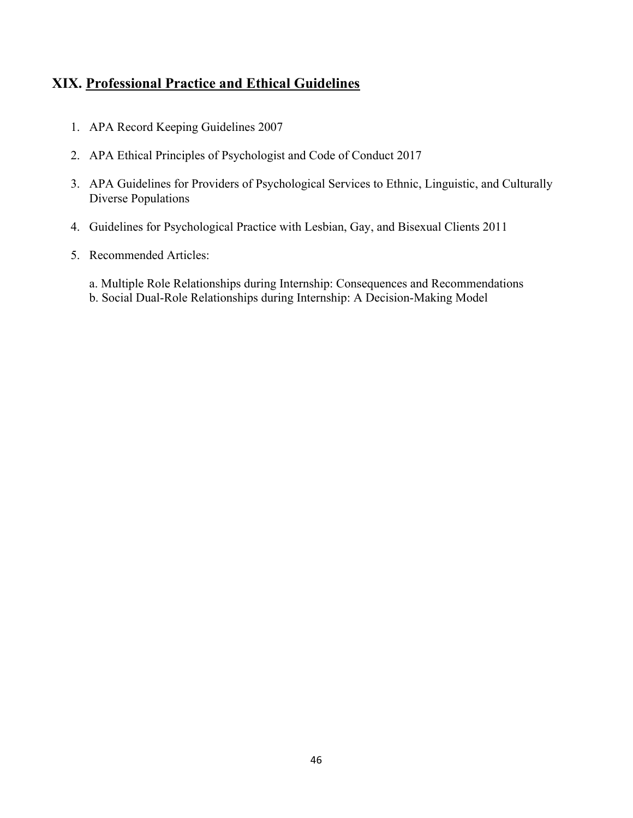# **XIX. Professional Practice and Ethical Guidelines**

- 1. APA Record Keeping Guidelines 2007
- 2. APA Ethical Principles of Psychologist and Code of Conduct 2017
- 3. APA Guidelines for Providers of Psychological Services to Ethnic, Linguistic, and Culturally Diverse Populations
- 4. Guidelines for Psychological Practice with Lesbian, Gay, and Bisexual Clients 2011
- 5. Recommended Articles:
	- a. Multiple Role Relationships during Internship: Consequences and Recommendations
	- b. Social Dual-Role Relationships during Internship: A Decision-Making Model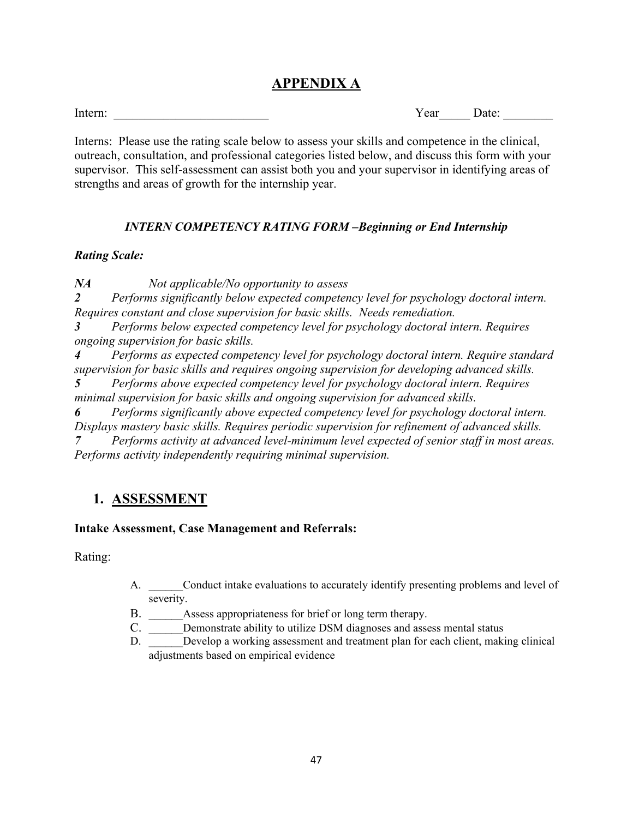# **APPENDIX A**

Intern: The example of the state of the state of the Second Second Second Second Second Second Second Second Second Second Second Second Second Second Second Second Second Second Second Second Second Second Second Second S

Interns: Please use the rating scale below to assess your skills and competence in the clinical, outreach, consultation, and professional categories listed below, and discuss this form with your supervisor. This self-assessment can assist both you and your supervisor in identifying areas of strengths and areas of growth for the internship year.

### *INTERN COMPETENCY RATING FORM –Beginning or End Internship*

### *Rating Scale:*

*NA Not applicable/No opportunity to assess*

*2 Performs significantly below expected competency level for psychology doctoral intern. Requires constant and close supervision for basic skills. Needs remediation.*

*3 Performs below expected competency level for psychology doctoral intern. Requires ongoing supervision for basic skills.*

*4 Performs as expected competency level for psychology doctoral intern. Require standard supervision for basic skills and requires ongoing supervision for developing advanced skills.*

*5 Performs above expected competency level for psychology doctoral intern. Requires minimal supervision for basic skills and ongoing supervision for advanced skills.*

*6 Performs significantly above expected competency level for psychology doctoral intern. Displays mastery basic skills. Requires periodic supervision for refinement of advanced skills. 7 Performs activity at advanced level-minimum level expected of senior staff in most areas. Performs activity independently requiring minimal supervision.*

# **1. ASSESSMENT**

### **Intake Assessment, Case Management and Referrals:**

- A. Conduct intake evaluations to accurately identify presenting problems and level of severity.
- B. Assess appropriateness for brief or long term therapy.
- C. Demonstrate ability to utilize DSM diagnoses and assess mental status
- D. Develop a working assessment and treatment plan for each client, making clinical adjustments based on empirical evidence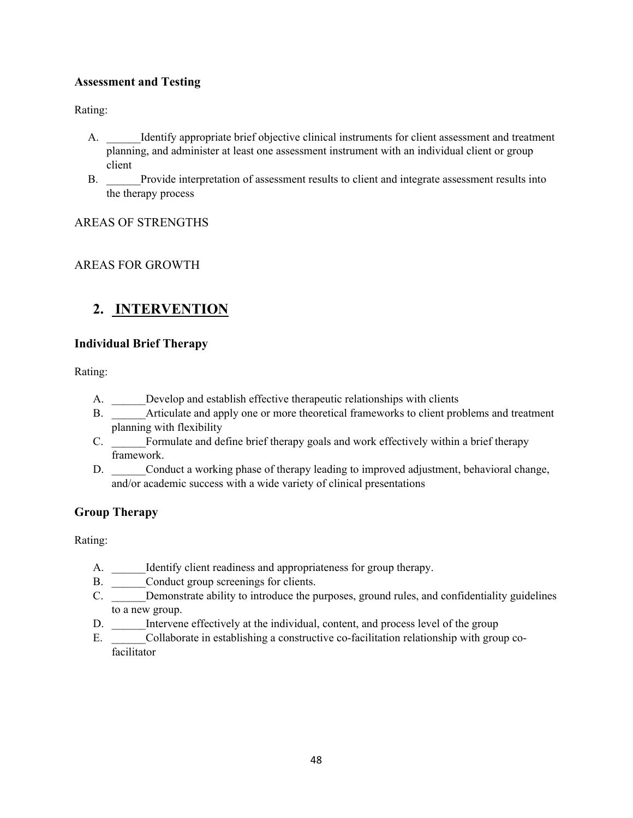### **Assessment and Testing**

Rating:

- A. Identify appropriate brief objective clinical instruments for client assessment and treatment planning, and administer at least one assessment instrument with an individual client or group client
- B. \_\_\_\_\_\_Provide interpretation of assessment results to client and integrate assessment results into the therapy process

AREAS OF STRENGTHS

### AREAS FOR GROWTH

# **2. INTERVENTION**

### **Individual Brief Therapy**

Rating:

- A. Develop and establish effective therapeutic relationships with clients
- B. Articulate and apply one or more theoretical frameworks to client problems and treatment planning with flexibility
- C. Formulate and define brief therapy goals and work effectively within a brief therapy framework.
- D. Conduct a working phase of therapy leading to improved adjustment, behavioral change, and/or academic success with a wide variety of clinical presentations

### **Group Therapy**

- A. Identify client readiness and appropriateness for group therapy.
- B. \_\_\_\_\_\_Conduct group screenings for clients.
- C. Demonstrate ability to introduce the purposes, ground rules, and confidentiality guidelines to a new group.
- D. \_\_\_\_\_\_Intervene effectively at the individual, content, and process level of the group
- E. Collaborate in establishing a constructive co-facilitation relationship with group cofacilitator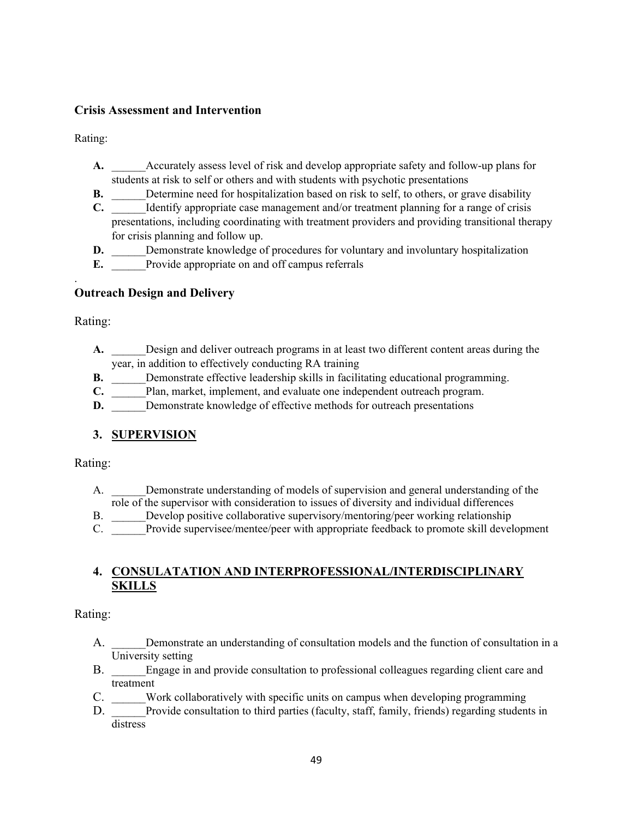### **Crisis Assessment and Intervention**

Rating:

- A. Accurately assess level of risk and develop appropriate safety and follow-up plans for students at risk to self or others and with students with psychotic presentations
- **B.** Determine need for hospitalization based on risk to self, to others, or grave disability
- **C.** Identify appropriate case management and/or treatment planning for a range of crisis presentations, including coordinating with treatment providers and providing transitional therapy for crisis planning and follow up.
- **D.** Demonstrate knowledge of procedures for voluntary and involuntary hospitalization
- **E.** Provide appropriate on and off campus referrals

### **Outreach Design and Delivery**

Rating:

.

- A. Design and deliver outreach programs in at least two different content areas during the year, in addition to effectively conducting RA training
- **B.** Demonstrate effective leadership skills in facilitating educational programming.
- **C.** Plan, market, implement, and evaluate one independent outreach program.
- **D.** Demonstrate knowledge of effective methods for outreach presentations

### **3. SUPERVISION**

Rating:

- A. \_\_\_\_\_\_Demonstrate understanding of models of supervision and general understanding of the role of the supervisor with consideration to issues of diversity and individual differences
- B. Develop positive collaborative supervisory/mentoring/peer working relationship
- C. Provide supervisee/mentee/peer with appropriate feedback to promote skill development

### **4. CONSULATATION AND INTERPROFESSIONAL/INTERDISCIPLINARY SKILLS**

- A. Demonstrate an understanding of consultation models and the function of consultation in a University setting
- B. Engage in and provide consultation to professional colleagues regarding client care and treatment
- C. Work collaboratively with specific units on campus when developing programming
- D. Provide consultation to third parties (faculty, staff, family, friends) regarding students in distress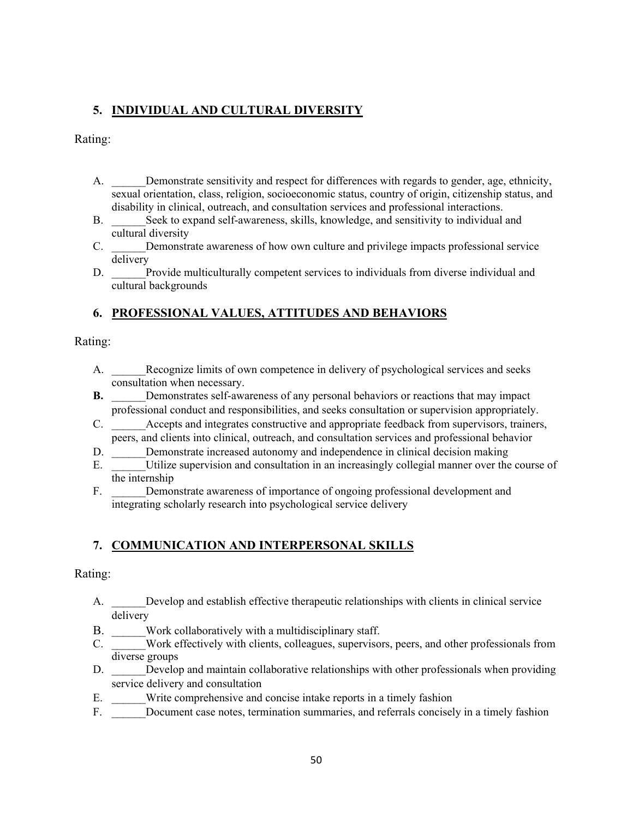## **5. INDIVIDUAL AND CULTURAL DIVERSITY**

Rating:

- A. \_\_\_\_\_\_Demonstrate sensitivity and respect for differences with regards to gender, age, ethnicity, sexual orientation, class, religion, socioeconomic status, country of origin, citizenship status, and disability in clinical, outreach, and consultation services and professional interactions.
- B. Seek to expand self-awareness, skills, knowledge, and sensitivity to individual and cultural diversity
- C. \_\_\_\_\_\_Demonstrate awareness of how own culture and privilege impacts professional service delivery
- D. Provide multiculturally competent services to individuals from diverse individual and cultural backgrounds

### **6. PROFESSIONAL VALUES, ATTITUDES AND BEHAVIORS**

Rating:

- A. Recognize limits of own competence in delivery of psychological services and seeks consultation when necessary.
- **B.** Demonstrates self-awareness of any personal behaviors or reactions that may impact professional conduct and responsibilities, and seeks consultation or supervision appropriately.
- C. Accepts and integrates constructive and appropriate feedback from supervisors, trainers, peers, and clients into clinical, outreach, and consultation services and professional behavior
- D. Demonstrate increased autonomy and independence in clinical decision making
- E. Utilize supervision and consultation in an increasingly collegial manner over the course of the internship
- F. Demonstrate awareness of importance of ongoing professional development and integrating scholarly research into psychological service delivery

### **7. COMMUNICATION AND INTERPERSONAL SKILLS**

- A. Develop and establish effective therapeutic relationships with clients in clinical service delivery
- B. Work collaboratively with a multidisciplinary staff.
- C. \_\_\_\_\_\_Work effectively with clients, colleagues, supervisors, peers, and other professionals from diverse groups
- D. Develop and maintain collaborative relationships with other professionals when providing service delivery and consultation
- E. Write comprehensive and concise intake reports in a timely fashion
- F. Document case notes, termination summaries, and referrals concisely in a timely fashion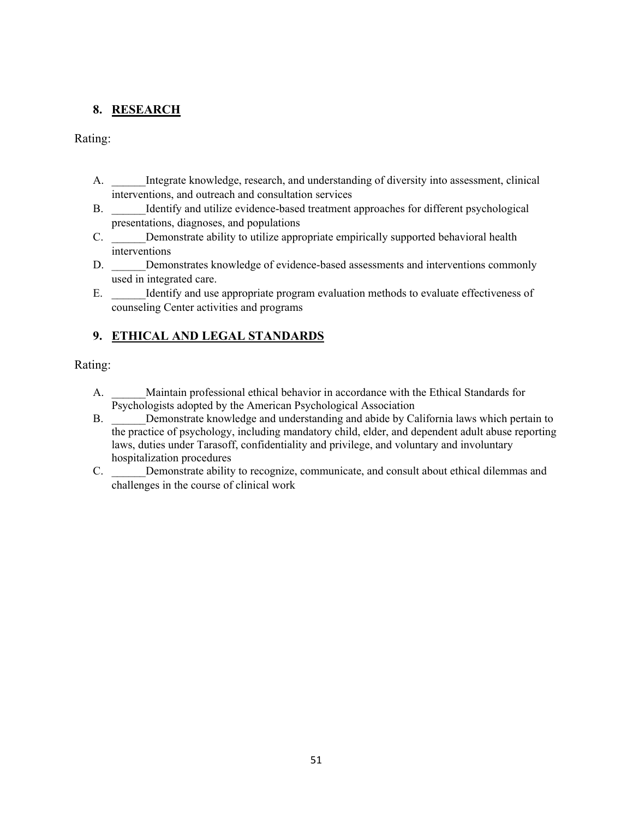### **8. RESEARCH**

Rating:

- A. \_\_\_\_\_\_Integrate knowledge, research, and understanding of diversity into assessment, clinical interventions, and outreach and consultation services
- B. Identify and utilize evidence-based treatment approaches for different psychological presentations, diagnoses, and populations
- C. Demonstrate ability to utilize appropriate empirically supported behavioral health interventions
- D. Demonstrates knowledge of evidence-based assessments and interventions commonly used in integrated care.
- E. Identify and use appropriate program evaluation methods to evaluate effectiveness of counseling Center activities and programs

## **9. ETHICAL AND LEGAL STANDARDS**

- A. Maintain professional ethical behavior in accordance with the Ethical Standards for Psychologists adopted by the American Psychological Association
- B. \_\_\_\_\_\_Demonstrate knowledge and understanding and abide by California laws which pertain to the practice of psychology, including mandatory child, elder, and dependent adult abuse reporting laws, duties under Tarasoff, confidentiality and privilege, and voluntary and involuntary hospitalization procedures
- C. \_\_\_\_\_\_Demonstrate ability to recognize, communicate, and consult about ethical dilemmas and challenges in the course of clinical work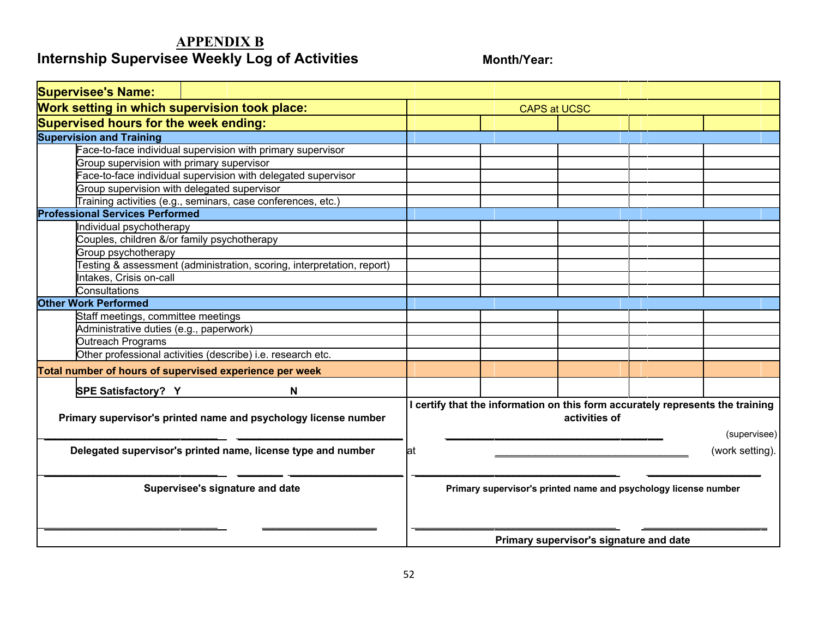# **APPENDIX B Internship Supervisee Weekly Log of Activities Month/Year:**

| <b>Supervisee's Name:</b>                                              |                                                                                                 |
|------------------------------------------------------------------------|-------------------------------------------------------------------------------------------------|
| Work setting in which supervision took place:                          | <b>CAPS at UCSC</b>                                                                             |
| Supervised hours for the week ending:                                  |                                                                                                 |
| <b>Supervision and Training</b>                                        |                                                                                                 |
| Face-to-face individual supervision with primary supervisor            |                                                                                                 |
| Group supervision with primary supervisor                              |                                                                                                 |
| ace-to-face individual supervision with delegated supervisor           |                                                                                                 |
| Group supervision with delegated supervisor                            |                                                                                                 |
| Training activities (e.g., seminars, case conferences, etc.)           |                                                                                                 |
| <b>Professional Services Performed</b>                                 |                                                                                                 |
| Individual psychotherapy                                               |                                                                                                 |
| Couples, children &/or family psychotherapy                            |                                                                                                 |
| Group psychotherapy                                                    |                                                                                                 |
| Testing & assessment (administration, scoring, interpretation, report) |                                                                                                 |
| ntakes, Crisis on-call                                                 |                                                                                                 |
| Consultations                                                          |                                                                                                 |
| <b>Other Work Performed</b>                                            |                                                                                                 |
| Staff meetings, committee meetings                                     |                                                                                                 |
| Administrative duties (e.g., paperwork)                                |                                                                                                 |
| Outreach Programs                                                      |                                                                                                 |
| Other professional activities (describe) i.e. research etc.            |                                                                                                 |
| Total number of hours of supervised experience per week                |                                                                                                 |
| SPE Satisfactory? Y<br>N                                               |                                                                                                 |
| Primary supervisor's printed name and psychology license number        | I certify that the information on this form accurately represents the training<br>activities of |
|                                                                        | (supervisee)                                                                                    |
| Delegated supervisor's printed name, license type and number           | (work setting).<br>lat                                                                          |
| Supervisee's signature and date                                        | Primary supervisor's printed name and psychology license number                                 |
|                                                                        | Primary supervisor's signature and date                                                         |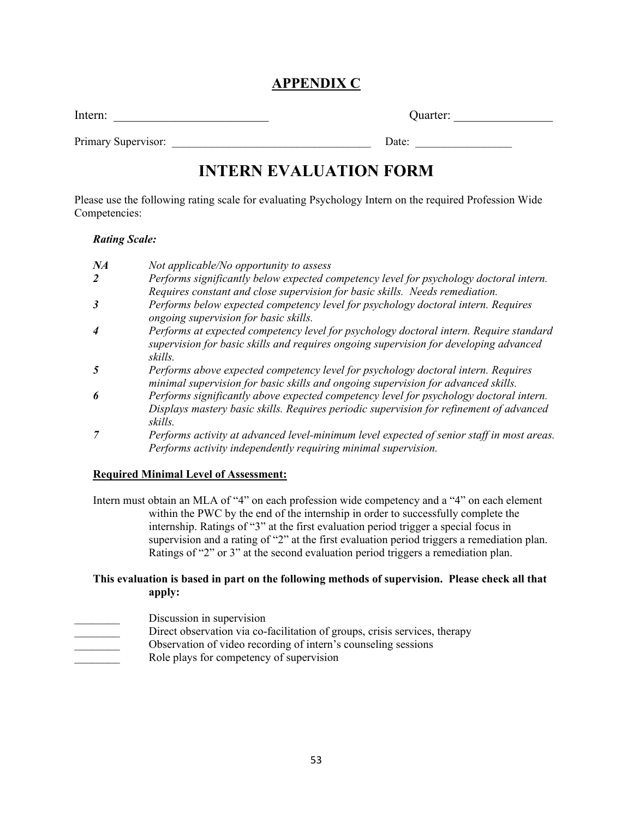# **APPENDIX C**

Intern: \_\_\_\_\_\_\_\_\_\_\_\_\_\_\_\_\_\_\_\_\_\_\_\_\_ Quarter: \_\_\_\_\_\_\_\_\_\_\_\_\_\_\_\_

Primary Supervisor: <u>Date:</u> example and the set of  $\Box$  and  $\Box$  Date:

# **INTERN EVALUATION FORM**

Please use the following rating scale for evaluating Psychology Intern on the required Profession Wide Competencies:

#### *Rating Scale:*

| NA | Not applicable/No opportunity to assess                                                                                                                                                      |
|----|----------------------------------------------------------------------------------------------------------------------------------------------------------------------------------------------|
| 2  | Performs significantly below expected competency level for psychology doctoral intern.                                                                                                       |
|    | Requires constant and close supervision for basic skills. Needs remediation.                                                                                                                 |
| 3  | Performs below expected competency level for psychology doctoral intern. Requires<br>ongoing supervision for basic skills.                                                                   |
| 4  | Performs at expected competency level for psychology doctoral intern. Require standard<br>supervision for basic skills and requires ongoing supervision for developing advanced<br>skills.   |
| 5  | Performs above expected competency level for psychology doctoral intern. Requires<br>minimal supervision for basic skills and ongoing supervision for advanced skills.                       |
| 6  | Performs significantly above expected competency level for psychology doctoral intern.<br>Displays mastery basic skills. Requires periodic supervision for refinement of advanced<br>skills. |
| 7  | Performs activity at advanced level-minimum level expected of senior staff in most areas.                                                                                                    |

# *Performs activity independently requiring minimal supervision.*

# **Required Minimal Level of Assessment:**

Intern must obtain an MLA of "4" on each profession wide competency and a "4" on each element within the PWC by the end of the internship in order to successfully complete the internship. Ratings of "3" at the first evaluation period trigger a special focus in supervision and a rating of "2" at the first evaluation period triggers a remediation plan. Ratings of "2" or 3" at the second evaluation period triggers a remediation plan.

### **This evaluation is based in part on the following methods of supervision. Please check all that apply:**

- Discussion in supervision
- Direct observation via co-facilitation of groups, crisis services, therapy
	- Observation of video recording of intern's counseling sessions
- Role plays for competency of supervision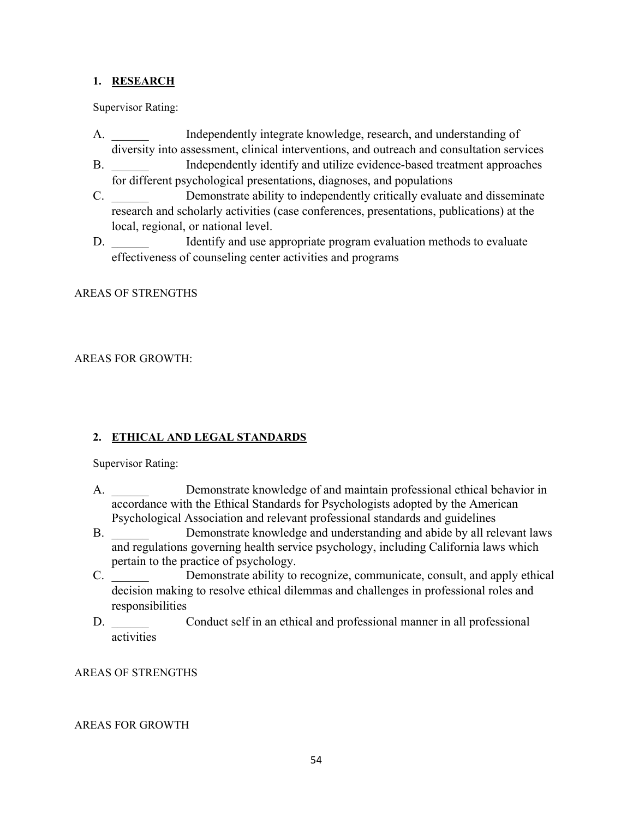#### **1. RESEARCH**

Supervisor Rating:

- A. **Independently integrate knowledge, research, and understanding of** diversity into assessment, clinical interventions, and outreach and consultation services
- B. **Independently identify and utilize evidence-based treatment approaches** for different psychological presentations, diagnoses, and populations
- C. Demonstrate ability to independently critically evaluate and disseminate research and scholarly activities (case conferences, presentations, publications) at the local, regional, or national level.
- D. **ID.** Identify and use appropriate program evaluation methods to evaluate effectiveness of counseling center activities and programs

#### AREAS OF STRENGTHS

#### AREAS FOR GROWTH:

#### **2. ETHICAL AND LEGAL STANDARDS**

Supervisor Rating:

- A. \_\_\_\_\_\_ Demonstrate knowledge of and maintain professional ethical behavior in accordance with the Ethical Standards for Psychologists adopted by the American Psychological Association and relevant professional standards and guidelines
- B. Demonstrate knowledge and understanding and abide by all relevant laws and regulations governing health service psychology, including California laws which pertain to the practice of psychology.
- C. \_\_\_\_\_\_ Demonstrate ability to recognize, communicate, consult, and apply ethical decision making to resolve ethical dilemmas and challenges in professional roles and responsibilities
- D. Conduct self in an ethical and professional manner in all professional activities

#### AREAS OF STRENGTHS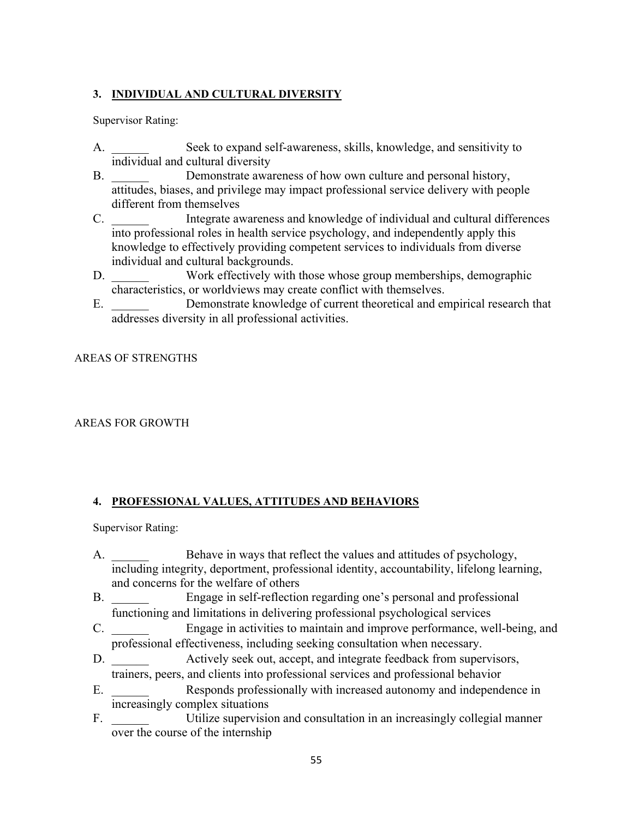### **3. INDIVIDUAL AND CULTURAL DIVERSITY**

Supervisor Rating:

- A. \_\_\_\_\_\_ Seek to expand self-awareness, skills, knowledge, and sensitivity to individual and cultural diversity
- B. Demonstrate awareness of how own culture and personal history, attitudes, biases, and privilege may impact professional service delivery with people different from themselves
- C. \_\_\_\_\_\_ Integrate awareness and knowledge of individual and cultural differences into professional roles in health service psychology, and independently apply this knowledge to effectively providing competent services to individuals from diverse individual and cultural backgrounds.
- D. Work effectively with those whose group memberships, demographic characteristics, or worldviews may create conflict with themselves.
- E. Demonstrate knowledge of current theoretical and empirical research that addresses diversity in all professional activities.

AREAS OF STRENGTHS

#### AREAS FOR GROWTH

### **4. PROFESSIONAL VALUES, ATTITUDES AND BEHAVIORS**

Supervisor Rating:

- A. Behave in ways that reflect the values and attitudes of psychology, including integrity, deportment, professional identity, accountability, lifelong learning, and concerns for the welfare of others
- B. \_\_\_\_\_\_ Engage in self-reflection regarding one's personal and professional functioning and limitations in delivering professional psychological services
- C. \_\_\_\_\_\_ Engage in activities to maintain and improve performance, well-being, and professional effectiveness, including seeking consultation when necessary.
- D. Actively seek out, accept, and integrate feedback from supervisors, trainers, peers, and clients into professional services and professional behavior
- E. Responds professionally with increased autonomy and independence in increasingly complex situations
- F. Utilize supervision and consultation in an increasingly collegial manner over the course of the internship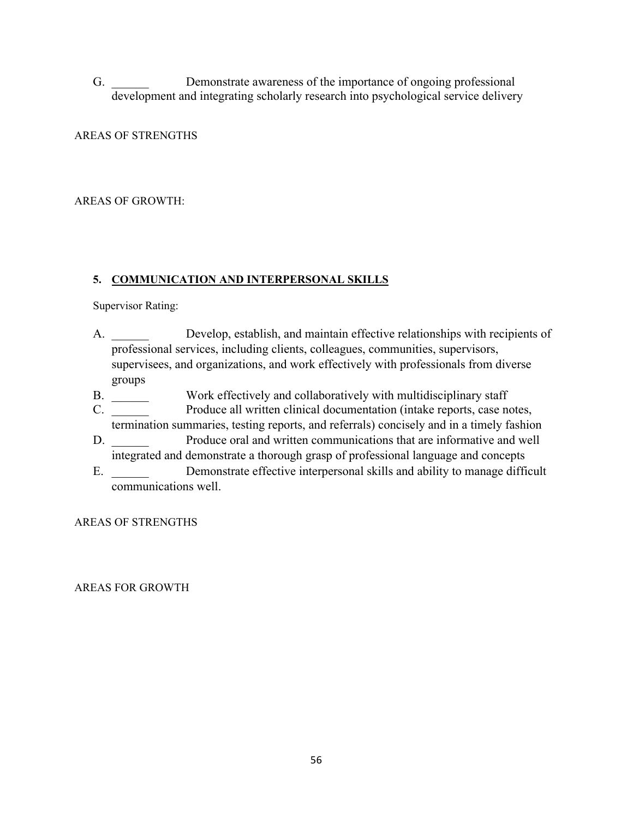G. Demonstrate awareness of the importance of ongoing professional development and integrating scholarly research into psychological service delivery

#### AREAS OF STRENGTHS

#### AREAS OF GROWTH:

#### **5. COMMUNICATION AND INTERPERSONAL SKILLS**

Supervisor Rating:

- A. Develop, establish, and maintain effective relationships with recipients of professional services, including clients, colleagues, communities, supervisors, supervisees, and organizations, and work effectively with professionals from diverse groups
- B. \_\_\_\_\_\_ Work effectively and collaboratively with multidisciplinary staff
- C. \_\_\_\_\_\_ Produce all written clinical documentation (intake reports, case notes, termination summaries, testing reports, and referrals) concisely and in a timely fashion
- D. Produce oral and written communications that are informative and well integrated and demonstrate a thorough grasp of professional language and concepts
- E. Demonstrate effective interpersonal skills and ability to manage difficult communications well.

AREAS OF STRENGTHS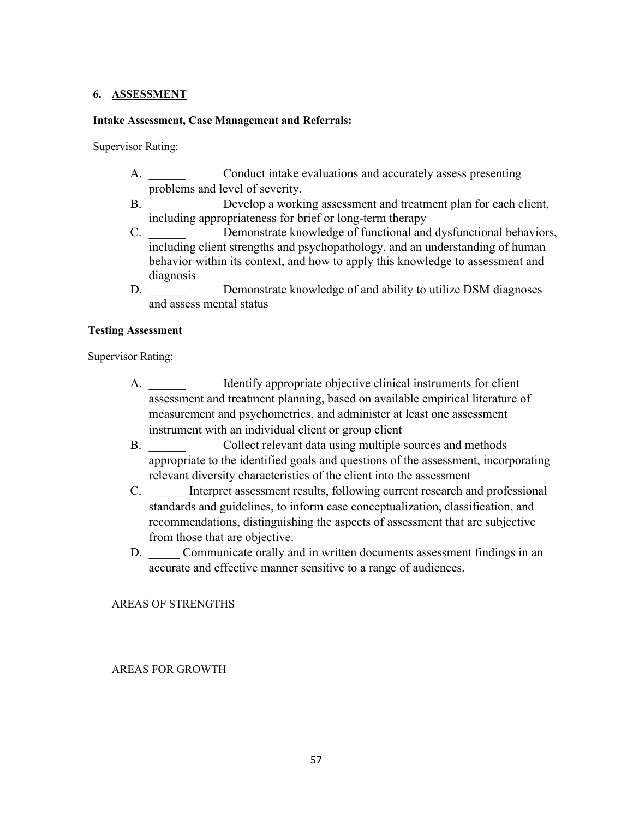#### **6. ASSESSMENT**

#### **Intake Assessment, Case Management and Referrals:**

Supervisor Rating:

- A. Conduct intake evaluations and accurately assess presenting problems and level of severity.
- B. Develop a working assessment and treatment plan for each client, including appropriateness for brief or long-term therapy
- C. Demonstrate knowledge of functional and dysfunctional behaviors, including client strengths and psychopathology, and an understanding of human behavior within its context, and how to apply this knowledge to assessment and diagnosis
- D. Demonstrate knowledge of and ability to utilize DSM diagnoses and assess mental status

#### **Testing Assessment**

Supervisor Rating:

- A. **IDENTIFY APPROPERTIES** Intervalse objective clinical instruments for client assessment and treatment planning, based on available empirical literature of measurement and psychometrics, and administer at least one assessment instrument with an individual client or group client
- B. Collect relevant data using multiple sources and methods appropriate to the identified goals and questions of the assessment, incorporating relevant diversity characteristics of the client into the assessment
- C. \_\_\_\_\_\_ Interpret assessment results, following current research and professional standards and guidelines, to inform case conceptualization, classification, and recommendations, distinguishing the aspects of assessment that are subjective from those that are objective.
- D. Communicate orally and in written documents assessment findings in an accurate and effective manner sensitive to a range of audiences.

AREAS OF STRENGTHS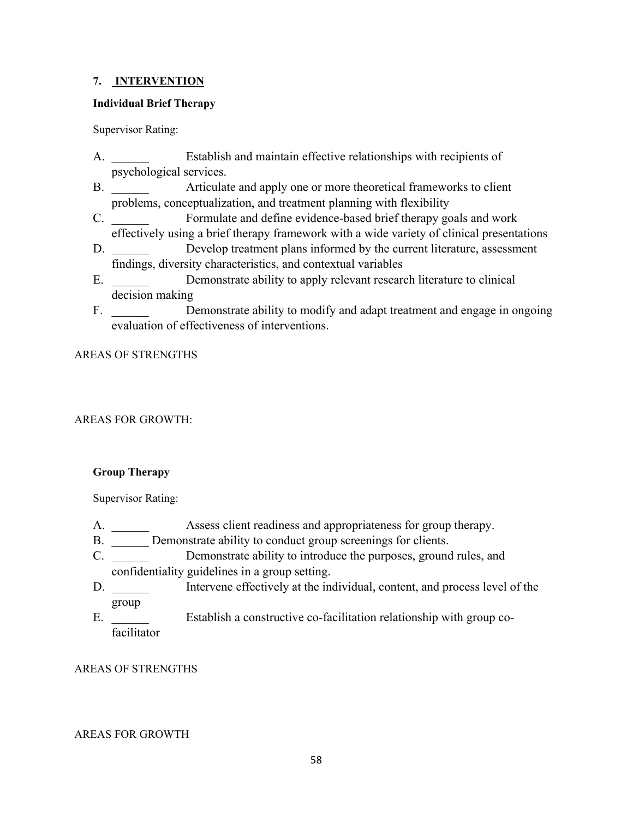#### **7. INTERVENTION**

#### **Individual Brief Therapy**

Supervisor Rating:

- A. Establish and maintain effective relationships with recipients of psychological services.
- B. Articulate and apply one or more theoretical frameworks to client problems, conceptualization, and treatment planning with flexibility
- C. \_\_\_\_\_\_ Formulate and define evidence-based brief therapy goals and work effectively using a brief therapy framework with a wide variety of clinical presentations
- D. Develop treatment plans informed by the current literature, assessment findings, diversity characteristics, and contextual variables
- E. Demonstrate ability to apply relevant research literature to clinical decision making
- F. Demonstrate ability to modify and adapt treatment and engage in ongoing evaluation of effectiveness of interventions.

#### AREAS OF STRENGTHS

### AREAS FOR GROWTH:

#### **Group Therapy**

Supervisor Rating:

- A. \_\_\_\_\_\_ Assess client readiness and appropriateness for group therapy.
- B. Demonstrate ability to conduct group screenings for clients.
- C. Demonstrate ability to introduce the purposes, ground rules, and confidentiality guidelines in a group setting.
- D. **Intervene effectively at the individual, content, and process level of the** group
- E. Establish a constructive co-facilitation relationship with group cofacilitator

#### AREAS OF STRENGTHS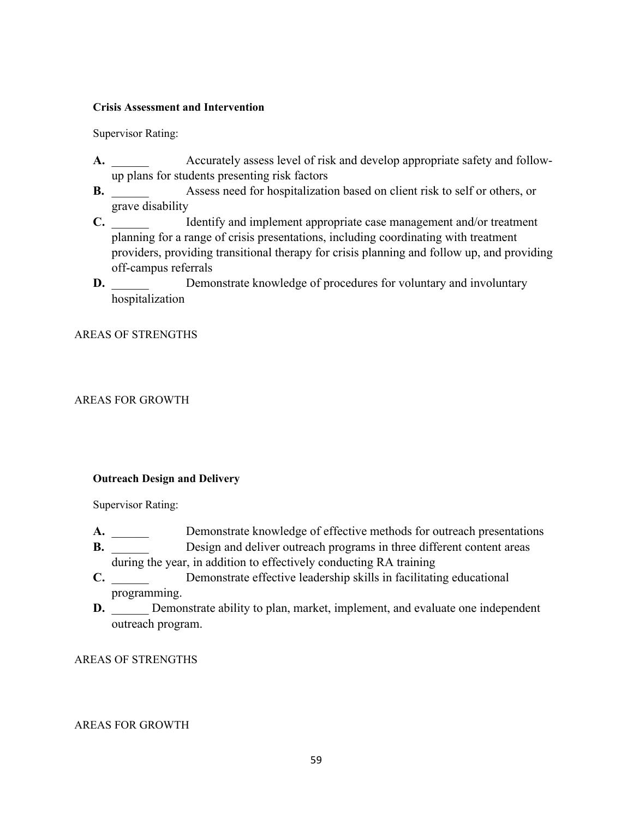#### **Crisis Assessment and Intervention**

Supervisor Rating:

- **A.** Accurately assess level of risk and develop appropriate safety and followup plans for students presenting risk factors
- **B.** Assess need for hospitalization based on client risk to self or others, or grave disability
- **C.** Identify and implement appropriate case management and/or treatment planning for a range of crisis presentations, including coordinating with treatment providers, providing transitional therapy for crisis planning and follow up, and providing off-campus referrals
- **D.** Demonstrate knowledge of procedures for voluntary and involuntary hospitalization

#### AREAS OF STRENGTHS

#### AREAS FOR GROWTH

#### **Outreach Design and Delivery**

Supervisor Rating:

- A. \_\_\_\_\_\_ Demonstrate knowledge of effective methods for outreach presentations
- **B.** Design and deliver outreach programs in three different content areas during the year, in addition to effectively conducting RA training
- **C.** Demonstrate effective leadership skills in facilitating educational programming.
- **D.** Demonstrate ability to plan, market, implement, and evaluate one independent outreach program.

#### AREAS OF STRENGTHS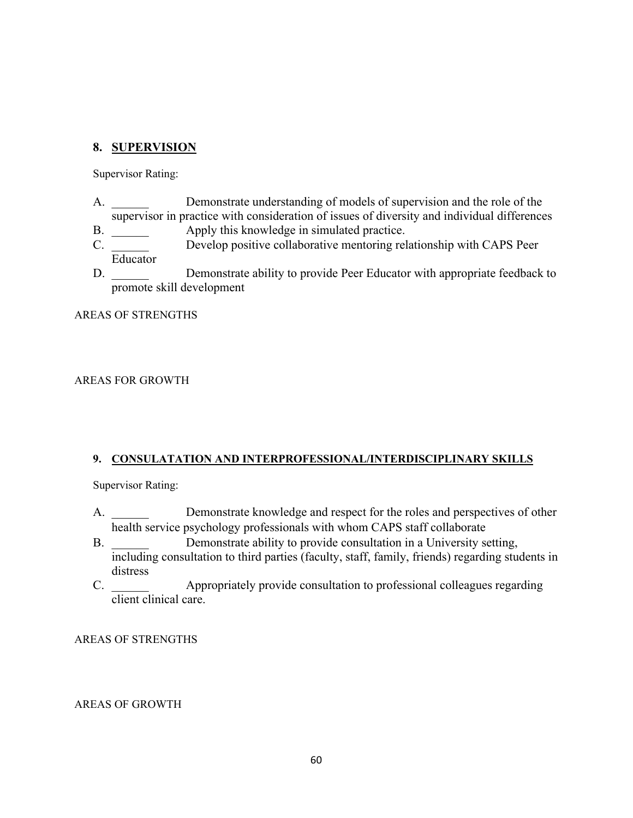### **8. SUPERVISION**

Supervisor Rating:

- A. \_\_\_\_\_\_ Demonstrate understanding of models of supervision and the role of the supervisor in practice with consideration of issues of diversity and individual differences
- B.  $\Delta$  Apply this knowledge in simulated practice.
- C. \_\_\_\_\_\_ Develop positive collaborative mentoring relationship with CAPS Peer Educator
- D. Demonstrate ability to provide Peer Educator with appropriate feedback to promote skill development

AREAS OF STRENGTHS

#### AREAS FOR GROWTH

#### **9. CONSULATATION AND INTERPROFESSIONAL/INTERDISCIPLINARY SKILLS**

Supervisor Rating:

- A. Demonstrate knowledge and respect for the roles and perspectives of other health service psychology professionals with whom CAPS staff collaborate
- B. Demonstrate ability to provide consultation in a University setting, including consultation to third parties (faculty, staff, family, friends) regarding students in distress
- C. \_\_\_\_\_\_ Appropriately provide consultation to professional colleagues regarding client clinical care.

#### AREAS OF STRENGTHS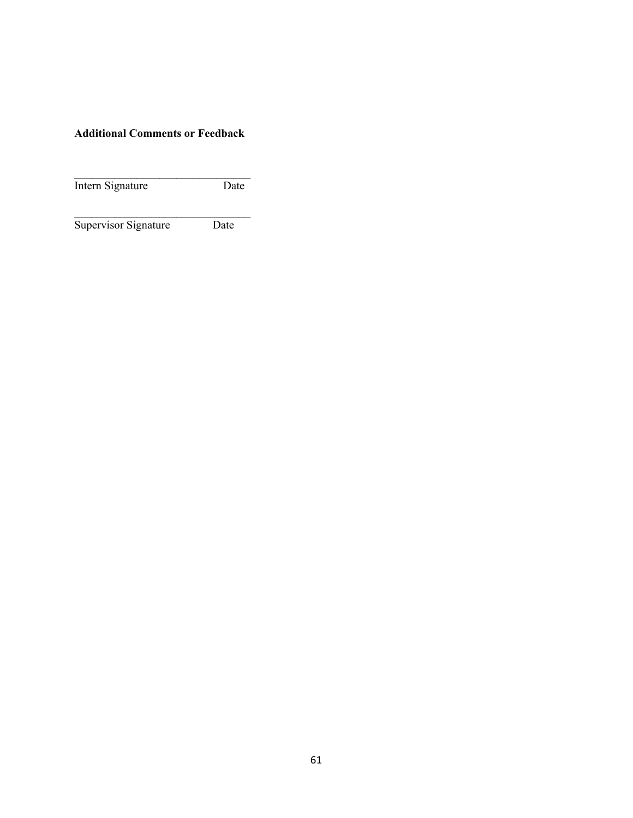### **Additional Comments or Feedback**

 $\mathcal{L}_\text{max}$  , where  $\mathcal{L}_\text{max}$  is the set of the set of the set of the set of the set of the set of the set of the set of the set of the set of the set of the set of the set of the set of the set of the set of the se Intern Signature Date

 $\mathcal{L}_\text{max}$  , where  $\mathcal{L}_\text{max}$  is the set of the set of the set of the set of the set of the set of the set of the set of the set of the set of the set of the set of the set of the set of the set of the set of the se Supervisor Signature Date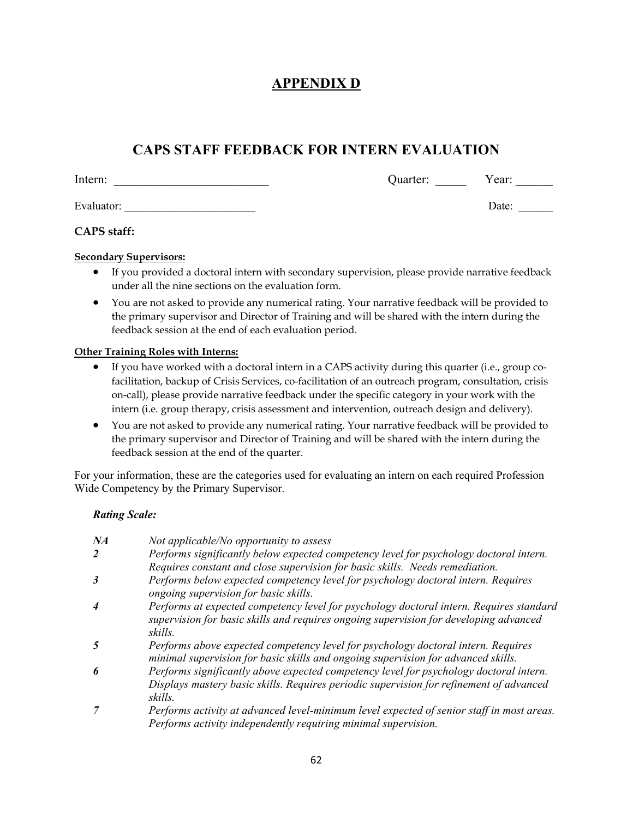# **APPENDIX D**

# **CAPS STAFF FEEDBACK FOR INTERN EVALUATION**

Intern: \_\_\_\_\_\_\_\_\_\_\_\_\_\_\_\_\_\_\_\_\_\_\_\_\_ Quarter: \_\_\_\_\_ Year: \_\_\_\_\_\_

Evaluator: \_\_\_\_\_\_\_\_\_\_\_\_\_\_\_\_\_\_\_\_\_\_\_ Date: \_\_\_\_\_\_

### **CAPS staff:**

#### **Secondary Supervisors:**

- If you provided a doctoral intern with secondary supervision, please provide narrative feedback under all the nine sections on the evaluation form.
- You are not asked to provide any numerical rating. Your narrative feedback will be provided to the primary supervisor and Director of Training and will be shared with the intern during the feedback session at the end of each evaluation period.

#### **Other Training Roles with Interns:**

- If you have worked with a doctoral intern in a CAPS activity during this quarter (i.e., group cofacilitation, backup of Crisis Services, co-facilitation of an outreach program, consultation, crisis on-call), please provide narrative feedback under the specific category in your work with the intern (i.e. group therapy, crisis assessment and intervention, outreach design and delivery).
- You are not asked to provide any numerical rating. Your narrative feedback will be provided to the primary supervisor and Director of Training and will be shared with the intern during the feedback session at the end of the quarter.

For your information, these are the categories used for evaluating an intern on each required Profession Wide Competency by the Primary Supervisor.

#### *Rating Scale:*

| NA | Not applicable/No opportunity to assess                                                                                                                                                      |
|----|----------------------------------------------------------------------------------------------------------------------------------------------------------------------------------------------|
| 2  | Performs significantly below expected competency level for psychology doctoral intern.                                                                                                       |
|    | Requires constant and close supervision for basic skills. Needs remediation.                                                                                                                 |
| 3  | Performs below expected competency level for psychology doctoral intern. Requires<br>ongoing supervision for basic skills.                                                                   |
| 4  | Performs at expected competency level for psychology doctoral intern. Requires standard<br>supervision for basic skills and requires ongoing supervision for developing advanced<br>skills.  |
| 5  | Performs above expected competency level for psychology doctoral intern. Requires<br>minimal supervision for basic skills and ongoing supervision for advanced skills.                       |
| 6  | Performs significantly above expected competency level for psychology doctoral intern.<br>Displays mastery basic skills. Requires periodic supervision for refinement of advanced<br>skills. |
|    | Performs activity at advanced level-minimum level expected of senior staff in most areas.<br>Performs activity independently requiring minimal supervision.                                  |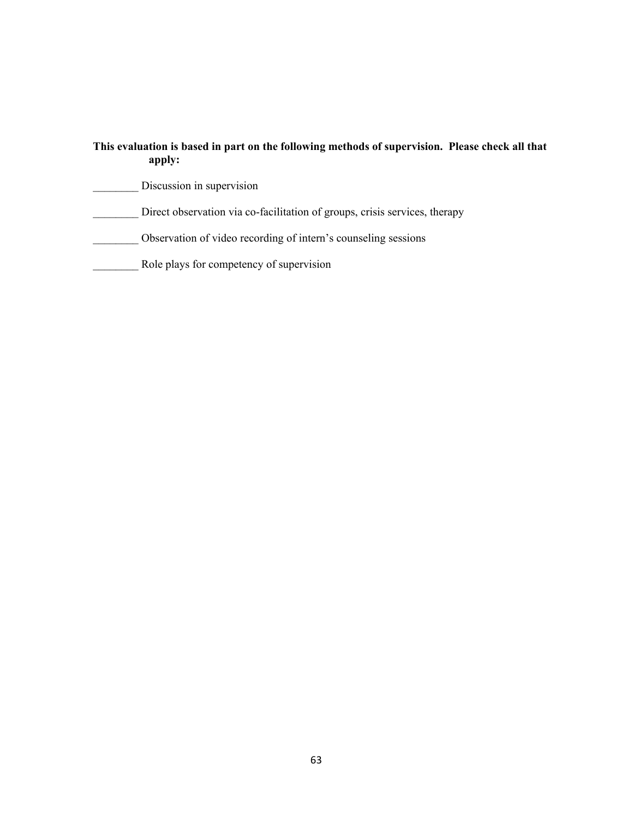# **This evaluation is based in part on the following methods of supervision. Please check all that apply:** Discussion in supervision Direct observation via co-facilitation of groups, crisis services, therapy \_\_\_\_\_\_\_\_ Observation of video recording of intern's counseling sessions \_\_\_\_\_\_\_\_ Role plays for competency of supervision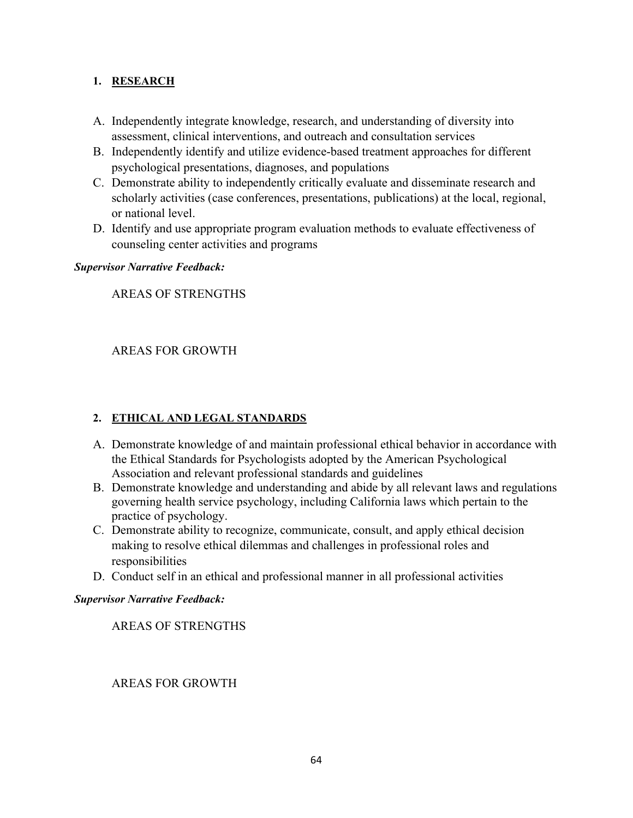### **1. RESEARCH**

- A. Independently integrate knowledge, research, and understanding of diversity into assessment, clinical interventions, and outreach and consultation services
- B. Independently identify and utilize evidence-based treatment approaches for different psychological presentations, diagnoses, and populations
- C. Demonstrate ability to independently critically evaluate and disseminate research and scholarly activities (case conferences, presentations, publications) at the local, regional, or national level.
- D. Identify and use appropriate program evaluation methods to evaluate effectiveness of counseling center activities and programs

### *Supervisor Narrative Feedback:*

AREAS OF STRENGTHS

### AREAS FOR GROWTH

### **2. ETHICAL AND LEGAL STANDARDS**

- A. Demonstrate knowledge of and maintain professional ethical behavior in accordance with the Ethical Standards for Psychologists adopted by the American Psychological Association and relevant professional standards and guidelines
- B. Demonstrate knowledge and understanding and abide by all relevant laws and regulations governing health service psychology, including California laws which pertain to the practice of psychology.
- C. Demonstrate ability to recognize, communicate, consult, and apply ethical decision making to resolve ethical dilemmas and challenges in professional roles and responsibilities
- D. Conduct self in an ethical and professional manner in all professional activities

#### *Supervisor Narrative Feedback:*

AREAS OF STRENGTHS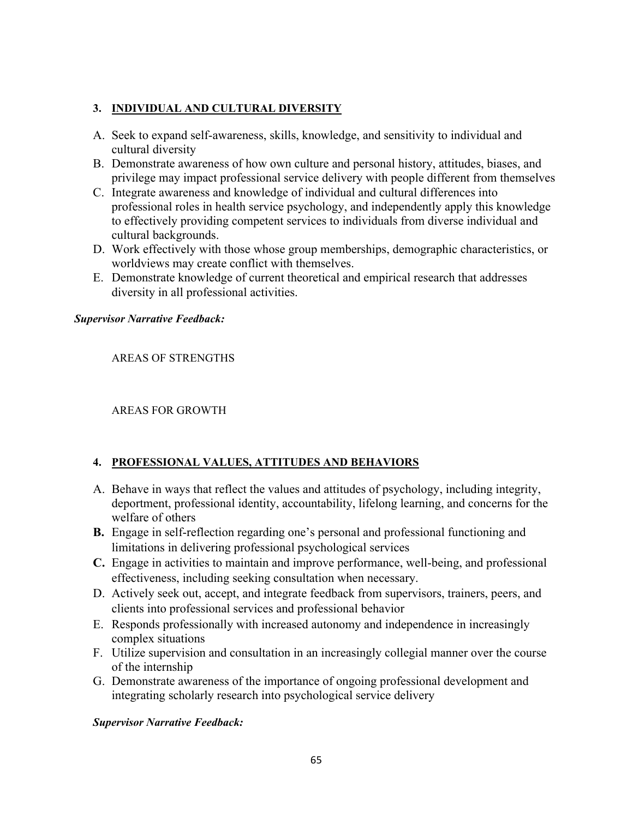### **3. INDIVIDUAL AND CULTURAL DIVERSITY**

- A. Seek to expand self-awareness, skills, knowledge, and sensitivity to individual and cultural diversity
- B. Demonstrate awareness of how own culture and personal history, attitudes, biases, and privilege may impact professional service delivery with people different from themselves
- C. Integrate awareness and knowledge of individual and cultural differences into professional roles in health service psychology, and independently apply this knowledge to effectively providing competent services to individuals from diverse individual and cultural backgrounds.
- D. Work effectively with those whose group memberships, demographic characteristics, or worldviews may create conflict with themselves.
- E. Demonstrate knowledge of current theoretical and empirical research that addresses diversity in all professional activities.

#### *Supervisor Narrative Feedback:*

AREAS OF STRENGTHS

AREAS FOR GROWTH

### **4. PROFESSIONAL VALUES, ATTITUDES AND BEHAVIORS**

- A. Behave in ways that reflect the values and attitudes of psychology, including integrity, deportment, professional identity, accountability, lifelong learning, and concerns for the welfare of others
- **B.** Engage in self-reflection regarding one's personal and professional functioning and limitations in delivering professional psychological services
- **C.** Engage in activities to maintain and improve performance, well-being, and professional effectiveness, including seeking consultation when necessary.
- D. Actively seek out, accept, and integrate feedback from supervisors, trainers, peers, and clients into professional services and professional behavior
- E. Responds professionally with increased autonomy and independence in increasingly complex situations
- F. Utilize supervision and consultation in an increasingly collegial manner over the course of the internship
- G. Demonstrate awareness of the importance of ongoing professional development and integrating scholarly research into psychological service delivery

#### *Supervisor Narrative Feedback:*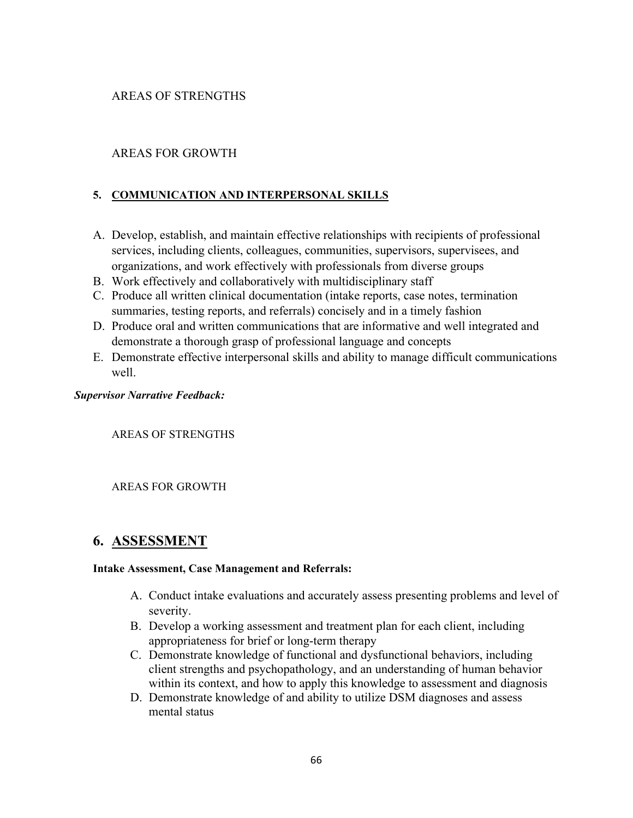### AREAS OF STRENGTHS

### AREAS FOR GROWTH

### **5. COMMUNICATION AND INTERPERSONAL SKILLS**

- A. Develop, establish, and maintain effective relationships with recipients of professional services, including clients, colleagues, communities, supervisors, supervisees, and organizations, and work effectively with professionals from diverse groups
- B. Work effectively and collaboratively with multidisciplinary staff
- C. Produce all written clinical documentation (intake reports, case notes, termination summaries, testing reports, and referrals) concisely and in a timely fashion
- D. Produce oral and written communications that are informative and well integrated and demonstrate a thorough grasp of professional language and concepts
- E. Demonstrate effective interpersonal skills and ability to manage difficult communications well.

#### *Supervisor Narrative Feedback:*

AREAS OF STRENGTHS

#### AREAS FOR GROWTH

# **6. ASSESSMENT**

#### **Intake Assessment, Case Management and Referrals:**

- A. Conduct intake evaluations and accurately assess presenting problems and level of severity.
- B. Develop a working assessment and treatment plan for each client, including appropriateness for brief or long-term therapy
- C. Demonstrate knowledge of functional and dysfunctional behaviors, including client strengths and psychopathology, and an understanding of human behavior within its context, and how to apply this knowledge to assessment and diagnosis
- D. Demonstrate knowledge of and ability to utilize DSM diagnoses and assess mental status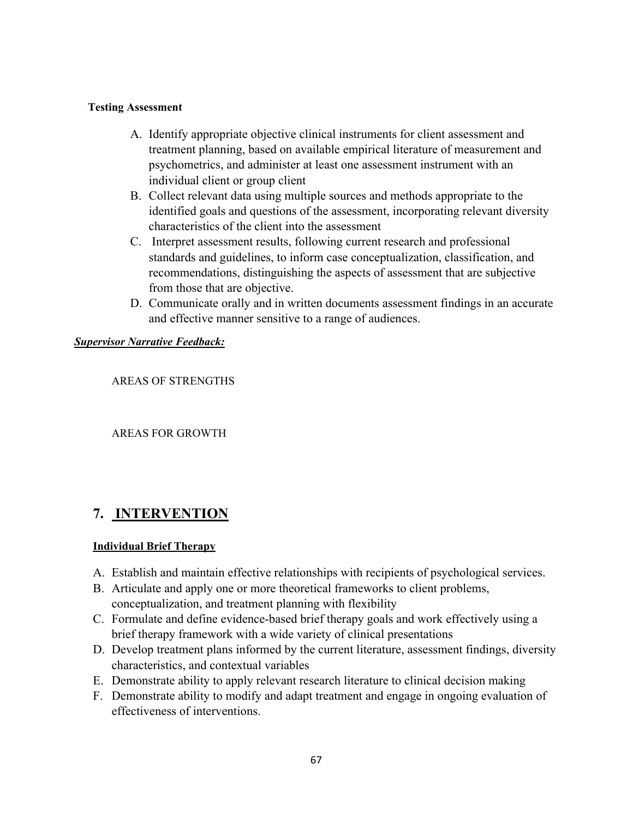#### **Testing Assessment**

- A. Identify appropriate objective clinical instruments for client assessment and treatment planning, based on available empirical literature of measurement and psychometrics, and administer at least one assessment instrument with an individual client or group client
- B. Collect relevant data using multiple sources and methods appropriate to the identified goals and questions of the assessment, incorporating relevant diversity characteristics of the client into the assessment
- C. Interpret assessment results, following current research and professional standards and guidelines, to inform case conceptualization, classification, and recommendations, distinguishing the aspects of assessment that are subjective from those that are objective.
- D. Communicate orally and in written documents assessment findings in an accurate and effective manner sensitive to a range of audiences.

#### *Supervisor Narrative Feedback:*

### AREAS OF STRENGTHS

#### AREAS FOR GROWTH

# **7. INTERVENTION**

#### **Individual Brief Therapy**

- A. Establish and maintain effective relationships with recipients of psychological services.
- B. Articulate and apply one or more theoretical frameworks to client problems, conceptualization, and treatment planning with flexibility
- C. Formulate and define evidence-based brief therapy goals and work effectively using a brief therapy framework with a wide variety of clinical presentations
- D. Develop treatment plans informed by the current literature, assessment findings, diversity characteristics, and contextual variables
- E. Demonstrate ability to apply relevant research literature to clinical decision making
- F. Demonstrate ability to modify and adapt treatment and engage in ongoing evaluation of effectiveness of interventions.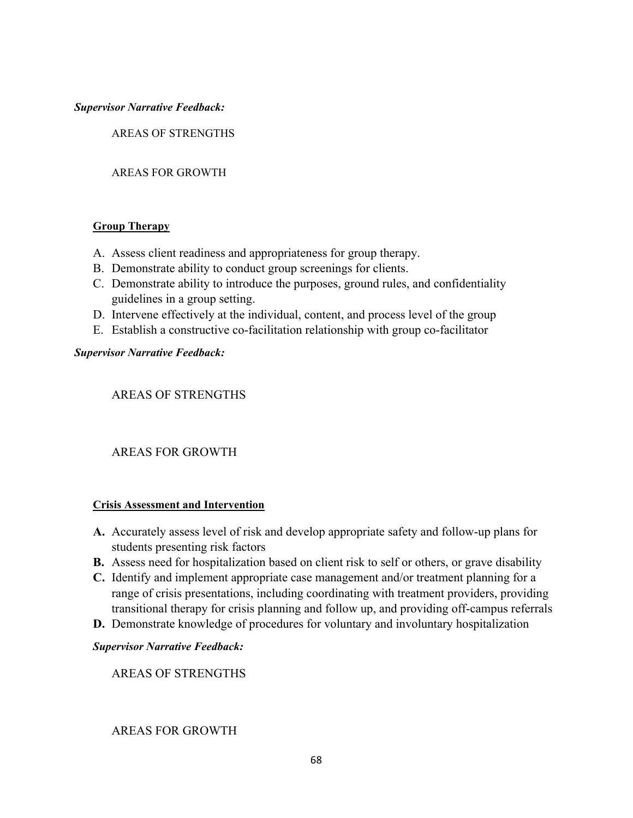#### *Supervisor Narrative Feedback:*

AREAS OF STRENGTHS

#### AREAS FOR GROWTH

#### **Group Therapy**

- A. Assess client readiness and appropriateness for group therapy.
- B. Demonstrate ability to conduct group screenings for clients.
- C. Demonstrate ability to introduce the purposes, ground rules, and confidentiality guidelines in a group setting.
- D. Intervene effectively at the individual, content, and process level of the group
- E. Establish a constructive co-facilitation relationship with group co-facilitator

#### *Supervisor Narrative Feedback:*

### AREAS OF STRENGTHS

### AREAS FOR GROWTH

#### **Crisis Assessment and Intervention**

- **A.** Accurately assess level of risk and develop appropriate safety and follow-up plans for students presenting risk factors
- **B.** Assess need for hospitalization based on client risk to self or others, or grave disability
- **C.** Identify and implement appropriate case management and/or treatment planning for a range of crisis presentations, including coordinating with treatment providers, providing transitional therapy for crisis planning and follow up, and providing off-campus referrals
- **D.** Demonstrate knowledge of procedures for voluntary and involuntary hospitalization

#### *Supervisor Narrative Feedback:*

AREAS OF STRENGTHS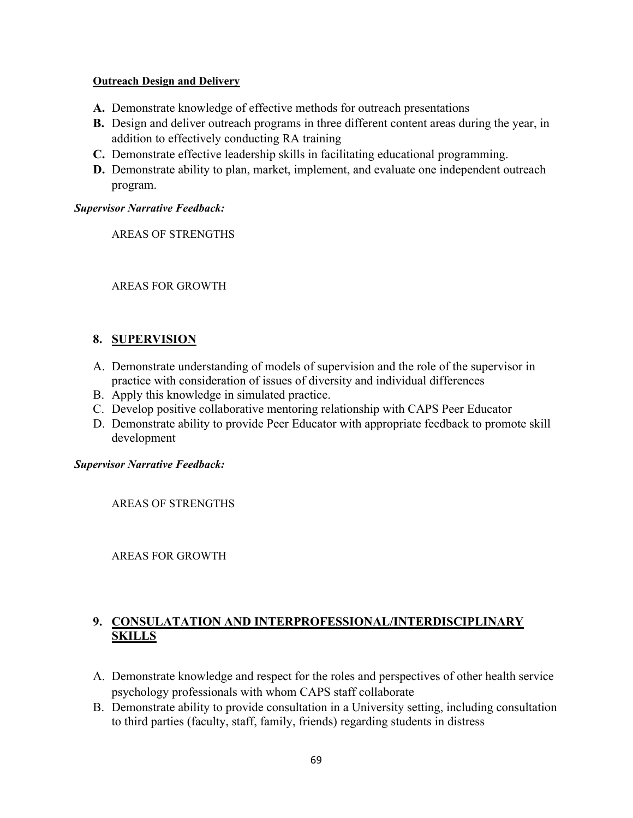#### **Outreach Design and Delivery**

- **A.** Demonstrate knowledge of effective methods for outreach presentations
- **B.** Design and deliver outreach programs in three different content areas during the year, in addition to effectively conducting RA training
- **C.** Demonstrate effective leadership skills in facilitating educational programming.
- **D.** Demonstrate ability to plan, market, implement, and evaluate one independent outreach program.

#### *Supervisor Narrative Feedback:*

AREAS OF STRENGTHS

#### AREAS FOR GROWTH

### **8. SUPERVISION**

- A. Demonstrate understanding of models of supervision and the role of the supervisor in practice with consideration of issues of diversity and individual differences
- B. Apply this knowledge in simulated practice.
- C. Develop positive collaborative mentoring relationship with CAPS Peer Educator
- D. Demonstrate ability to provide Peer Educator with appropriate feedback to promote skill development

#### *Supervisor Narrative Feedback:*

AREAS OF STRENGTHS

AREAS FOR GROWTH

### **9. CONSULATATION AND INTERPROFESSIONAL/INTERDISCIPLINARY SKILLS**

- A. Demonstrate knowledge and respect for the roles and perspectives of other health service psychology professionals with whom CAPS staff collaborate
- B. Demonstrate ability to provide consultation in a University setting, including consultation to third parties (faculty, staff, family, friends) regarding students in distress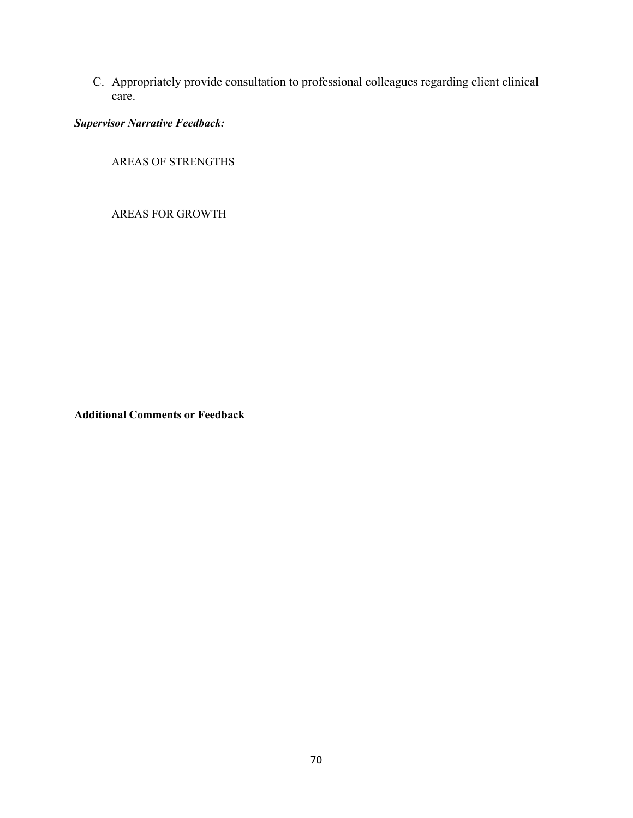C. Appropriately provide consultation to professional colleagues regarding client clinical care.

*Supervisor Narrative Feedback:*

AREAS OF STRENGTHS

AREAS FOR GROWTH

**Additional Comments or Feedback**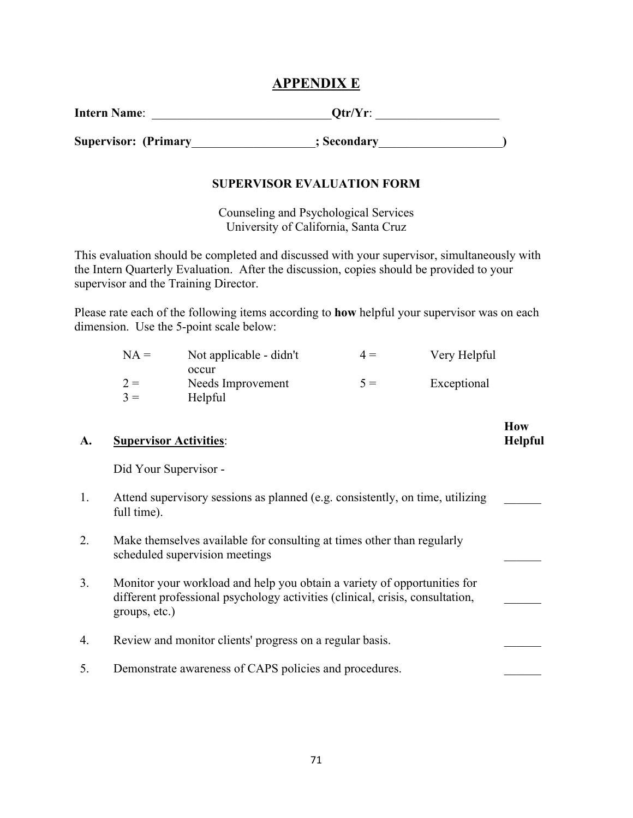### **APPENDIX E**

| <b>Intern Name:</b> | $Qtr/Yr$ : |
|---------------------|------------|
|                     |            |

Supervisor: (Primary the secondary secondary secondary secondary secondary secondary secondary secondary seconda

### **SUPERVISOR EVALUATION FORM**

Counseling and Psychological Services University of California, Santa Cruz

This evaluation should be completed and discussed with your supervisor, simultaneously with the Intern Quarterly Evaluation. After the discussion, copies should be provided to your supervisor and the Training Director.

Please rate each of the following items according to **how** helpful your supervisor was on each dimension. Use the 5-point scale below:

| $NA =$ | Not applicable - didn't | $4 =$ | Very Helpful |
|--------|-------------------------|-------|--------------|
|        | occur                   |       |              |
| $2 =$  | Needs Improvement       | $5 =$ | Exceptional  |
| $3 =$  | Helpful                 |       |              |

**How Helpful**

 $\frac{1}{2}$ 

### **A. Supervisor Activities**:

Did Your Supervisor -

- 1. Attend supervisory sessions as planned (e.g. consistently, on time, utilizing full time).
- 2. Make themselves available for consulting at times other than regularly scheduled supervision meetings
- 3. Monitor your workload and help you obtain a variety of opportunities for different professional psychology activities (clinical, crisis, consultation, groups, etc.)
- 4. Review and monitor clients' progress on a regular basis.
- 5. Demonstrate awareness of CAPS policies and procedures.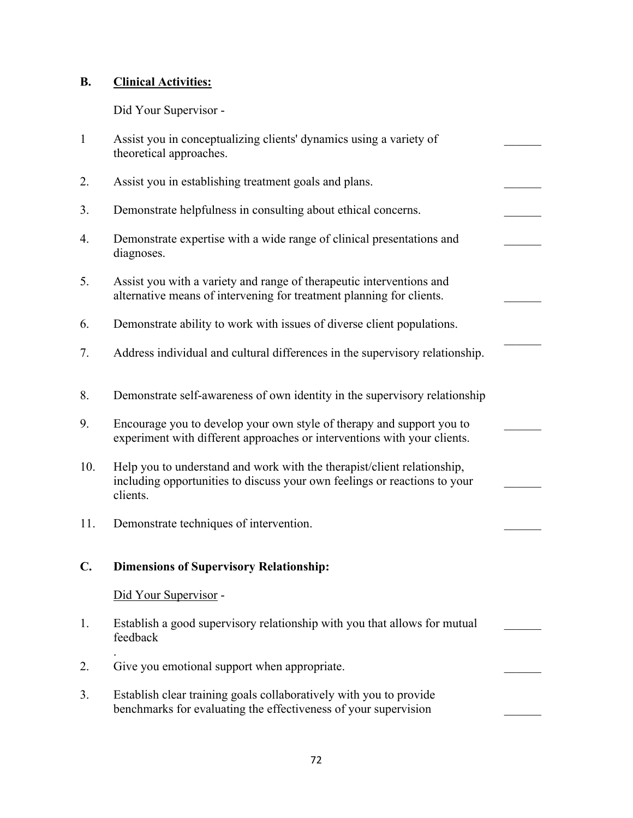# **B. Clinical Activities:**

Did Your Supervisor -

| $\mathbf{1}$   | Assist you in conceptualizing clients' dynamics using a variety of<br>theoretical approaches.                                                                    |  |
|----------------|------------------------------------------------------------------------------------------------------------------------------------------------------------------|--|
| 2.             | Assist you in establishing treatment goals and plans.                                                                                                            |  |
| 3.             | Demonstrate helpfulness in consulting about ethical concerns.                                                                                                    |  |
| 4.             | Demonstrate expertise with a wide range of clinical presentations and<br>diagnoses.                                                                              |  |
| 5.             | Assist you with a variety and range of therapeutic interventions and<br>alternative means of intervening for treatment planning for clients.                     |  |
| 6.             | Demonstrate ability to work with issues of diverse client populations.                                                                                           |  |
| 7.             | Address individual and cultural differences in the supervisory relationship.                                                                                     |  |
| 8.             | Demonstrate self-awareness of own identity in the supervisory relationship                                                                                       |  |
| 9.             | Encourage you to develop your own style of therapy and support you to<br>experiment with different approaches or interventions with your clients.                |  |
| 10.            | Help you to understand and work with the therapist/client relationship,<br>including opportunities to discuss your own feelings or reactions to your<br>clients. |  |
| 11.            | Demonstrate techniques of intervention.                                                                                                                          |  |
| $\mathbf{C}$ . | <b>Dimensions of Supervisory Relationship:</b>                                                                                                                   |  |
|                | Did Your Supervisor -                                                                                                                                            |  |
| 1.             | Establish a good supervisory relationship with you that allows for mutual<br>feedback                                                                            |  |
| 2.             | Give you emotional support when appropriate.                                                                                                                     |  |
| 3.             | Establish clear training goals collaboratively with you to provide<br>benchmarks for evaluating the effectiveness of your supervision                            |  |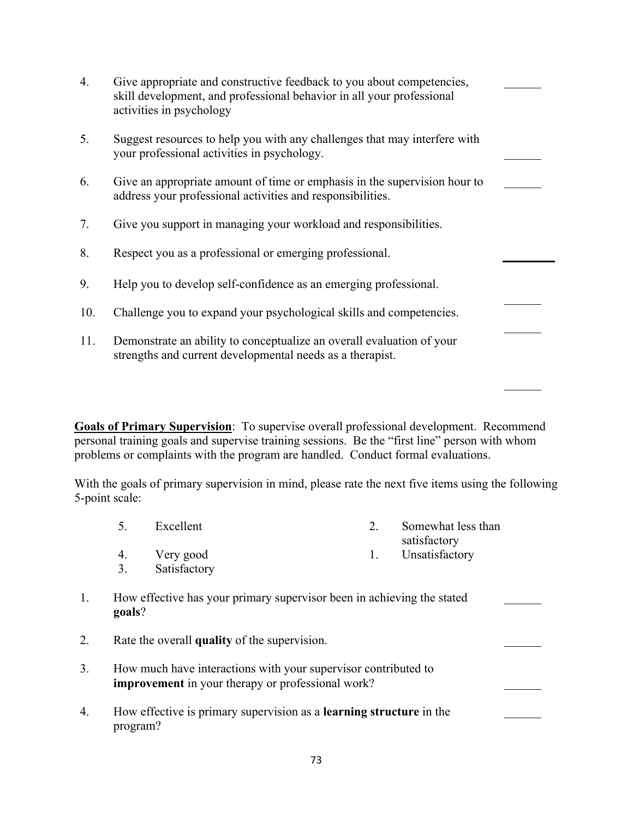| 4.  | Give appropriate and constructive feedback to you about competencies,<br>skill development, and professional behavior in all your professional<br>activities in psychology |  |
|-----|----------------------------------------------------------------------------------------------------------------------------------------------------------------------------|--|
| 5.  | Suggest resources to help you with any challenges that may interfere with<br>your professional activities in psychology.                                                   |  |
| 6.  | Give an appropriate amount of time or emphasis in the supervision hour to<br>address your professional activities and responsibilities.                                    |  |
| 7.  | Give you support in managing your workload and responsibilities.                                                                                                           |  |
| 8.  | Respect you as a professional or emerging professional.                                                                                                                    |  |
| 9.  | Help you to develop self-confidence as an emerging professional.                                                                                                           |  |
| 10. | Challenge you to expand your psychological skills and competencies.                                                                                                        |  |
| 11. | Demonstrate an ability to conceptualize an overall evaluation of your<br>strengths and current developmental needs as a therapist.                                         |  |

**Goals of Primary Supervision**: To supervise overall professional development. Recommend personal training goals and supervise training sessions. Be the "first line" person with whom problems or complaints with the program are handled. Conduct formal evaluations.

With the goals of primary supervision in mind, please rate the next five items using the following 5-point scale:

- 5. Excellent 2. Somewhat less than satisfactory
- 4. Very good 1. Unsatisfactory
- 3. Satisfactory
- 1. How effective has your primary supervisor been in achieving the stated **goals**?
- 2. Rate the overall **quality** of the supervision.
- 3. How much have interactions with your supervisor contributed to **improvement** in your therapy or professional work?
- 4. How effective is primary supervision as a **learning structure** in the program?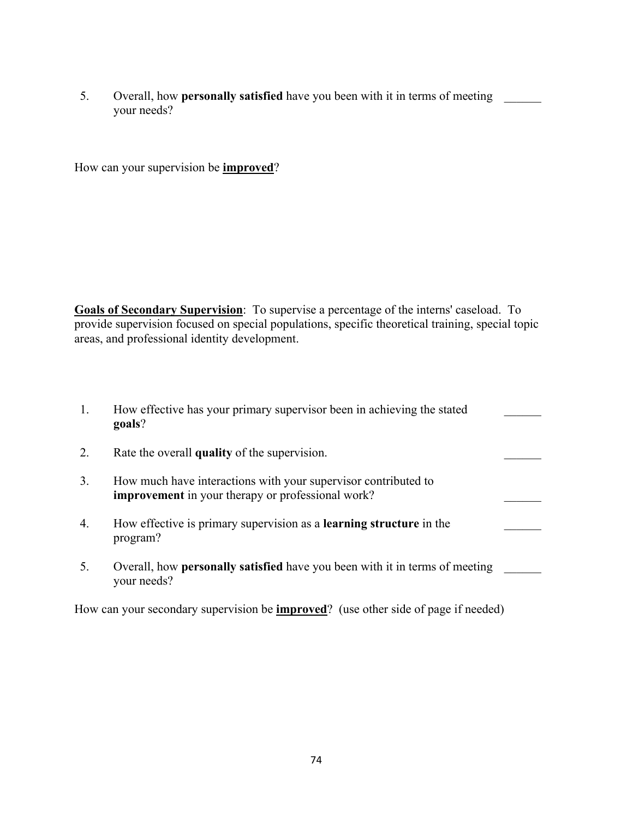5. Overall, how **personally satisfied** have you been with it in terms of meeting \_\_\_\_\_\_ your needs?

How can your supervision be **improved**?

**Goals of Secondary Supervision**: To supervise a percentage of the interns' caseload. To provide supervision focused on special populations, specific theoretical training, special topic areas, and professional identity development.

| 1. | How effective has your primary supervisor been in achieving the stated<br>goals?                                    |  |
|----|---------------------------------------------------------------------------------------------------------------------|--|
| 2. | Rate the overall quality of the supervision.                                                                        |  |
| 3. | How much have interactions with your supervisor contributed to<br>improvement in your therapy or professional work? |  |
| 4. | How effective is primary supervision as a <b>learning structure</b> in the<br>program?                              |  |
| 5. | Overall, how <b>personally satisfied</b> have you been with it in terms of meeting<br>your needs?                   |  |

How can your secondary supervision be **improved**? (use other side of page if needed)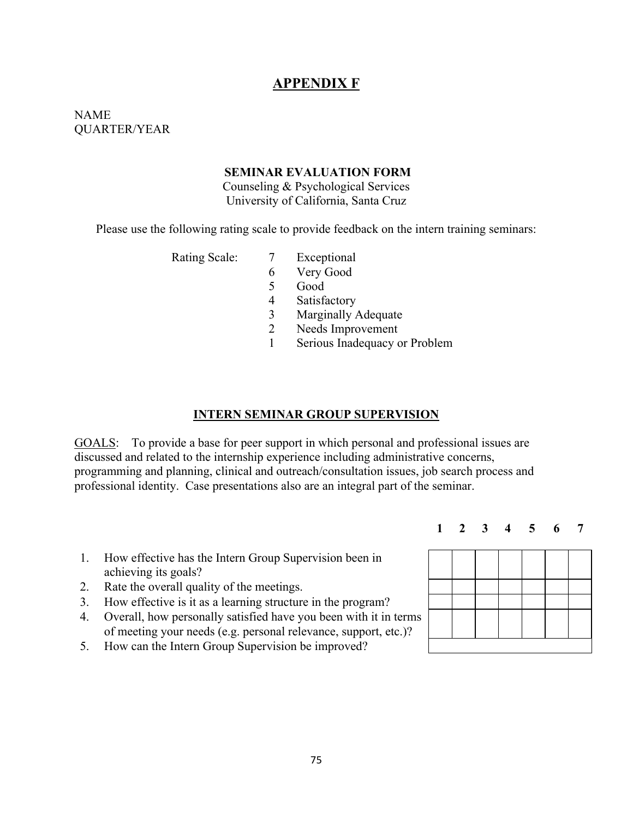## **APPENDIX F**

### NAME QUARTER/YEAR

#### **SEMINAR EVALUATION FORM**

Counseling & Psychological Services University of California, Santa Cruz

Please use the following rating scale to provide feedback on the intern training seminars:

- Rating Scale: 7 Exceptional
	- 6 Very Good
	- 5 Good
	- 4 Satisfactory
	- 3 Marginally Adequate
	- 2 Needs Improvement
	- 1 Serious Inadequacy or Problem

#### **INTERN SEMINAR GROUP SUPERVISION**

GOALS: To provide a base for peer support in which personal and professional issues are discussed and related to the internship experience including administrative concerns, programming and planning, clinical and outreach/consultation issues, job search process and professional identity. Case presentations also are an integral part of the seminar.

- 1. How effective has the Intern Group Supervision been in achieving its goals?
- 2. Rate the overall quality of the meetings.
- 3. How effective is it as a learning structure in the program?
- 4. Overall, how personally satisfied have you been with it in terms of meeting your needs (e.g. personal relevance, support, etc.)?
- 5. How can the Intern Group Supervision be improved?



**1 2 3 4 5 6 7**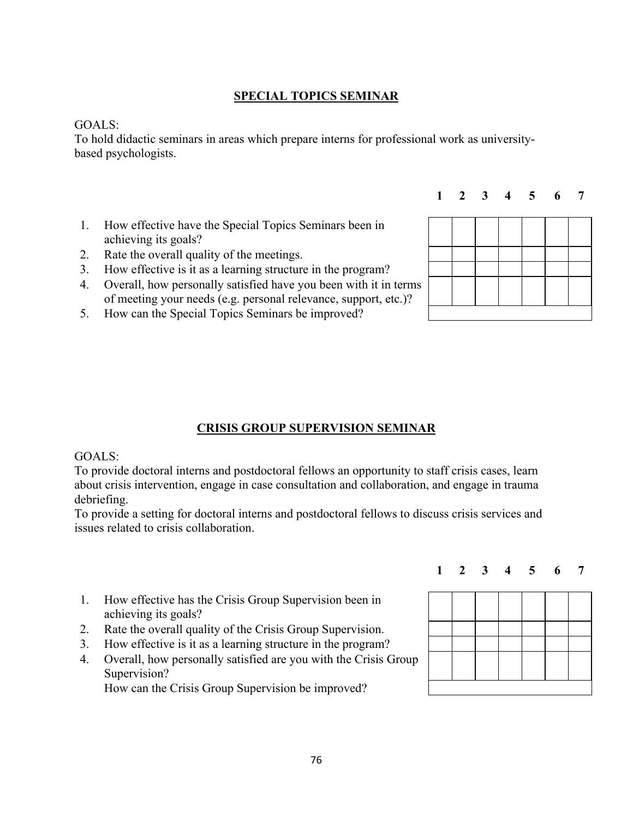## **SPECIAL TOPICS SEMINAR**

### GOALS:

To hold didactic seminars in areas which prepare interns for professional work as universitybased psychologists.

- 1. How effective have the Special Topics Seminars been in achieving its goals?
- 2. Rate the overall quality of the meetings.
- 3. How effective is it as a learning structure in the program?
- 4. Overall, how personally satisfied have you been with it in terms of meeting your needs (e.g. personal relevance, support, etc.)?
- 5. How can the Special Topics Seminars be improved?

## **CRISIS GROUP SUPERVISION SEMINAR**

#### GOALS:

To provide doctoral interns and postdoctoral fellows an opportunity to staff crisis cases, learn about crisis intervention, engage in case consultation and collaboration, and engage in trauma debriefing.

To provide a setting for doctoral interns and postdoctoral fellows to discuss crisis services and issues related to crisis collaboration.

- 1. How effective has the Crisis Group Supervision been in achieving its goals?
- 2. Rate the overall quality of the Crisis Group Supervision.
- 3. How effective is it as a learning structure in the program?
- 4. Overall, how personally satisfied are you with the Crisis Group Supervision?

How can the Crisis Group Supervision be improved?



**1 2 3 4 5 6 7**



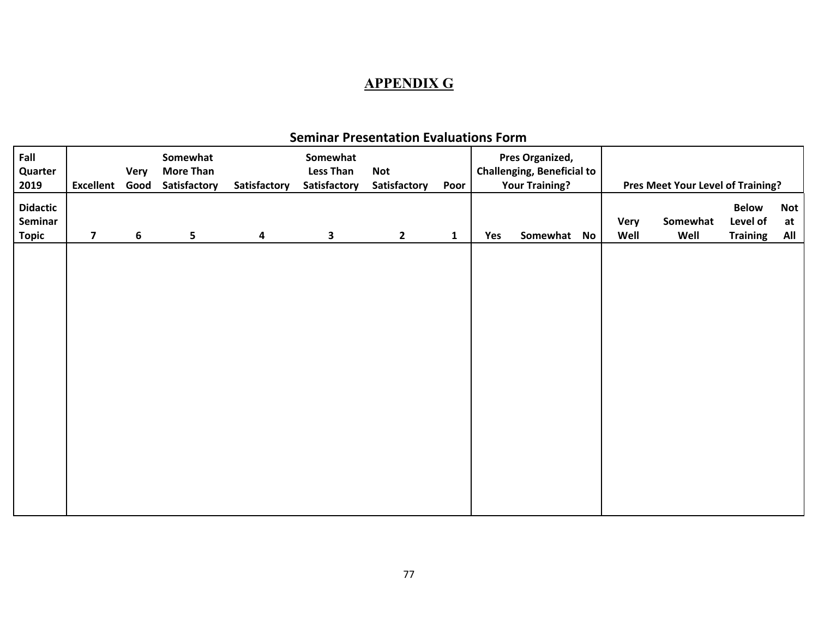# **APPENDIX G**

| Fall<br>Quarter<br>2019             | <b>Excellent Good</b>   | Very | Somewhat<br><b>More Than</b><br>Satisfactory | Satisfactory | Somewhat<br><b>Less Than</b><br>Satisfactory | <b>Not</b><br>Satisfactory | Poor         |     | Pres Organized,<br><b>Challenging, Beneficial to</b><br><b>Your Training?</b> |              | Pres Meet Your Level of Training? |                                             |                         |
|-------------------------------------|-------------------------|------|----------------------------------------------|--------------|----------------------------------------------|----------------------------|--------------|-----|-------------------------------------------------------------------------------|--------------|-----------------------------------|---------------------------------------------|-------------------------|
| <b>Didactic</b><br>Seminar<br>Topic | $\overline{\mathbf{z}}$ | 6    | 5                                            | 4            | 3                                            | $\overline{2}$             | $\mathbf{1}$ | Yes | Somewhat No                                                                   | Very<br>Well | Somewhat<br>Well                  | <b>Below</b><br>Level of<br><b>Training</b> | <b>Not</b><br>at<br>All |
|                                     |                         |      |                                              |              |                                              |                            |              |     |                                                                               |              |                                   |                                             |                         |
|                                     |                         |      |                                              |              |                                              |                            |              |     |                                                                               |              |                                   |                                             |                         |
|                                     |                         |      |                                              |              |                                              |                            |              |     |                                                                               |              |                                   |                                             |                         |
|                                     |                         |      |                                              |              |                                              |                            |              |     |                                                                               |              |                                   |                                             |                         |
|                                     |                         |      |                                              |              |                                              |                            |              |     |                                                                               |              |                                   |                                             |                         |
|                                     |                         |      |                                              |              |                                              |                            |              |     |                                                                               |              |                                   |                                             |                         |

## **Seminar Presentation Evaluations Form**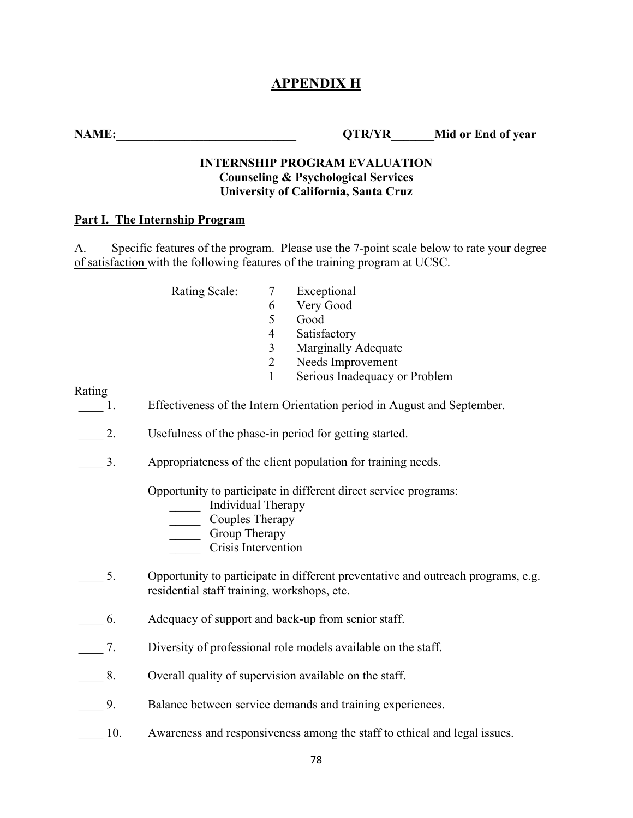## **APPENDIX H**

**NAME:** QTR/YR Mid or End of year

### **INTERNSHIP PROGRAM EVALUATION Counseling & Psychological Services University of California, Santa Cruz**

#### **Part I. The Internship Program**

A. Specific features of the program. Please use the 7-point scale below to rate your degree of satisfaction with the following features of the training program at UCSC.

- Rating Scale: 7 Exceptional
	- 6 Very Good
	- 5 Good
	- 4 Satisfactory
	- 3 Marginally Adequate
	- 2 Needs Improvement
	- 1 Serious Inadequacy or Problem

Rating

1. Effectiveness of the Intern Orientation period in August and September.

- 2. Usefulness of the phase-in period for getting started.
- 3. Appropriateness of the client population for training needs.

Opportunity to participate in different direct service programs:

- Individual Therapy
- \_\_\_\_\_ Couples Therapy
- \_\_\_\_\_ Group Therapy
- \_\_\_\_\_ Crisis Intervention
- 5. Opportunity to participate in different preventative and outreach programs, e.g. residential staff training, workshops, etc.
- \_\_\_\_ 6. Adequacy of support and back-up from senior staff.
- \_\_\_\_ 7. Diversity of professional role models available on the staff.
- 8. Overall quality of supervision available on the staff.
- 9. Balance between service demands and training experiences.
- 10. Awareness and responsiveness among the staff to ethical and legal issues.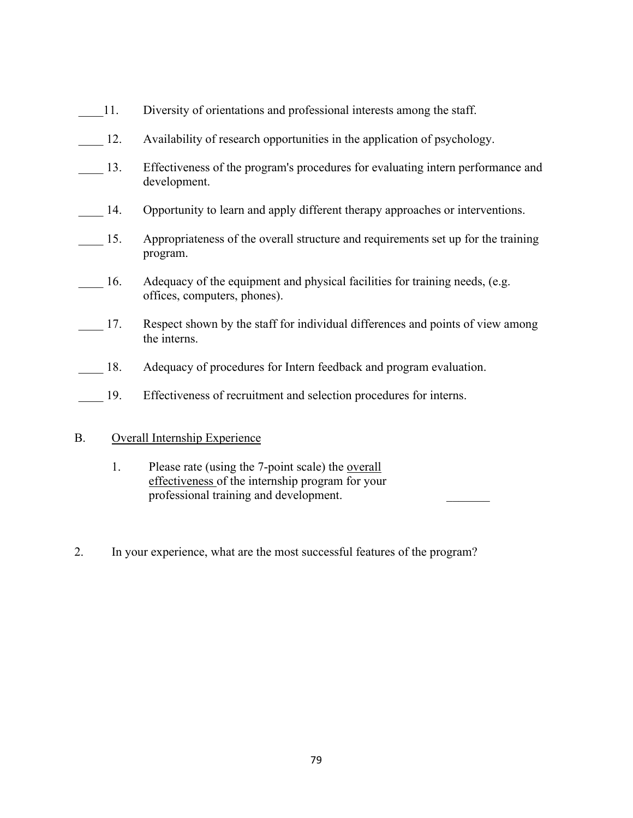- 11. Diversity of orientations and professional interests among the staff. 12. Availability of research opportunities in the application of psychology. 13. Effectiveness of the program's procedures for evaluating intern performance and development. 14. Opportunity to learn and apply different therapy approaches or interventions.
- 15. Appropriateness of the overall structure and requirements set up for the training program.
- 16. Adequacy of the equipment and physical facilities for training needs, (e.g. offices, computers, phones).
- 17. Respect shown by the staff for individual differences and points of view among the interns.
- 18. Adequacy of procedures for Intern feedback and program evaluation.
- 19. Effectiveness of recruitment and selection procedures for interns.

### B. Overall Internship Experience

- 1. Please rate (using the 7-point scale) the <u>overall</u> effectiveness of the internship program for your professional training and development. \_\_\_\_\_\_\_
- 2. In your experience, what are the most successful features of the program?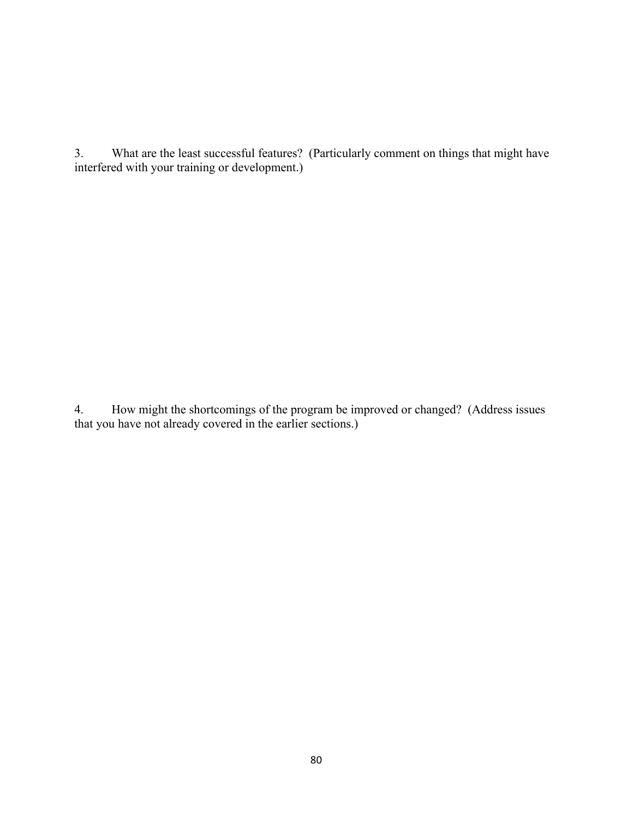3. What are the least successful features? (Particularly comment on things that might have interfered with your training or development.)

4. How might the shortcomings of the program be improved or changed? (Address issues that you have not already covered in the earlier sections.)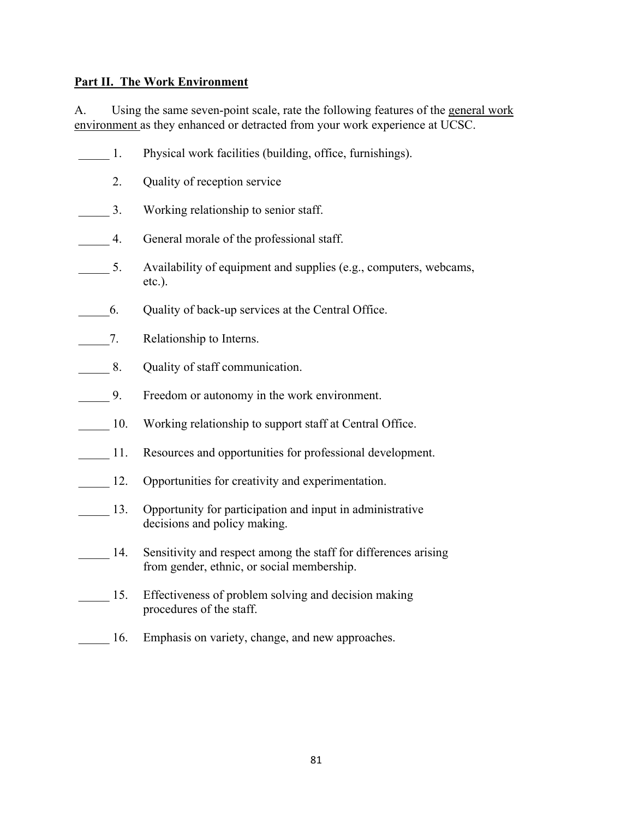### **Part II. The Work Environment**

A. Using the same seven-point scale, rate the following features of the general work environment as they enhanced or detracted from your work experience at UCSC.

| 1.  | Physical work facilities (building, office, furnishings).                                                     |
|-----|---------------------------------------------------------------------------------------------------------------|
| 2.  | Quality of reception service                                                                                  |
| 3.  | Working relationship to senior staff.                                                                         |
| 4.  | General morale of the professional staff.                                                                     |
| 5.  | Availability of equipment and supplies (e.g., computers, webcams,<br>etc.).                                   |
| 6.  | Quality of back-up services at the Central Office.                                                            |
| 7.  | Relationship to Interns.                                                                                      |
| 8.  | Quality of staff communication.                                                                               |
| 9.  | Freedom or autonomy in the work environment.                                                                  |
| 10. | Working relationship to support staff at Central Office.                                                      |
| 11. | Resources and opportunities for professional development.                                                     |
| 12. | Opportunities for creativity and experimentation.                                                             |
| 13. | Opportunity for participation and input in administrative<br>decisions and policy making.                     |
| 14. | Sensitivity and respect among the staff for differences arising<br>from gender, ethnic, or social membership. |
| 15. | Effectiveness of problem solving and decision making<br>procedures of the staff.                              |
| 16. | Emphasis on variety, change, and new approaches.                                                              |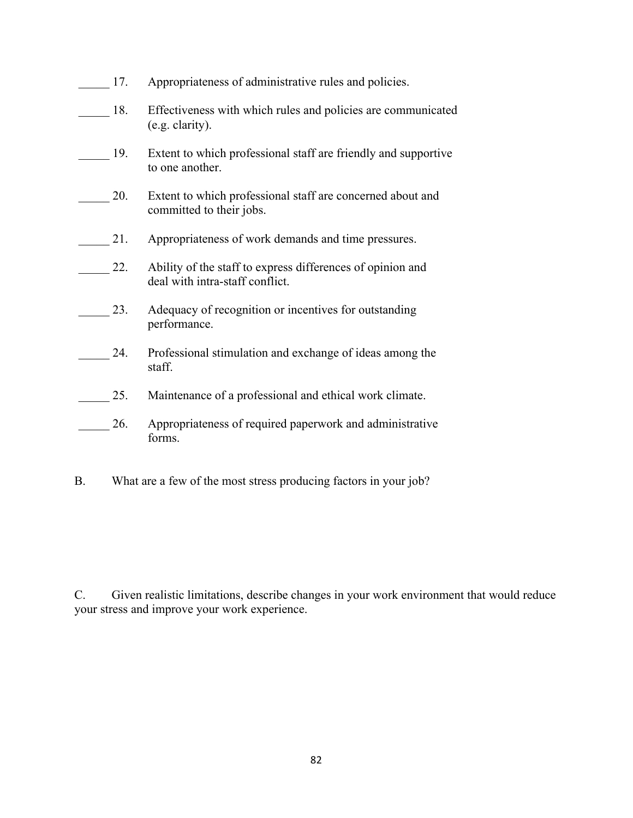| 17. | Appropriateness of administrative rules and policies.                                         |
|-----|-----------------------------------------------------------------------------------------------|
| 18. | Effectiveness with which rules and policies are communicated<br>(e.g. clarity).               |
| 19. | Extent to which professional staff are friendly and supportive<br>to one another.             |
| 20. | Extent to which professional staff are concerned about and<br>committed to their jobs.        |
| 21. | Appropriateness of work demands and time pressures.                                           |
| 22. | Ability of the staff to express differences of opinion and<br>deal with intra-staff conflict. |
| 23. | Adequacy of recognition or incentives for outstanding<br>performance.                         |
| 24. | Professional stimulation and exchange of ideas among the<br>staff.                            |
| 25. | Maintenance of a professional and ethical work climate.                                       |
| 26. | Appropriateness of required paperwork and administrative<br>forms.                            |
|     |                                                                                               |

B. What are a few of the most stress producing factors in your job?

C. Given realistic limitations, describe changes in your work environment that would reduce your stress and improve your work experience.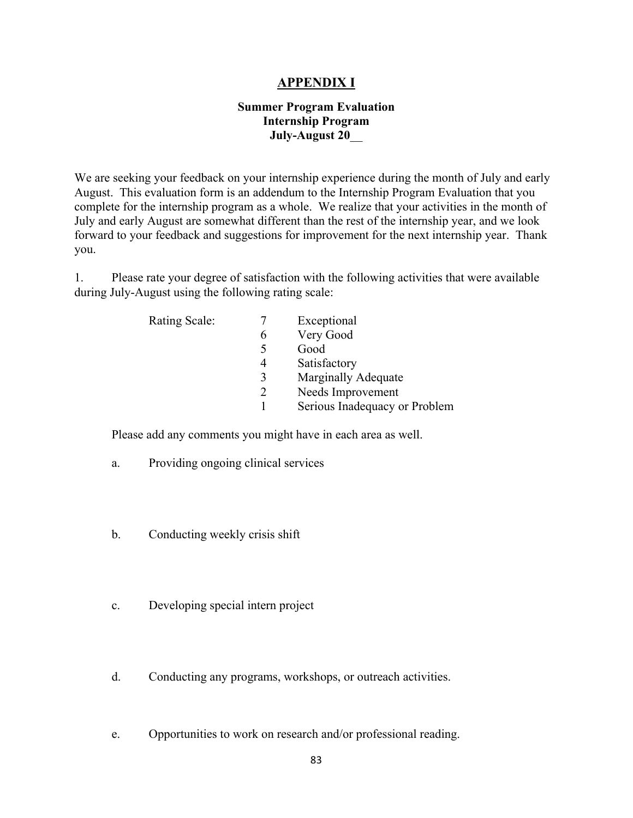### **APPENDIX I**

### **Summer Program Evaluation Internship Program July-August 20**\_\_

We are seeking your feedback on your internship experience during the month of July and early August. This evaluation form is an addendum to the Internship Program Evaluation that you complete for the internship program as a whole. We realize that your activities in the month of July and early August are somewhat different than the rest of the internship year, and we look forward to your feedback and suggestions for improvement for the next internship year. Thank you.

1. Please rate your degree of satisfaction with the following activities that were available during July-August using the following rating scale:

| <b>Rating Scale:</b> |   | Exceptional                   |
|----------------------|---|-------------------------------|
|                      |   | Very Good                     |
|                      |   | Good                          |
|                      | 4 | Satisfactory                  |
|                      | 3 | <b>Marginally Adequate</b>    |
|                      |   | Needs Improvement             |
|                      |   | Serious Inadequacy or Problem |
|                      |   |                               |

Please add any comments you might have in each area as well.

- a. Providing ongoing clinical services
- b. Conducting weekly crisis shift
- c. Developing special intern project
- d. Conducting any programs, workshops, or outreach activities.
- e. Opportunities to work on research and/or professional reading.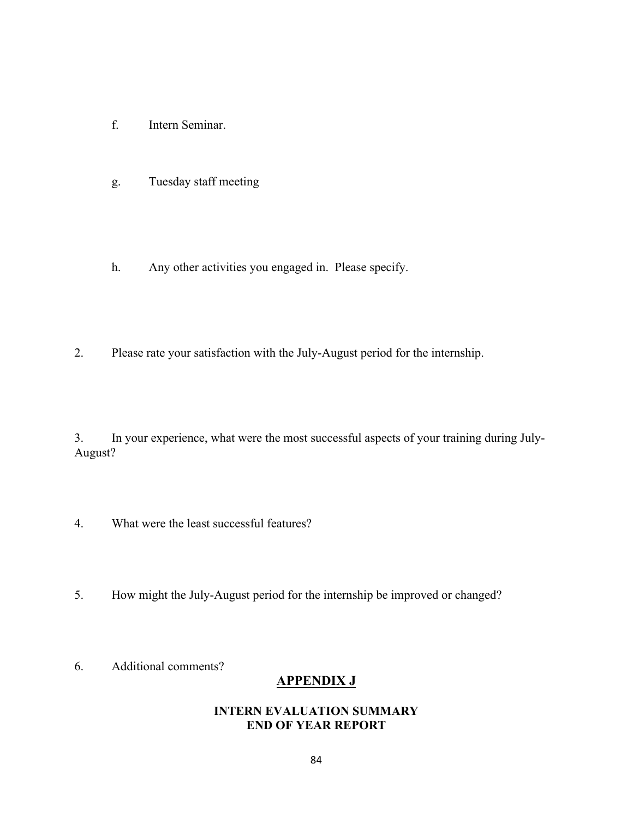- f. Intern Seminar.
- g. Tuesday staff meeting
- h. Any other activities you engaged in. Please specify.
- 2. Please rate your satisfaction with the July-August period for the internship.

3. In your experience, what were the most successful aspects of your training during July-August?

- 4. What were the least successful features?
- 5. How might the July-August period for the internship be improved or changed?
- 6. Additional comments?

## **APPENDIX J**

### **INTERN EVALUATION SUMMARY END OF YEAR REPORT**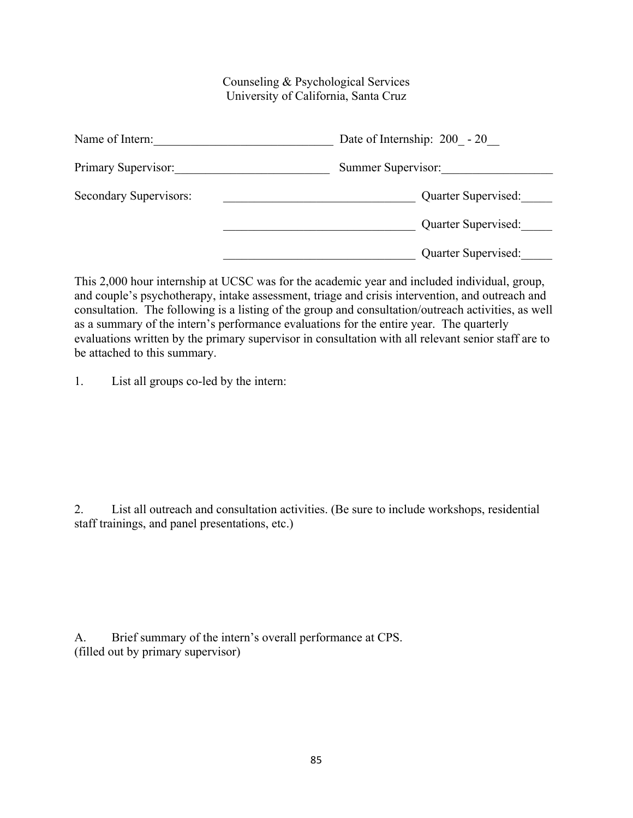### Counseling & Psychological Services University of California, Santa Cruz

| Name of Intern:        | Date of Internship: $200 - 20$ |
|------------------------|--------------------------------|
| Primary Supervisor:    | Summer Supervisor:             |
| Secondary Supervisors: | Quarter Supervised:            |
|                        | Quarter Supervised:            |
|                        | Quarter Supervised:            |

This 2,000 hour internship at UCSC was for the academic year and included individual, group, and couple's psychotherapy, intake assessment, triage and crisis intervention, and outreach and consultation. The following is a listing of the group and consultation/outreach activities, as well as a summary of the intern's performance evaluations for the entire year. The quarterly evaluations written by the primary supervisor in consultation with all relevant senior staff are to be attached to this summary.

1. List all groups co-led by the intern:

2. List all outreach and consultation activities. (Be sure to include workshops, residential staff trainings, and panel presentations, etc.)

A. Brief summary of the intern's overall performance at CPS. (filled out by primary supervisor)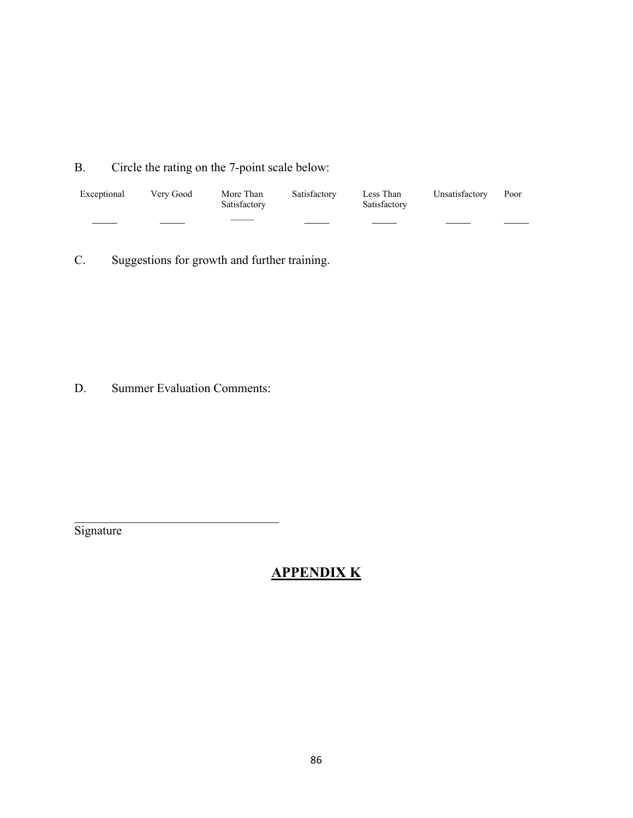B. Circle the rating on the 7-point scale below:

| Exceptional | Very Good | More Than<br>Satisfactory | Satisfactory | Less Than<br>Satisfactory | Unsatisfactory Poor |  |
|-------------|-----------|---------------------------|--------------|---------------------------|---------------------|--|
|             |           |                           |              |                           |                     |  |

C. Suggestions for growth and further training.

D. Summer Evaluation Comments:

 $\mathcal{L}_\mathcal{L}$  , where  $\mathcal{L}_\mathcal{L}$  , we are the set of the set of the set of the set of the set of the set of the set of the set of the set of the set of the set of the set of the set of the set of the set of the set o

**Signature** 

## **APPENDIX K**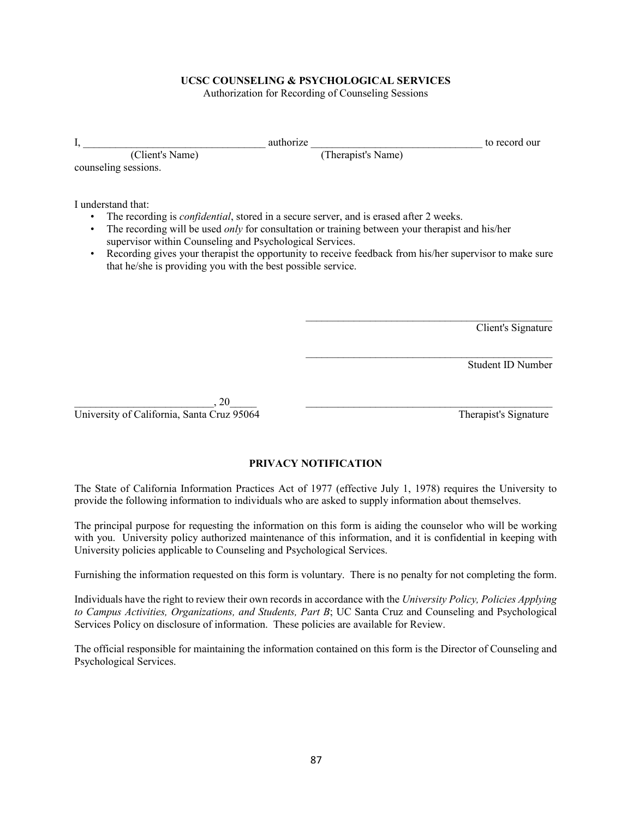#### **UCSC COUNSELING & PSYCHOLOGICAL SERVICES**

Authorization for Recording of Counseling Sessions

| I,     |                                                                                                                                                | authorize                                                                                                                                                                                                                                                                                                    | to record our      |
|--------|------------------------------------------------------------------------------------------------------------------------------------------------|--------------------------------------------------------------------------------------------------------------------------------------------------------------------------------------------------------------------------------------------------------------------------------------------------------------|--------------------|
|        | (Client's Name)                                                                                                                                | (Therapist's Name)                                                                                                                                                                                                                                                                                           |                    |
|        | counseling sessions.                                                                                                                           |                                                                                                                                                                                                                                                                                                              |                    |
| ٠<br>٠ | I understand that:<br>supervisor within Counseling and Psychological Services.<br>that he/she is providing you with the best possible service. | The recording is <i>confidential</i> , stored in a secure server, and is erased after 2 weeks.<br>The recording will be used only for consultation or training between your therapist and his/her<br>Recording gives your therapist the opportunity to receive feedback from his/her supervisor to make sure |                    |
|        |                                                                                                                                                |                                                                                                                                                                                                                                                                                                              | Client's Signature |
|        |                                                                                                                                                |                                                                                                                                                                                                                                                                                                              | Student ID Number  |

 $\, , 20 \,$ University of California, Santa Cruz 95064 Therapist's Signature

#### **PRIVACY NOTIFICATION**

The State of California Information Practices Act of 1977 (effective July 1, 1978) requires the University to provide the following information to individuals who are asked to supply information about themselves.

The principal purpose for requesting the information on this form is aiding the counselor who will be working with you. University policy authorized maintenance of this information, and it is confidential in keeping with University policies applicable to Counseling and Psychological Services.

Furnishing the information requested on this form is voluntary. There is no penalty for not completing the form.

Individuals have the right to review their own records in accordance with the *University Policy, Policies Applying to Campus Activities, Organizations, and Students, Part B*; UC Santa Cruz and Counseling and Psychological Services Policy on disclosure of information. These policies are available for Review.

The official responsible for maintaining the information contained on this form is the Director of Counseling and Psychological Services.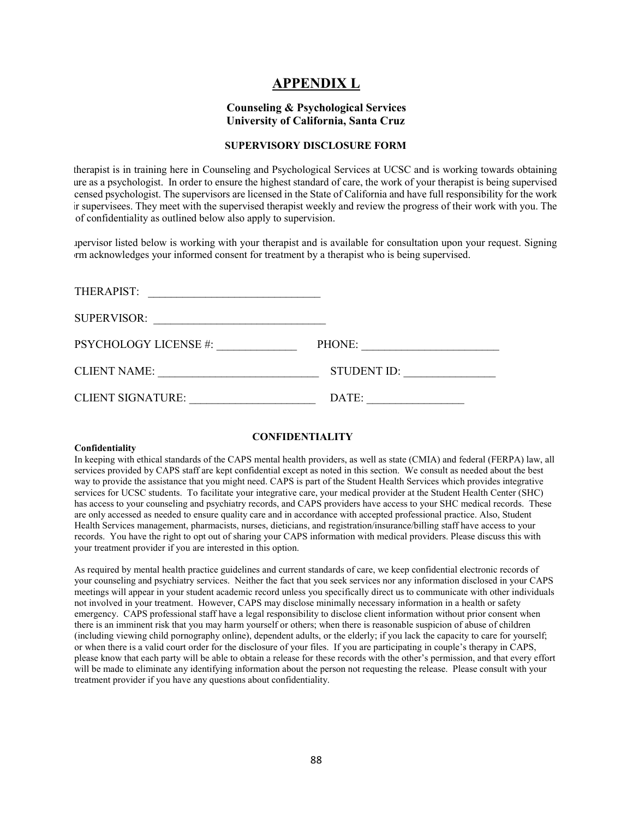### **APPENDIX L**

#### **Counseling & Psychological Services University of California, Santa Cruz**

#### **SUPERVISORY DISCLOSURE FORM**

 therapist is in training here in Counseling and Psychological Services at UCSC and is working towards obtaining ure as a psychologist. In order to ensure the highest standard of care, the work of your therapist is being supervised censed psychologist. The supervisors are licensed in the State of California and have full responsibility for the work ir supervisees. They meet with the supervised therapist weekly and review the progress of their work with you. The of confidentiality as outlined below also apply to supervision.

 upervisor listed below is working with your therapist and is available for consultation upon your request. Signing rm acknowledges your informed consent for treatment by a therapist who is being supervised.

| THERAPIST:                   |                    |
|------------------------------|--------------------|
| <b>SUPERVISOR:</b>           |                    |
| <b>PSYCHOLOGY LICENSE #:</b> | PHONE:             |
| <b>CLIENT NAME:</b>          | <b>STUDENT ID:</b> |
| <b>CLIENT SIGNATURE:</b>     | DATE:              |

#### **CONFIDENTIALITY**

#### **Confidentiality**

In keeping with ethical standards of the CAPS mental health providers, as well as state (CMIA) and federal (FERPA) law, all services provided by CAPS staff are kept confidential except as noted in this section. We consult as needed about the best way to provide the assistance that you might need. CAPS is part of the Student Health Services which provides integrative services for UCSC students. To facilitate your integrative care, your medical provider at the Student Health Center (SHC) has access to your counseling and psychiatry records, and CAPS providers have access to your SHC medical records. These are only accessed as needed to ensure quality care and in accordance with accepted professional practice. Also, Student Health Services management, pharmacists, nurses, dieticians, and registration/insurance/billing staff have access to your records. You have the right to opt out of sharing your CAPS information with medical providers. Please discuss this with your treatment provider if you are interested in this option.

As required by mental health practice guidelines and current standards of care, we keep confidential electronic records of your counseling and psychiatry services. Neither the fact that you seek services nor any information disclosed in your CAPS meetings will appear in your student academic record unless you specifically direct us to communicate with other individuals not involved in your treatment. However, CAPS may disclose minimally necessary information in a health or safety emergency. CAPS professional staff have a legal responsibility to disclose client information without prior consent when there is an imminent risk that you may harm yourself or others; when there is reasonable suspicion of abuse of children (including viewing child pornography online), dependent adults, or the elderly; if you lack the capacity to care for yourself; or when there is a valid court order for the disclosure of your files. If you are participating in couple's therapy in CAPS, please know that each party will be able to obtain a release for these records with the other's permission, and that every effort will be made to eliminate any identifying information about the person not requesting the release. Please consult with your treatment provider if you have any questions about confidentiality.